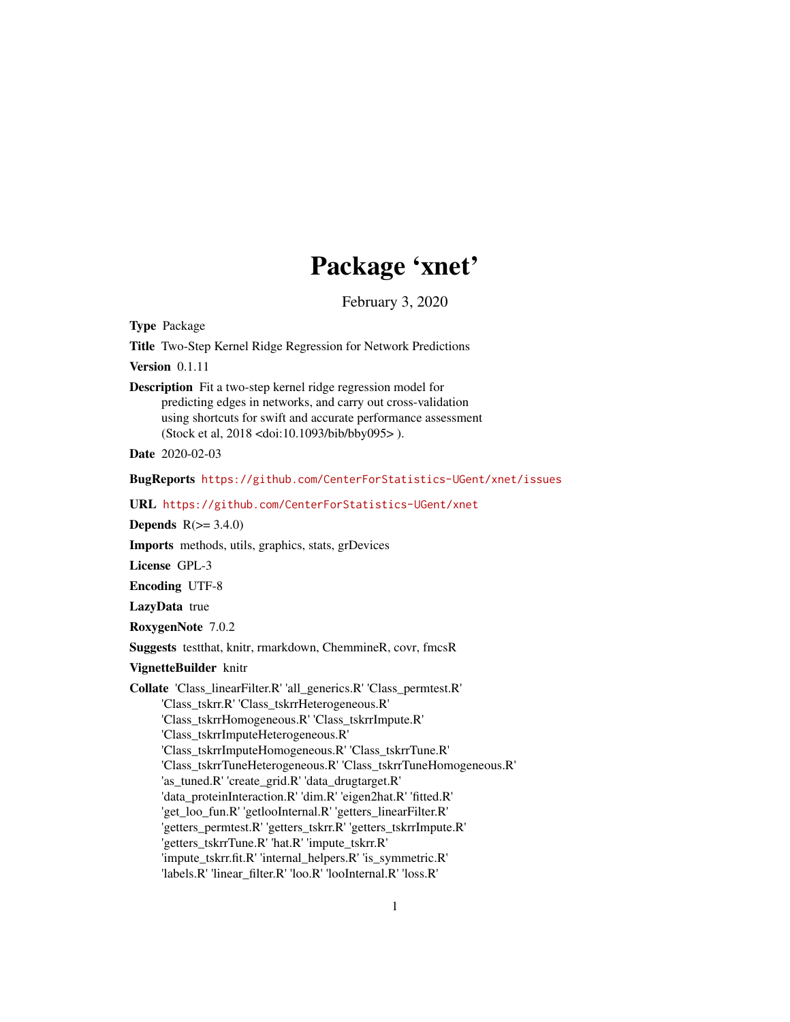# Package 'xnet'

February 3, 2020

<span id="page-0-0"></span>Type Package

Title Two-Step Kernel Ridge Regression for Network Predictions

Version 0.1.11

Description Fit a two-step kernel ridge regression model for predicting edges in networks, and carry out cross-validation using shortcuts for swift and accurate performance assessment (Stock et al, 2018 <doi:10.1093/bib/bby095> ).

Date 2020-02-03

BugReports <https://github.com/CenterForStatistics-UGent/xnet/issues>

URL <https://github.com/CenterForStatistics-UGent/xnet>

Depends  $R(>= 3.4.0)$ 

Imports methods, utils, graphics, stats, grDevices

License GPL-3

Encoding UTF-8

LazyData true

RoxygenNote 7.0.2

Suggests testthat, knitr, rmarkdown, ChemmineR, covr, fmcsR

VignetteBuilder knitr

Collate 'Class\_linearFilter.R' 'all\_generics.R' 'Class\_permtest.R' 'Class\_tskrr.R' 'Class\_tskrrHeterogeneous.R' 'Class\_tskrrHomogeneous.R' 'Class\_tskrrImpute.R' 'Class\_tskrrImputeHeterogeneous.R' 'Class\_tskrrImputeHomogeneous.R' 'Class\_tskrrTune.R' 'Class\_tskrrTuneHeterogeneous.R' 'Class\_tskrrTuneHomogeneous.R' 'as\_tuned.R' 'create\_grid.R' 'data\_drugtarget.R' 'data\_proteinInteraction.R' 'dim.R' 'eigen2hat.R' 'fitted.R' 'get\_loo\_fun.R' 'getlooInternal.R' 'getters\_linearFilter.R' 'getters\_permtest.R' 'getters\_tskrr.R' 'getters\_tskrrImpute.R' 'getters\_tskrrTune.R' 'hat.R' 'impute\_tskrr.R' 'impute\_tskrr.fit.R' 'internal\_helpers.R' 'is\_symmetric.R' 'labels.R' 'linear\_filter.R' 'loo.R' 'looInternal.R' 'loss.R'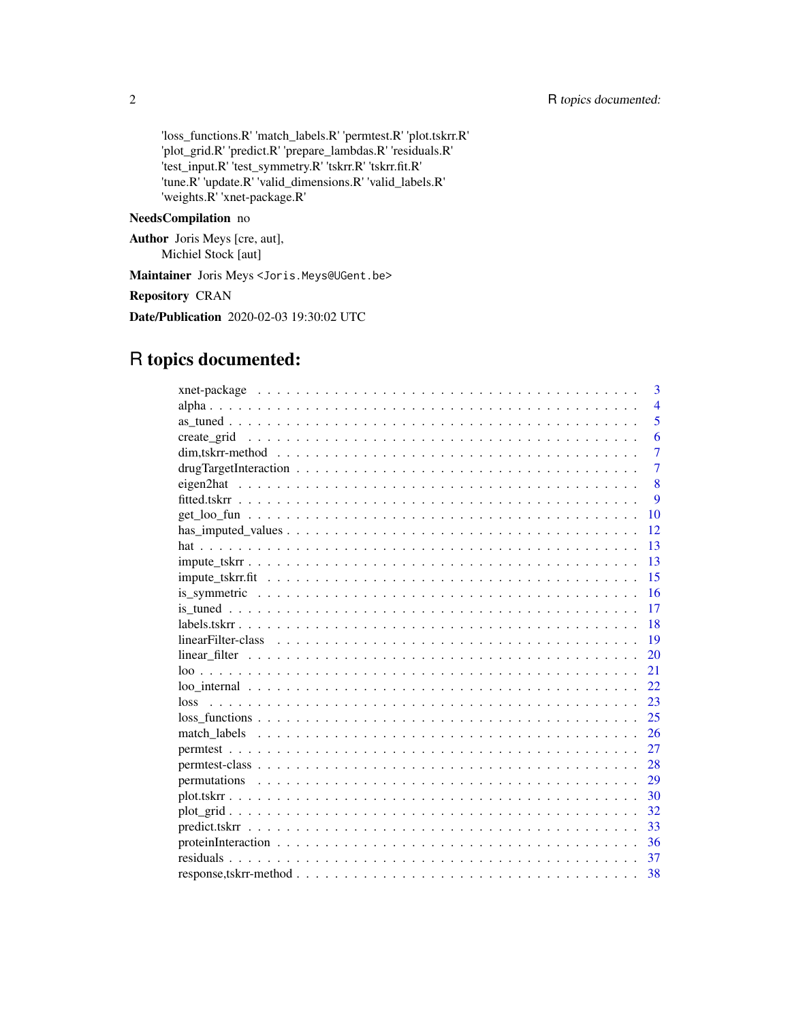'loss\_functions.R' 'match\_labels.R' 'permtest.R' 'plot.tskrr.R' 'plot\_grid.R' 'predict.R' 'prepare\_lambdas.R' 'residuals.R' 'test\_input.R' 'test\_symmetry.R' 'tskrr.R' 'tskrr.fit.R' 'tune.R' 'update.R' 'valid\_dimensions.R' 'valid\_labels.R' 'weights.R' 'xnet-package.R'

# NeedsCompilation no

Author Joris Meys [cre, aut], Michiel Stock [aut]

Maintainer Joris Meys<Joris.Meys@UGent.be>

# Repository CRAN

Date/Publication 2020-02-03 19:30:02 UTC

# R topics documented:

|                                                                                                                   | 3              |
|-------------------------------------------------------------------------------------------------------------------|----------------|
|                                                                                                                   | $\overline{4}$ |
|                                                                                                                   | 5              |
|                                                                                                                   | 6              |
|                                                                                                                   | $\overline{7}$ |
|                                                                                                                   | $\overline{7}$ |
|                                                                                                                   | 8              |
|                                                                                                                   | 9              |
|                                                                                                                   | 10             |
|                                                                                                                   | 12             |
|                                                                                                                   | 13             |
|                                                                                                                   | 13             |
|                                                                                                                   | 15             |
|                                                                                                                   | 16             |
|                                                                                                                   | 17             |
|                                                                                                                   | 18             |
|                                                                                                                   | 19             |
|                                                                                                                   | 20             |
|                                                                                                                   | 21             |
|                                                                                                                   | 22.            |
|                                                                                                                   | 23             |
| $loss\_functions \dots \dots \dots \dots \dots \dots \dots \dots \dots \dots \dots \dots \dots \dots \dots \dots$ | 25             |
|                                                                                                                   | 26             |
|                                                                                                                   | 27             |
|                                                                                                                   | 28             |
|                                                                                                                   | 29             |
|                                                                                                                   | 30             |
|                                                                                                                   | 32             |
|                                                                                                                   | 33             |
|                                                                                                                   | 36             |
|                                                                                                                   | 37             |
|                                                                                                                   | 38             |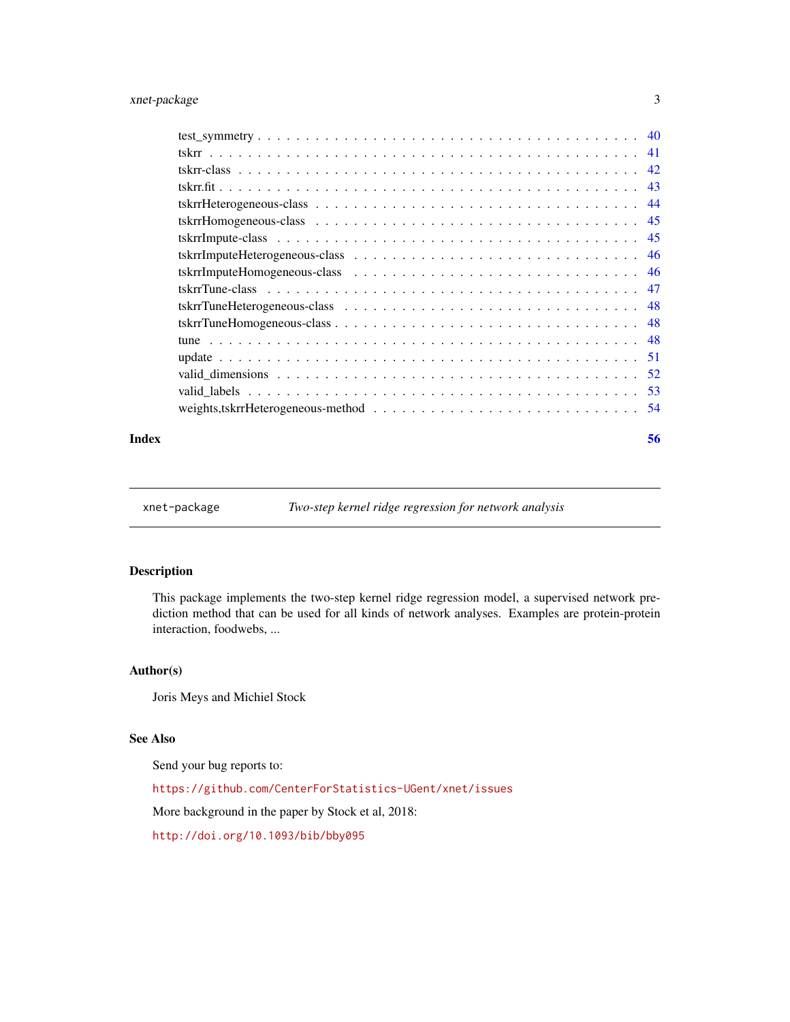# <span id="page-2-0"></span>xnet-package 3

#### **Index** [56](#page-55-0)

xnet-package *Two-step kernel ridge regression for network analysis*

# Description

This package implements the two-step kernel ridge regression model, a supervised network prediction method that can be used for all kinds of network analyses. Examples are protein-protein interaction, foodwebs, ...

#### Author(s)

Joris Meys and Michiel Stock

# See Also

Send your bug reports to:

<https://github.com/CenterForStatistics-UGent/xnet/issues>

More background in the paper by Stock et al, 2018:

<http://doi.org/10.1093/bib/bby095>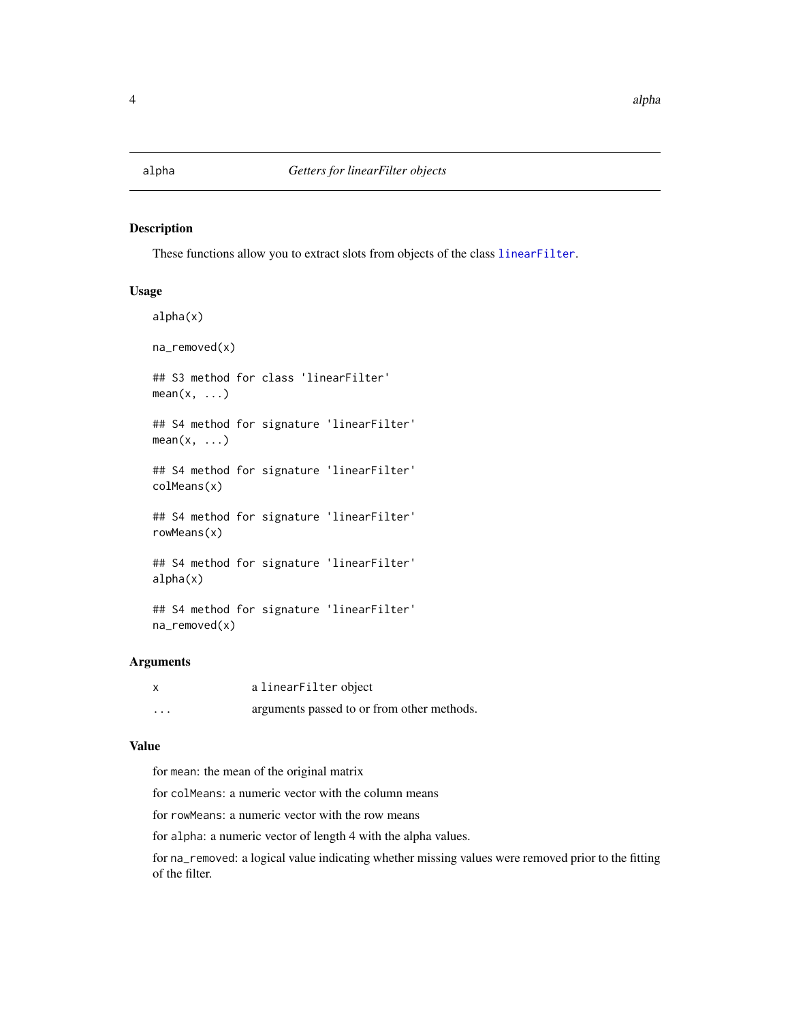<span id="page-3-0"></span>

# <span id="page-3-1"></span>Description

These functions allow you to extract slots from objects of the class [linearFilter](#page-18-1).

# Usage

```
alpha(x)
na_removed(x)
## S3 method for class 'linearFilter'
mean(x, \ldots)## S4 method for signature 'linearFilter'
mean(x, \ldots)## S4 method for signature 'linearFilter'
colMeans(x)
## S4 method for signature 'linearFilter'
rowMeans(x)
## S4 method for signature 'linearFilter'
alpha(x)
## S4 method for signature 'linearFilter'
```
Arguments

na\_removed(x)

| $\boldsymbol{\mathsf{x}}$ | a linearFilter object                      |
|---------------------------|--------------------------------------------|
| $\cdots$                  | arguments passed to or from other methods. |

#### Value

for mean: the mean of the original matrix

for colMeans: a numeric vector with the column means

for rowMeans: a numeric vector with the row means

for alpha: a numeric vector of length 4 with the alpha values.

for na\_removed: a logical value indicating whether missing values were removed prior to the fitting of the filter.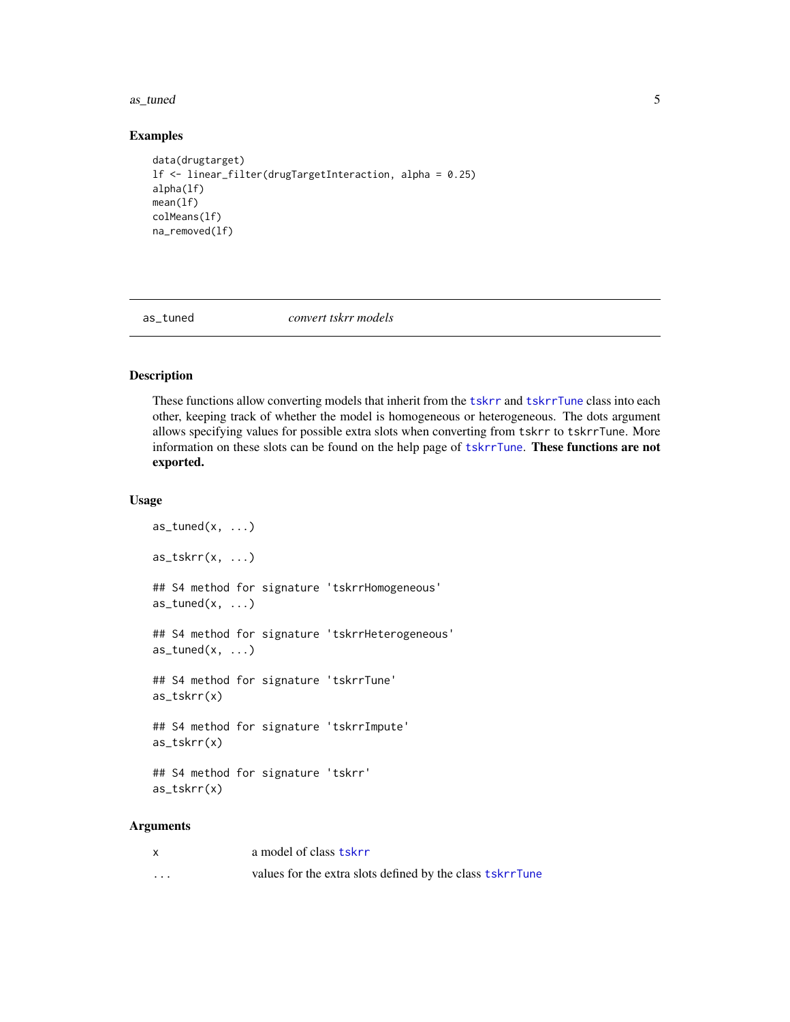<span id="page-4-0"></span>as\_tuned 5

#### Examples

```
data(drugtarget)
lf <- linear_filter(drugTargetInteraction, alpha = 0.25)
alpha(lf)
mean(lf)
colMeans(lf)
na_removed(lf)
```
as\_tuned *convert tskrr models*

# Description

These functions allow converting models that inherit from the [tskrr](#page-40-1) and [tskrrTune](#page-46-1) class into each other, keeping track of whether the model is homogeneous or heterogeneous. The dots argument allows specifying values for possible extra slots when converting from tskrr to tskrrTune. More information on these slots can be found on the help page of [tskrrTune](#page-46-1). These functions are not exported.

#### Usage

```
as_tuned(x, \ldots)as_{\text{1}}tskrr(x, \ldots)## S4 method for signature 'tskrrHomogeneous'
as_ttuned(x, \ldots)## S4 method for signature 'tskrrHeterogeneous'
as_tuned(x, \ldots)## S4 method for signature 'tskrrTune'
as_tskrr(x)
## S4 method for signature 'tskrrImpute'
as_tskrr(x)
## S4 method for signature 'tskrr'
as_tskrr(x)
```
# Arguments

| $\mathsf{x}$ | a model of class tskrr                                    |
|--------------|-----------------------------------------------------------|
| $\cdots$     | values for the extra slots defined by the class tskrrTune |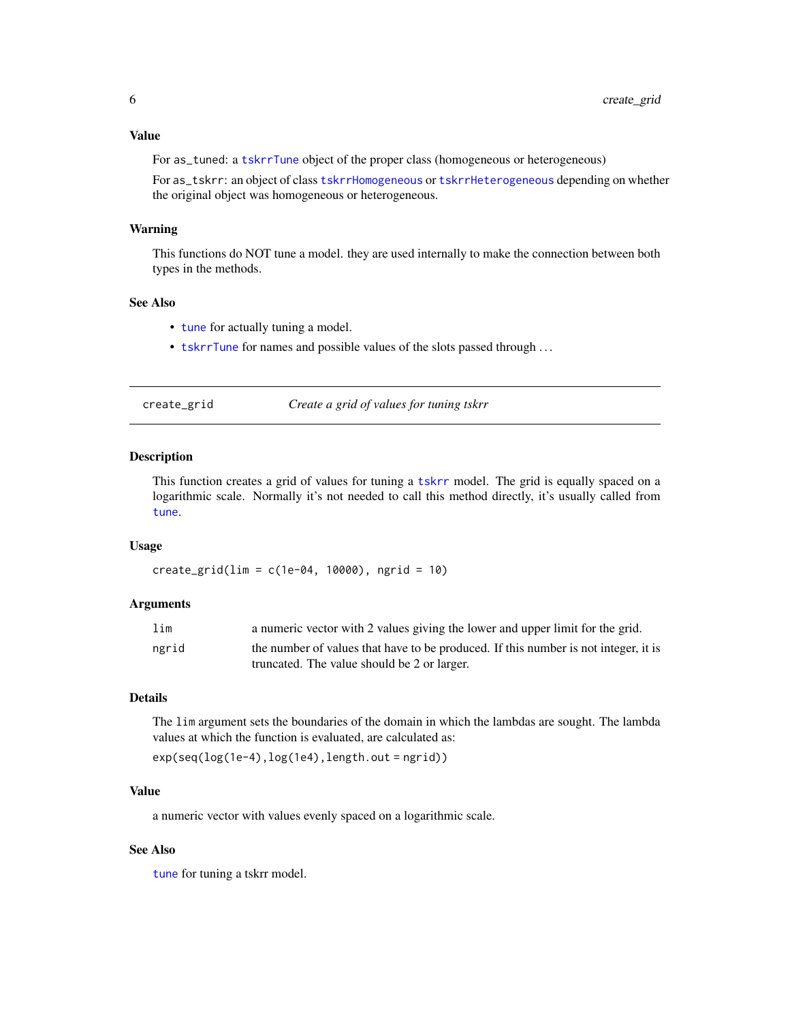# <span id="page-5-0"></span>Value

For as\_tuned: a [tskrrTune](#page-46-1) object of the proper class (homogeneous or heterogeneous)

For as\_tskrr: an object of class [tskrrHomogeneous](#page-44-1) or [tskrrHeterogeneous](#page-43-1) depending on whether the original object was homogeneous or heterogeneous.

# Warning

This functions do NOT tune a model. they are used internally to make the connection between both types in the methods.

# See Also

- [tune](#page-47-1) for actually tuning a model.
- [tskrrTune](#page-46-1) for names and possible values of the slots passed through . . .

<span id="page-5-1"></span>

| create_grid |  |  |  |
|-------------|--|--|--|
|             |  |  |  |
|             |  |  |  |
|             |  |  |  |

create\_grid *Create a grid of values for tuning tskrr*

#### Description

This function creates a grid of values for tuning a [tskrr](#page-40-1) model. The grid is equally spaced on a logarithmic scale. Normally it's not needed to call this method directly, it's usually called from [tune](#page-47-1).

# Usage

 $create\_grid(lim = c(1e-04, 10000), ngrid = 10)$ 

# Arguments

| lim   | a numeric vector with 2 values giving the lower and upper limit for the grid.       |
|-------|-------------------------------------------------------------------------------------|
| ngrid | the number of values that have to be produced. If this number is not integer, it is |
|       | truncated. The value should be 2 or larger.                                         |

#### Details

The lim argument sets the boundaries of the domain in which the lambdas are sought. The lambda values at which the function is evaluated, are calculated as:

exp(seq(log(1e-4),log(1e4),length.out = ngrid))

# Value

a numeric vector with values evenly spaced on a logarithmic scale.

# See Also

[tune](#page-47-1) for tuning a tskrr model.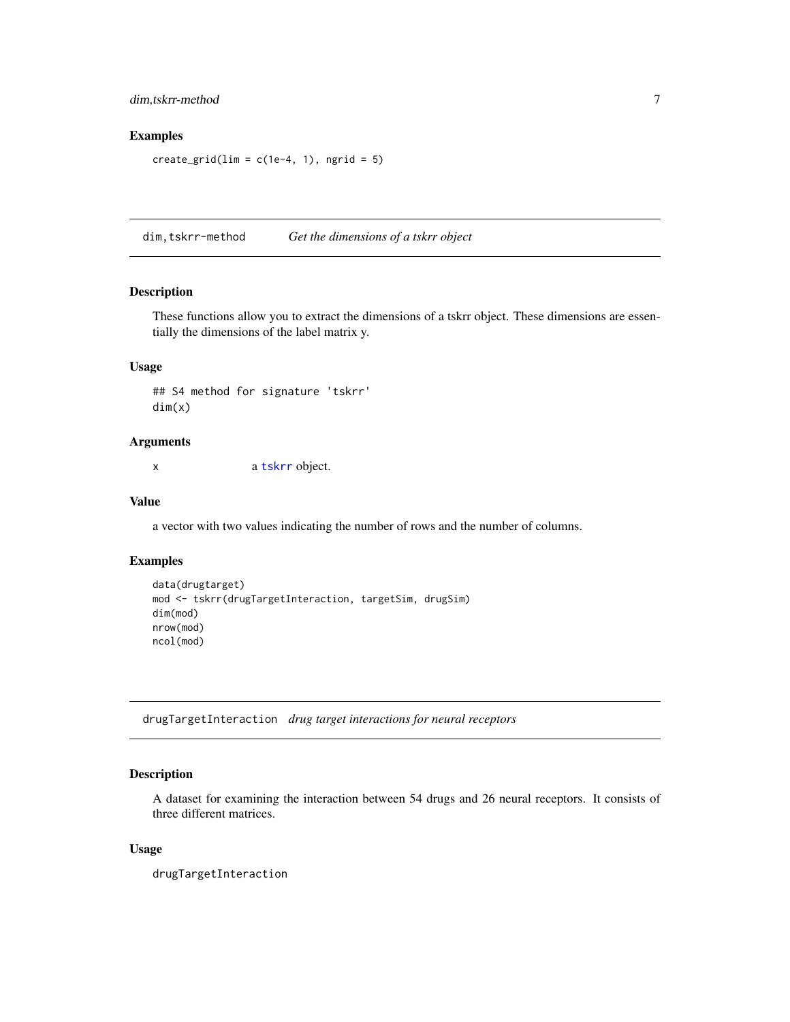# <span id="page-6-0"></span>dim,tskrr-method 7

# Examples

```
create_grid(lim = c(1e-4, 1), ngrid = 5)
```
dim,tskrr-method *Get the dimensions of a tskrr object*

# Description

These functions allow you to extract the dimensions of a tskrr object. These dimensions are essentially the dimensions of the label matrix y.

#### Usage

## S4 method for signature 'tskrr' dim(x)

#### Arguments

x a [tskrr](#page-41-1) object.

# Value

a vector with two values indicating the number of rows and the number of columns.

# Examples

```
data(drugtarget)
mod <- tskrr(drugTargetInteraction, targetSim, drugSim)
dim(mod)
nrow(mod)
ncol(mod)
```
drugTargetInteraction *drug target interactions for neural receptors*

# Description

A dataset for examining the interaction between 54 drugs and 26 neural receptors. It consists of three different matrices.

#### Usage

drugTargetInteraction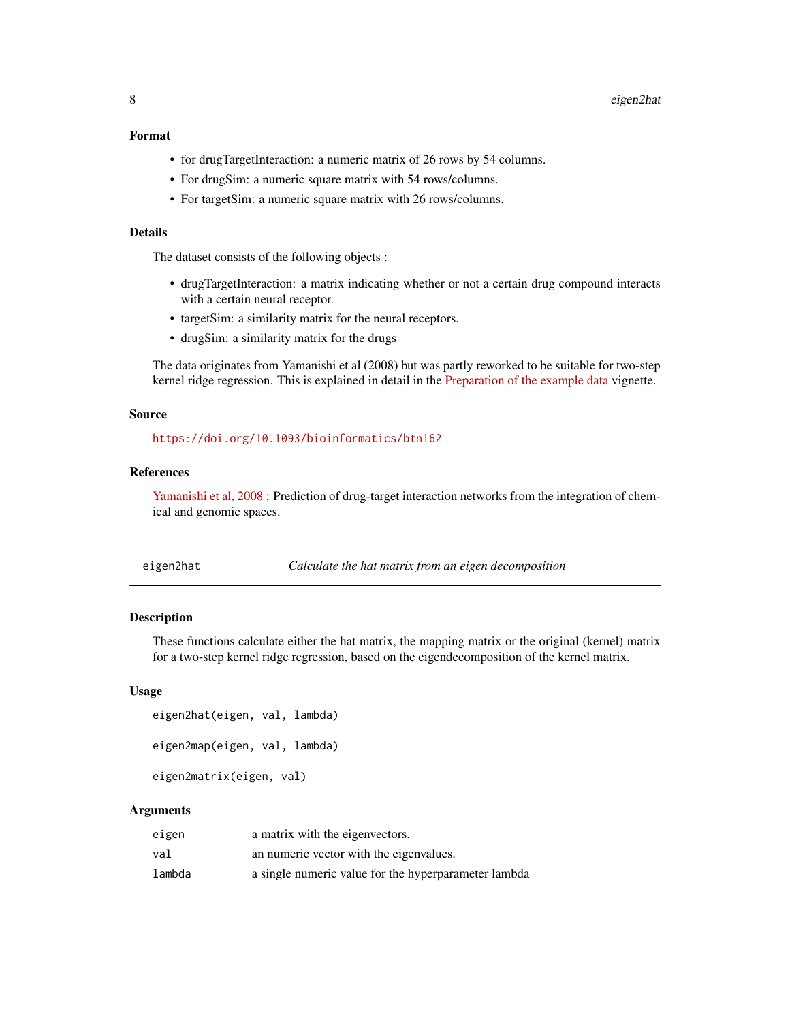#### <span id="page-7-0"></span>Format

- for drugTargetInteraction: a numeric matrix of 26 rows by 54 columns.
- For drugSim: a numeric square matrix with 54 rows/columns.
- For targetSim: a numeric square matrix with 26 rows/columns.

# Details

The dataset consists of the following objects :

- drugTargetInteraction: a matrix indicating whether or not a certain drug compound interacts with a certain neural receptor.
- targetSim: a similarity matrix for the neural receptors.
- drugSim: a similarity matrix for the drugs

The data originates from Yamanishi et al (2008) but was partly reworked to be suitable for two-step kernel ridge regression. This is explained in detail in the [Preparation of the example data](../doc/Preparation_example_data.html) vignette.

#### Source

<https://doi.org/10.1093/bioinformatics/btn162>

# References

[Yamanishi et al, 2008](https://doi.org/10.1093/bioinformatics/btn162) : Prediction of drug-target interaction networks from the integration of chemical and genomic spaces.

<span id="page-7-1"></span>

eigen2hat *Calculate the hat matrix from an eigen decomposition*

# <span id="page-7-2"></span>**Description**

These functions calculate either the hat matrix, the mapping matrix or the original (kernel) matrix for a two-step kernel ridge regression, based on the eigendecomposition of the kernel matrix.

#### Usage

```
eigen2hat(eigen, val, lambda)
eigen2map(eigen, val, lambda)
```
eigen2matrix(eigen, val)

### Arguments

| eigen  | a matrix with the eigenvectors.                      |
|--------|------------------------------------------------------|
| val    | an numeric vector with the eigenvalues.              |
| lambda | a single numeric value for the hyperparameter lambda |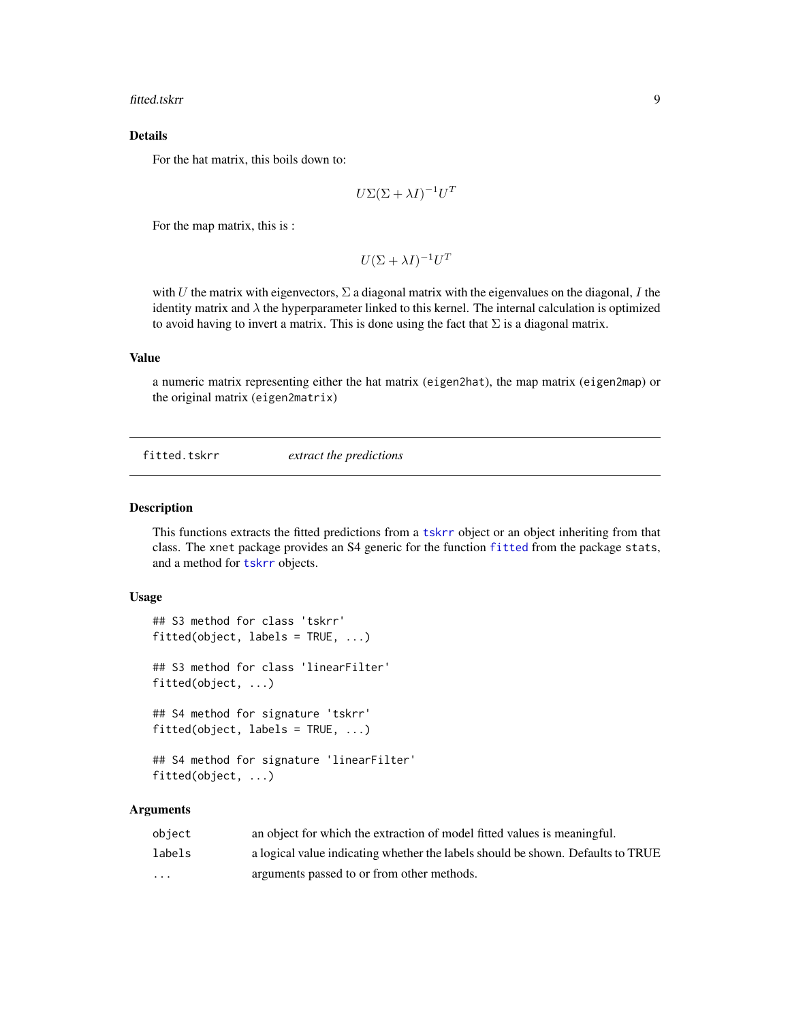<span id="page-8-0"></span>fitted.tskrr 9

# Details

For the hat matrix, this boils down to:

$$
U\Sigma(\Sigma+\lambda I)^{-1}U^T
$$

For the map matrix, this is :

$$
U(\Sigma + \lambda I)^{-1}U^T
$$

with U the matrix with eigenvectors,  $\Sigma$  a diagonal matrix with the eigenvalues on the diagonal, I the identity matrix and  $\lambda$  the hyperparameter linked to this kernel. The internal calculation is optimized to avoid having to invert a matrix. This is done using the fact that  $\Sigma$  is a diagonal matrix.

#### Value

a numeric matrix representing either the hat matrix (eigen2hat), the map matrix (eigen2map) or the original matrix (eigen2matrix)

fitted.tskrr *extract the predictions*

#### Description

This functions extracts the fitted predictions from a [tskrr](#page-40-1) object or an object inheriting from that class. The xnet package provides an S4 generic for the function [fitted](#page-0-0) from the package stats, and a method for [tskrr](#page-40-1) objects.

# Usage

```
## S3 method for class 'tskrr'
fitted(object, labels = TRUE, ...)## S3 method for class 'linearFilter'
fitted(object, ...)
## S4 method for signature 'tskrr'
fitted(object, labels = TRUE, ...)
## S4 method for signature 'linearFilter'
```
fitted(object, ...)

#### Arguments

| object   | an object for which the extraction of model fitted values is meaningful.        |
|----------|---------------------------------------------------------------------------------|
| labels   | a logical value indicating whether the labels should be shown. Defaults to TRUE |
| $\cdots$ | arguments passed to or from other methods.                                      |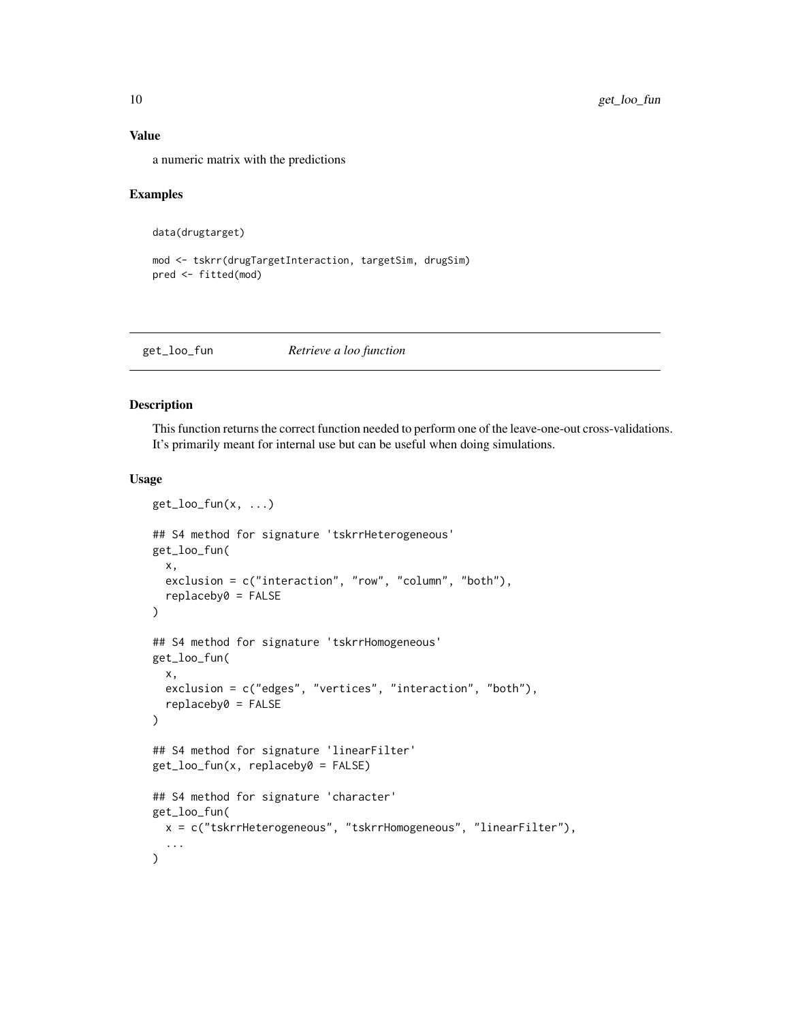# Value

a numeric matrix with the predictions

#### Examples

```
data(drugtarget)
```

```
mod <- tskrr(drugTargetInteraction, targetSim, drugSim)
pred <- fitted(mod)
```
<span id="page-9-1"></span>get\_loo\_fun *Retrieve a loo function*

#### Description

This function returns the correct function needed to perform one of the leave-one-out cross-validations. It's primarily meant for internal use but can be useful when doing simulations.

#### Usage

```
get\_loo\_fun(x, \ldots)## S4 method for signature 'tskrrHeterogeneous'
get_loo_fun(
  x,
  exclusion = c("interaction", "row", "column", "both"),
  replaceby0 = FALSE
\mathcal{L}## S4 method for signature 'tskrrHomogeneous'
get_loo_fun(
  x,
  exclusion = c("edges", "vertices", "interaction", "both"),
  replaceby0 = FALSE
)
## S4 method for signature 'linearFilter'
get_loo_fun(x, replaceby0 = FALSE)
## S4 method for signature 'character'
get_loo_fun(
  x = c("tskrrHeterogeneous", "tskrrHomogeneous", "linearFilter"),
  ...
)
```
<span id="page-9-0"></span>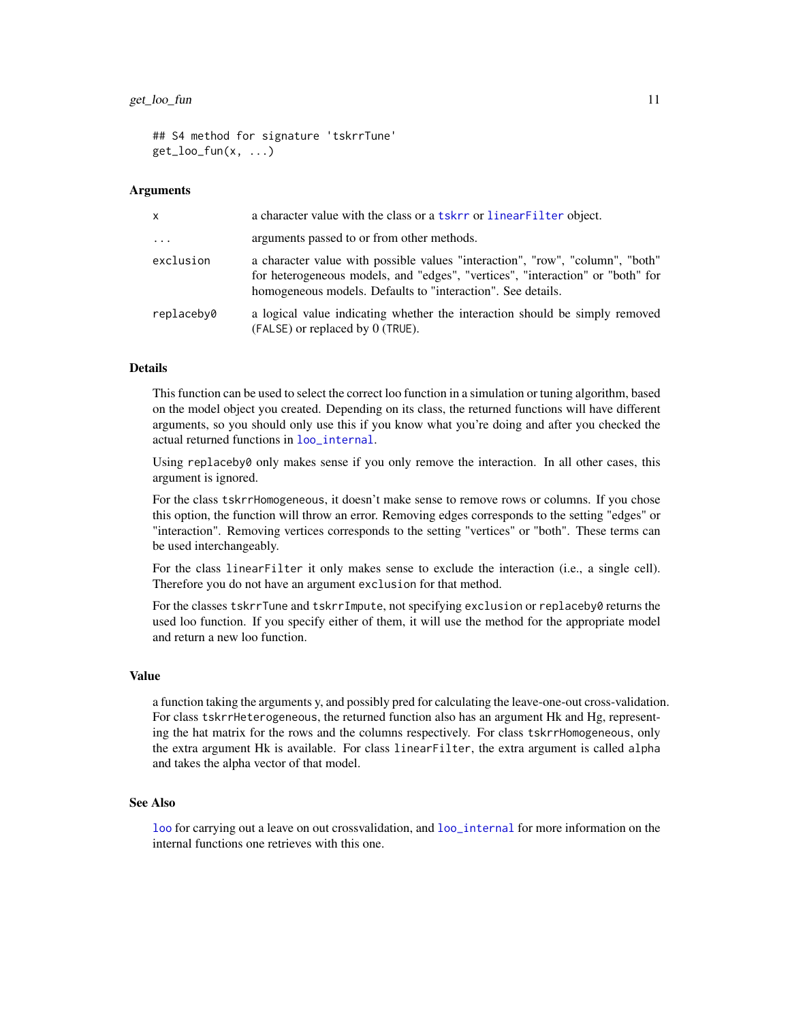<span id="page-10-0"></span>## S4 method for signature 'tskrrTune'  $get\_loo\_fun(x, \ldots)$ 

#### Arguments

| $\mathsf{x}$        | a character value with the class or a tskrr or linear Filter object.                                                                                                                                                           |
|---------------------|--------------------------------------------------------------------------------------------------------------------------------------------------------------------------------------------------------------------------------|
| $\cdot \cdot \cdot$ | arguments passed to or from other methods.                                                                                                                                                                                     |
| exclusion           | a character value with possible values "interaction", "row", "column", "both"<br>for heterogeneous models, and "edges", "vertices", "interaction" or "both" for<br>homogeneous models. Defaults to "interaction". See details. |
| replaceby0          | a logical value indicating whether the interaction should be simply removed<br>$(FALSE)$ or replaced by $0$ (TRUE).                                                                                                            |

#### Details

This function can be used to select the correct loo function in a simulation or tuning algorithm, based on the model object you created. Depending on its class, the returned functions will have different arguments, so you should only use this if you know what you're doing and after you checked the actual returned functions in [loo\\_internal](#page-21-1).

Using replaceby0 only makes sense if you only remove the interaction. In all other cases, this argument is ignored.

For the class tskrrHomogeneous, it doesn't make sense to remove rows or columns. If you chose this option, the function will throw an error. Removing edges corresponds to the setting "edges" or "interaction". Removing vertices corresponds to the setting "vertices" or "both". These terms can be used interchangeably.

For the class linearFilter it only makes sense to exclude the interaction (i.e., a single cell). Therefore you do not have an argument exclusion for that method.

For the classes tskrrTune and tskrrImpute, not specifying exclusion or replaceby0 returns the used loo function. If you specify either of them, it will use the method for the appropriate model and return a new loo function.

# Value

a function taking the arguments y, and possibly pred for calculating the leave-one-out cross-validation. For class tskrrHeterogeneous, the returned function also has an argument Hk and Hg, representing the hat matrix for the rows and the columns respectively. For class tskrrHomogeneous, only the extra argument Hk is available. For class linearFilter, the extra argument is called alpha and takes the alpha vector of that model.

#### See Also

[loo](#page-20-1) for carrying out a leave on out crossvalidation, and [loo\\_internal](#page-21-1) for more information on the internal functions one retrieves with this one.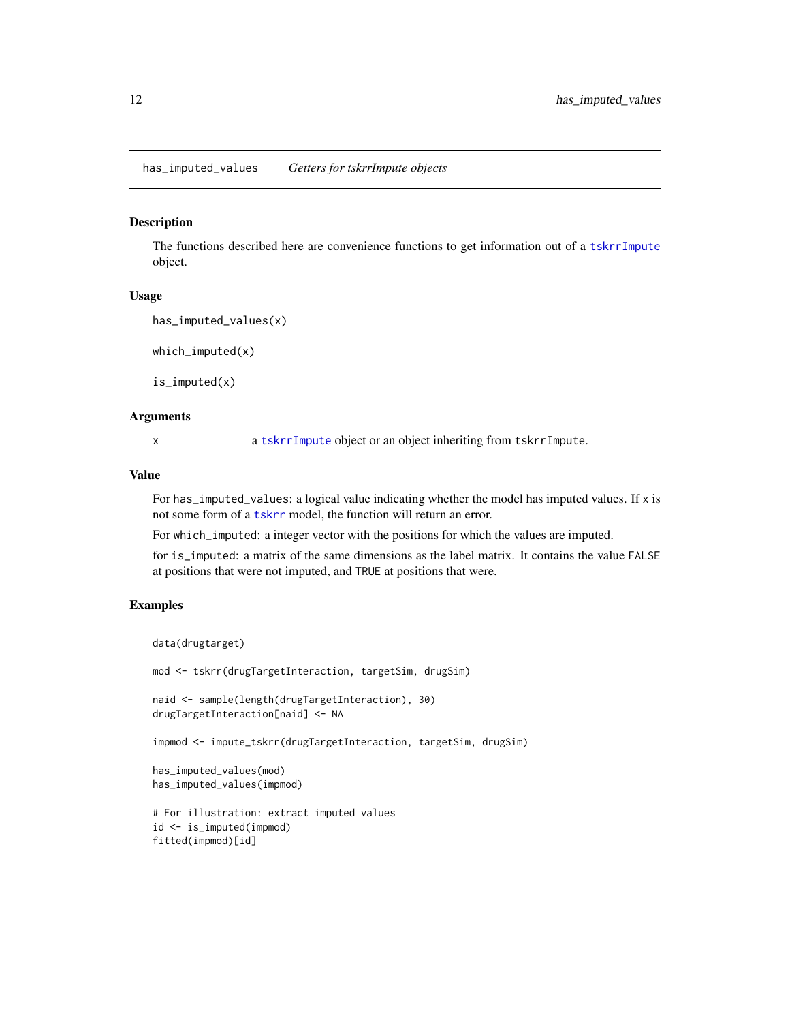<span id="page-11-0"></span>has\_imputed\_values *Getters for tskrrImpute objects*

#### Description

The functions described here are convenience functions to get information out of a [tskrrImpute](#page-44-2) object.

#### Usage

```
has_imputed_values(x)
```
 $which$ \_imputed(x)

is\_imputed(x)

# Arguments

x a [tskrrImpute](#page-44-2) object or an object inheriting from tskrrImpute.

#### Value

For has\_imputed\_values: a logical value indicating whether the model has imputed values. If x is not some form of a [tskrr](#page-40-1) model, the function will return an error.

For which\_imputed: a integer vector with the positions for which the values are imputed.

for is\_imputed: a matrix of the same dimensions as the label matrix. It contains the value FALSE at positions that were not imputed, and TRUE at positions that were.

# Examples

```
data(drugtarget)
```
mod <- tskrr(drugTargetInteraction, targetSim, drugSim)

```
naid <- sample(length(drugTargetInteraction), 30)
drugTargetInteraction[naid] <- NA
```
impmod <- impute\_tskrr(drugTargetInteraction, targetSim, drugSim)

```
has_imputed_values(mod)
has_imputed_values(impmod)
```

```
# For illustration: extract imputed values
id <- is_imputed(impmod)
fitted(impmod)[id]
```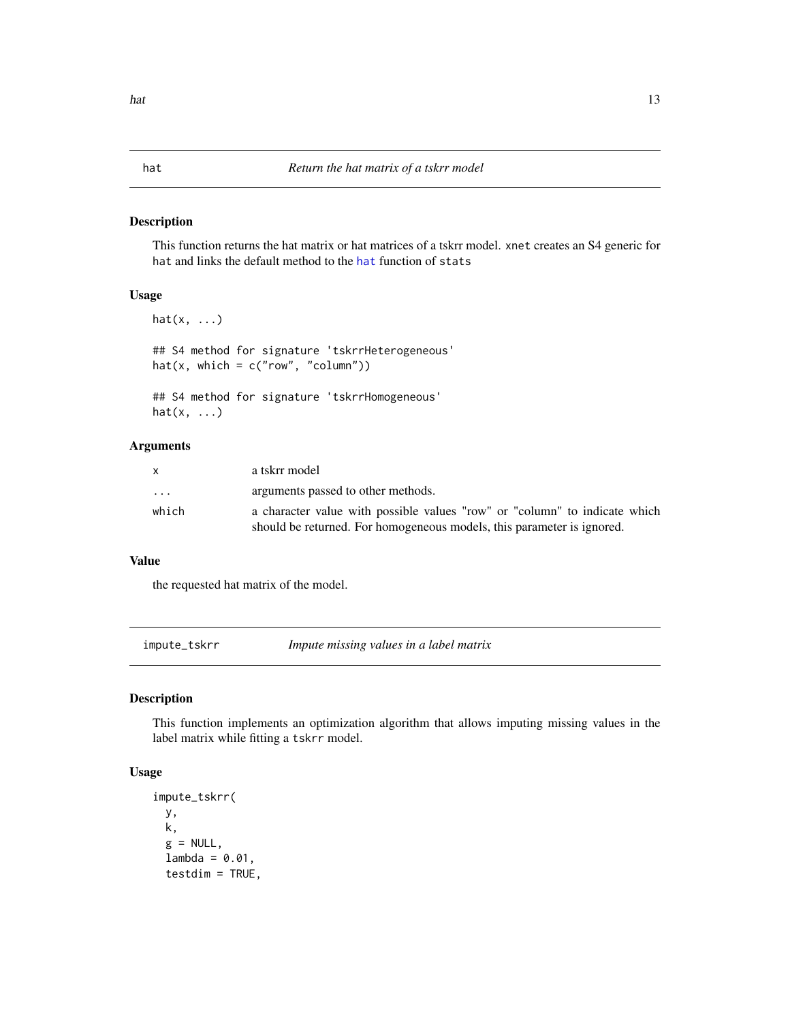# <span id="page-12-0"></span>Description

This function returns the hat matrix or hat matrices of a tskrr model. xnet creates an S4 generic for hat and links the default method to the [hat](#page-0-0) function of stats

# Usage

```
hat(x, \ldots)## S4 method for signature 'tskrrHeterogeneous'
hat(x, which = c("row", "column"))## S4 method for signature 'tskrrHomogeneous'
hat(x, \ldots)
```
# Arguments

|                         | a tskrr model                                                              |
|-------------------------|----------------------------------------------------------------------------|
| $\cdot$ $\cdot$ $\cdot$ | arguments passed to other methods.                                         |
| which                   | a character value with possible values "row" or "column" to indicate which |
|                         | should be returned. For homogeneous models, this parameter is ignored.     |

# Value

the requested hat matrix of the model.

<span id="page-12-1"></span>impute\_tskrr *Impute missing values in a label matrix*

# Description

This function implements an optimization algorithm that allows imputing missing values in the label matrix while fitting a tskrr model.

# Usage

```
impute_tskrr(
 y,
 k,
 g = NULL,lambda = 0.01,
  testdim = TRUE,
```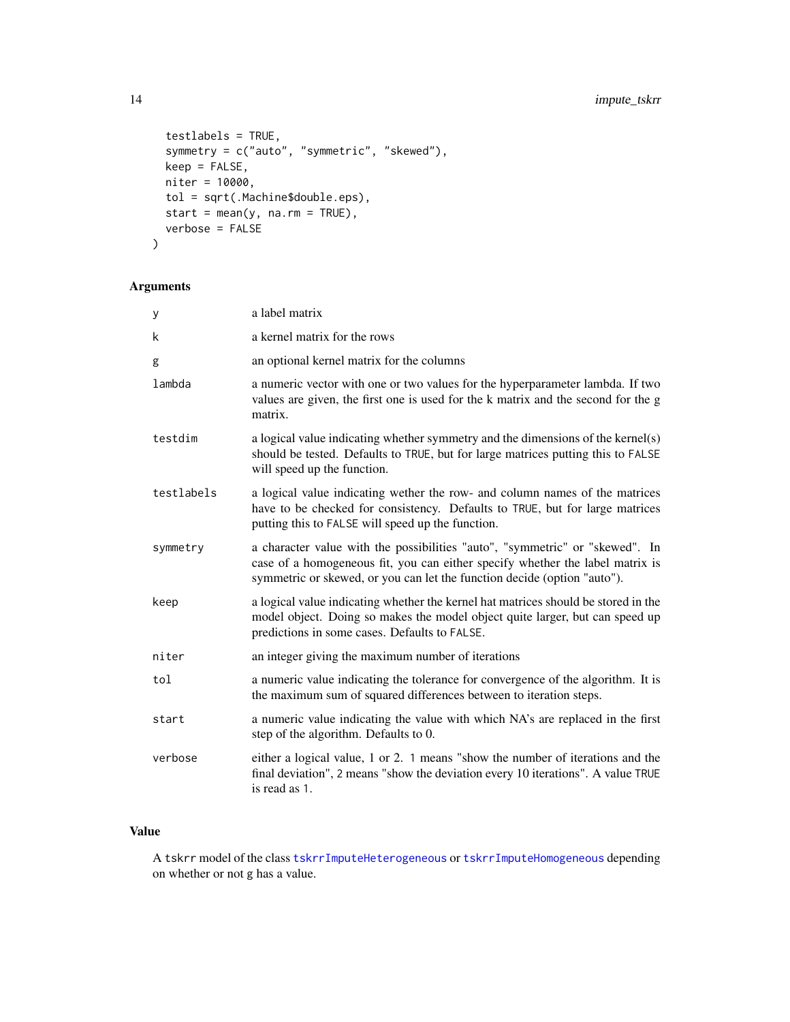```
testlabels = TRUE,
  symmetry = c("auto", "symmetric", "skewed"),
 keep = FALSE,
 niter = 10000,
  tol = sqrt(.Machine$double.eps),
 start = mean(y, na.rm = TRUE),
 verbose = FALSE
\mathcal{L}
```
# Arguments

| У          | a label matrix                                                                                                                                                                                                                            |
|------------|-------------------------------------------------------------------------------------------------------------------------------------------------------------------------------------------------------------------------------------------|
| k          | a kernel matrix for the rows                                                                                                                                                                                                              |
| g          | an optional kernel matrix for the columns                                                                                                                                                                                                 |
| lambda     | a numeric vector with one or two values for the hyperparameter lambda. If two<br>values are given, the first one is used for the k matrix and the second for the g<br>matrix.                                                             |
| testdim    | a logical value indicating whether symmetry and the dimensions of the kernel(s)<br>should be tested. Defaults to TRUE, but for large matrices putting this to FALSE<br>will speed up the function.                                        |
| testlabels | a logical value indicating wether the row- and column names of the matrices<br>have to be checked for consistency. Defaults to TRUE, but for large matrices<br>putting this to FALSE will speed up the function.                          |
| symmetry   | a character value with the possibilities "auto", "symmetric" or "skewed". In<br>case of a homogeneous fit, you can either specify whether the label matrix is<br>symmetric or skewed, or you can let the function decide (option "auto"). |
| keep       | a logical value indicating whether the kernel hat matrices should be stored in the<br>model object. Doing so makes the model object quite larger, but can speed up<br>predictions in some cases. Defaults to FALSE.                       |
| niter      | an integer giving the maximum number of iterations                                                                                                                                                                                        |
| tol        | a numeric value indicating the tolerance for convergence of the algorithm. It is<br>the maximum sum of squared differences between to iteration steps.                                                                                    |
| start      | a numeric value indicating the value with which NA's are replaced in the first<br>step of the algorithm. Defaults to 0.                                                                                                                   |
| verbose    | either a logical value, 1 or 2. 1 means "show the number of iterations and the<br>final deviation", 2 means "show the deviation every 10 iterations". A value TRUE<br>is read as 1.                                                       |

# Value

A tskrr model of the class [tskrrImputeHeterogeneous](#page-45-1) or [tskrrImputeHomogeneous](#page-45-2) depending on whether or not g has a value.

<span id="page-13-0"></span>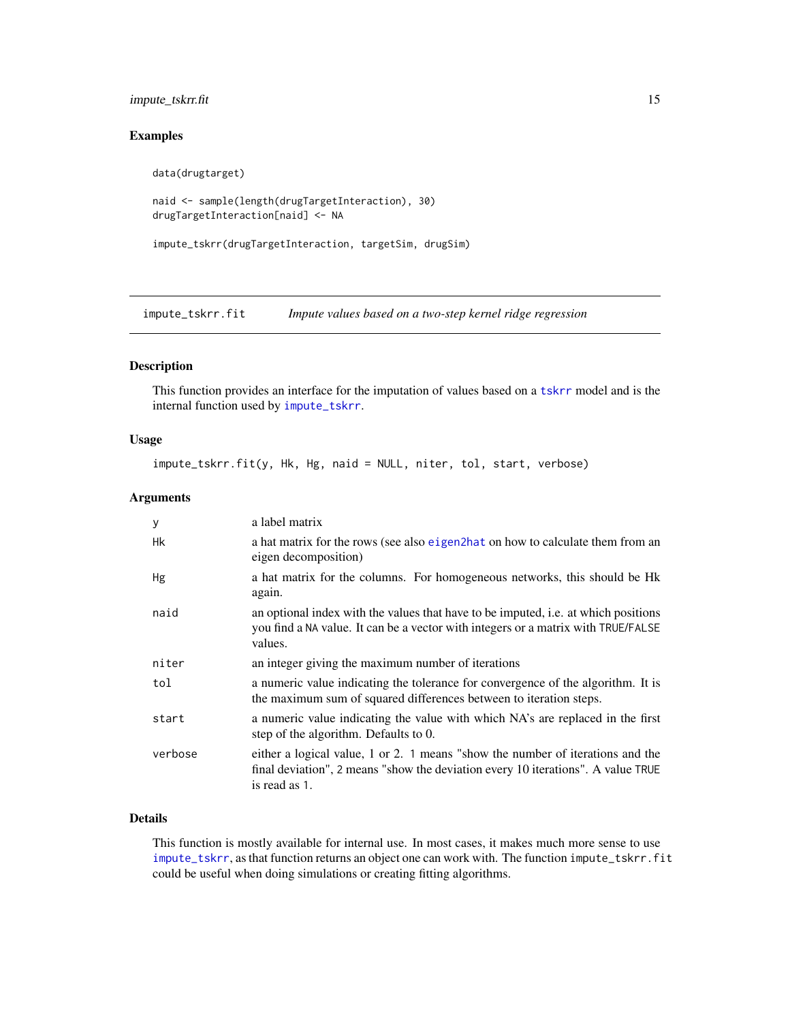# <span id="page-14-0"></span>impute\_tskrr.fit 15

# Examples

```
data(drugtarget)
```

```
naid <- sample(length(drugTargetInteraction), 30)
drugTargetInteraction[naid] <- NA
```

```
impute_tskrr(drugTargetInteraction, targetSim, drugSim)
```
impute\_tskrr.fit *Impute values based on a two-step kernel ridge regression*

# Description

This function provides an interface for the imputation of values based on a [tskrr](#page-40-1) model and is the internal function used by [impute\\_tskrr](#page-12-1).

# Usage

impute\_tskrr.fit(y, Hk, Hg, naid = NULL, niter, tol, start, verbose)

# Arguments

| y       | a label matrix                                                                                                                                                                      |
|---------|-------------------------------------------------------------------------------------------------------------------------------------------------------------------------------------|
| Hk      | a hat matrix for the rows (see also eigen2hat on how to calculate them from an<br>eigen decomposition)                                                                              |
| Hg      | a hat matrix for the columns. For homogeneous networks, this should be Hk<br>again.                                                                                                 |
| naid    | an optional index with the values that have to be imputed, i.e. at which positions<br>you find a NA value. It can be a vector with integers or a matrix with TRUE/FALSE<br>values.  |
| niter   | an integer giving the maximum number of iterations                                                                                                                                  |
| tol     | a numeric value indicating the tolerance for convergence of the algorithm. It is<br>the maximum sum of squared differences between to iteration steps.                              |
| start   | a numeric value indicating the value with which NA's are replaced in the first<br>step of the algorithm. Defaults to 0.                                                             |
| verbose | either a logical value, 1 or 2. 1 means "show the number of iterations and the<br>final deviation", 2 means "show the deviation every 10 iterations". A value TRUE<br>is read as 1. |

# Details

This function is mostly available for internal use. In most cases, it makes much more sense to use [impute\\_tskrr](#page-12-1), as that function returns an object one can work with. The function impute\_tskrr.fit could be useful when doing simulations or creating fitting algorithms.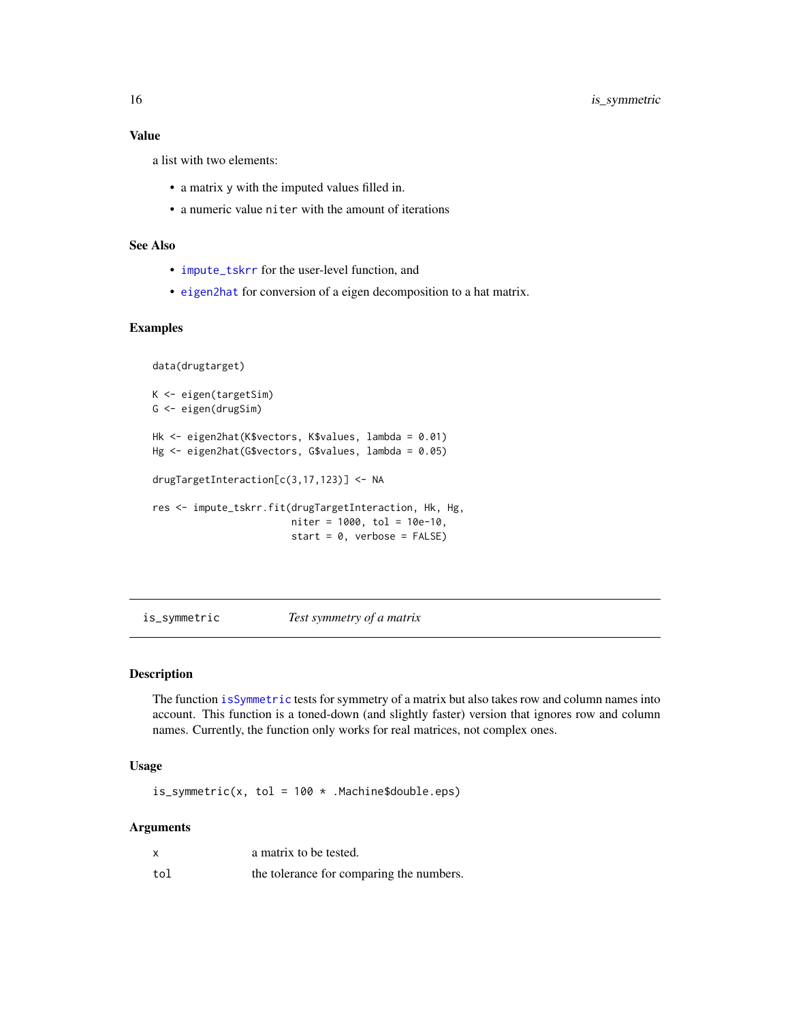# <span id="page-15-0"></span>Value

a list with two elements:

- a matrix y with the imputed values filled in.
- a numeric value niter with the amount of iterations

#### See Also

- [impute\\_tskrr](#page-12-1) for the user-level function, and
- [eigen2hat](#page-7-1) for conversion of a eigen decomposition to a hat matrix.

# Examples

```
data(drugtarget)
K <- eigen(targetSim)
G <- eigen(drugSim)
Hk <- eigen2hat(K$vectors, K$values, lambda = 0.01)
Hg <- eigen2hat(G$vectors, G$values, lambda = 0.05)
drugTargetInteraction[c(3,17,123)] <- NA
res <- impute_tskrr.fit(drugTargetInteraction, Hk, Hg,
                        niter = 1000, tol = 10e-10,
                        start = 0, verbose = FALSE)
```
is\_symmetric *Test symmetry of a matrix*

# Description

The function [isSymmetric](#page-0-0) tests for symmetry of a matrix but also takes row and column names into account. This function is a toned-down (and slightly faster) version that ignores row and column names. Currently, the function only works for real matrices, not complex ones.

# Usage

is\_symmetric(x, tol =  $100 *$  .Machine\$double.eps)

#### **Arguments**

|     | a matrix to be tested.                   |
|-----|------------------------------------------|
| tol | the tolerance for comparing the numbers. |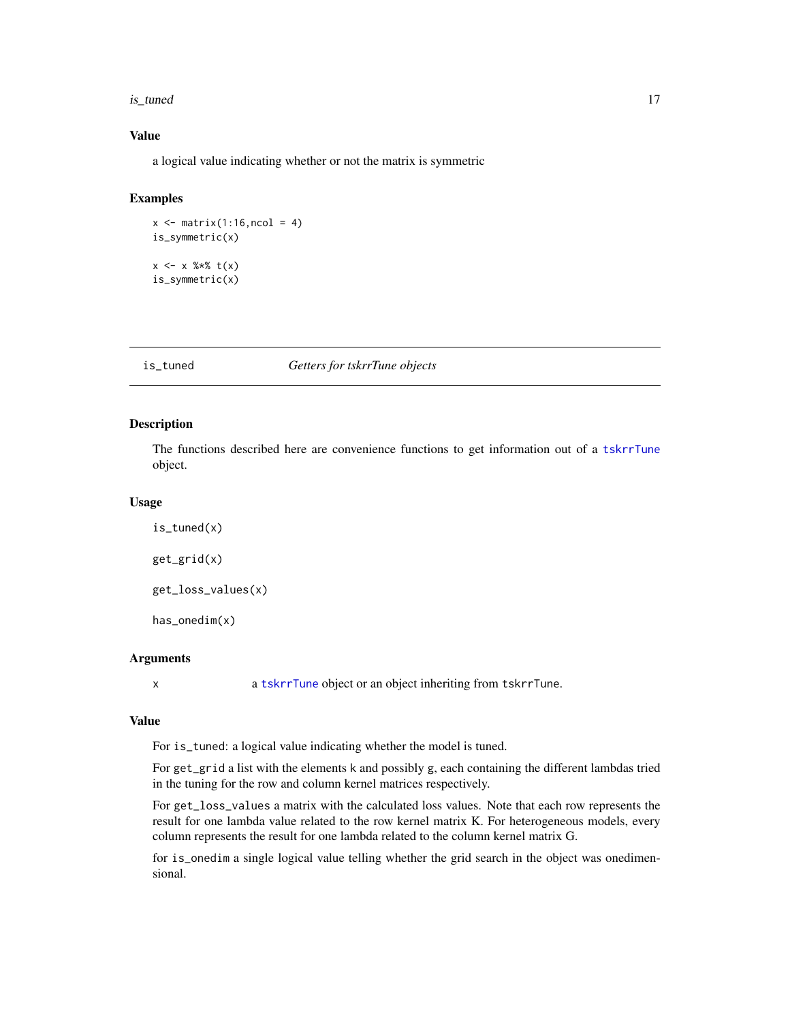#### <span id="page-16-0"></span>is\_tuned 17

# Value

a logical value indicating whether or not the matrix is symmetric

# Examples

```
x \leftarrow \text{matrix}(1:16,\text{ncol} = 4)is_symmetric(x)
x \leq -x %*% t(x)is_symmetric(x)
```
#### is\_tuned *Getters for tskrrTune objects*

# Description

The functions described here are convenience functions to get information out of a [tskrrTune](#page-46-1) object.

# Usage

```
is_tuned(x)
get_grid(x)
get_loss_values(x)
has_onedim(x)
```
# Arguments

x a [tskrrTune](#page-46-1) object or an object inheriting from tskrrTune.

# Value

For is\_tuned: a logical value indicating whether the model is tuned.

For get\_grid a list with the elements k and possibly g, each containing the different lambdas tried in the tuning for the row and column kernel matrices respectively.

For get\_loss\_values a matrix with the calculated loss values. Note that each row represents the result for one lambda value related to the row kernel matrix K. For heterogeneous models, every column represents the result for one lambda related to the column kernel matrix G.

for is\_onedim a single logical value telling whether the grid search in the object was onedimensional.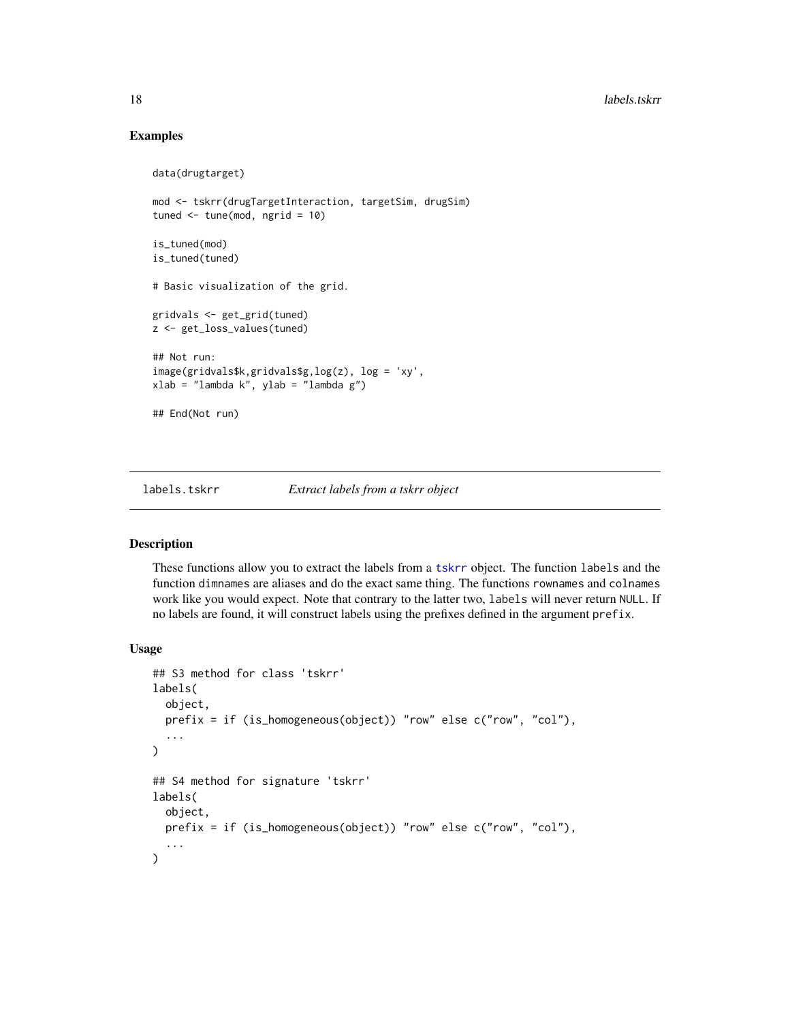# Examples

```
data(drugtarget)
mod <- tskrr(drugTargetInteraction, targetSim, drugSim)
tuned <- tune(mod, ngrid = 10)
is_tuned(mod)
is_tuned(tuned)
# Basic visualization of the grid.
gridvals <- get_grid(tuned)
z <- get_loss_values(tuned)
## Not run:
image(gridvals$k,gridvals$g,log(z), log = 'xy',
xlab = "lambda k", ylab = "lambda g")
## End(Not run)
```
# labels.tskrr *Extract labels from a tskrr object*

#### Description

These functions allow you to extract the labels from a [tskrr](#page-40-1) object. The function labels and the function dimnames are aliases and do the exact same thing. The functions rownames and colnames work like you would expect. Note that contrary to the latter two, labels will never return NULL. If no labels are found, it will construct labels using the prefixes defined in the argument prefix.

#### Usage

```
## S3 method for class 'tskrr'
labels(
  object,
 prefix = if (is_homogeneous(object)) "row" else c("row", "col"),
  ...
)
## S4 method for signature 'tskrr'
labels(
  object,
 prefix = if (is_homogeneous(object)) "row" else c("row", "col"),
  ...
)
```
<span id="page-17-0"></span>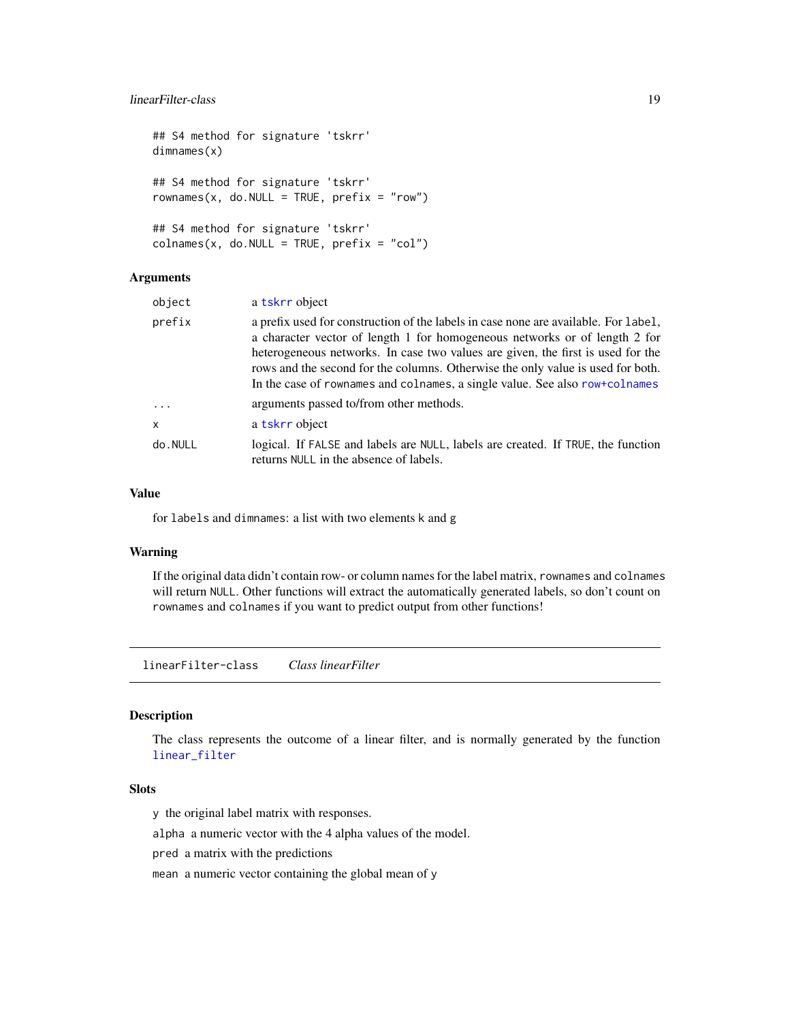# <span id="page-18-0"></span>linearFilter-class 19

```
## S4 method for signature 'tskrr'
dimnames(x)
## S4 method for signature 'tskrr'
rownames(x, do.NULL = TRUE, prefix = "row")## S4 method for signature 'tskrr'
colnames(x, do.NULL = TRUE, prefix = "col")
```
# Arguments

| object   | a tskrr object                                                                                                                                                                                                                                                                                                                                                                                                         |
|----------|------------------------------------------------------------------------------------------------------------------------------------------------------------------------------------------------------------------------------------------------------------------------------------------------------------------------------------------------------------------------------------------------------------------------|
| prefix   | a prefix used for construction of the labels in case none are available. For label,<br>a character vector of length 1 for homogeneous networks or of length 2 for<br>heterogeneous networks. In case two values are given, the first is used for the<br>rows and the second for the columns. Otherwise the only value is used for both.<br>In the case of rownames and colnames, a single value. See also row+colnames |
| $\ddots$ | arguments passed to/from other methods.                                                                                                                                                                                                                                                                                                                                                                                |
| x        | a tskrr object                                                                                                                                                                                                                                                                                                                                                                                                         |
| do.NULL  | logical. If FALSE and labels are NULL, labels are created. If TRUE, the function<br>returns NULL in the absence of labels.                                                                                                                                                                                                                                                                                             |

#### Value

for labels and dimnames: a list with two elements k and g

# Warning

If the original data didn't contain row- or column names for the label matrix, rownames and colnames will return NULL. Other functions will extract the automatically generated labels, so don't count on rownames and colnames if you want to predict output from other functions!

<span id="page-18-2"></span>linearFilter-class *Class linearFilter*

# <span id="page-18-1"></span>Description

The class represents the outcome of a linear filter, and is normally generated by the function [linear\\_filter](#page-19-1)

# Slots

y the original label matrix with responses.

alpha a numeric vector with the 4 alpha values of the model.

pred a matrix with the predictions

mean a numeric vector containing the global mean of y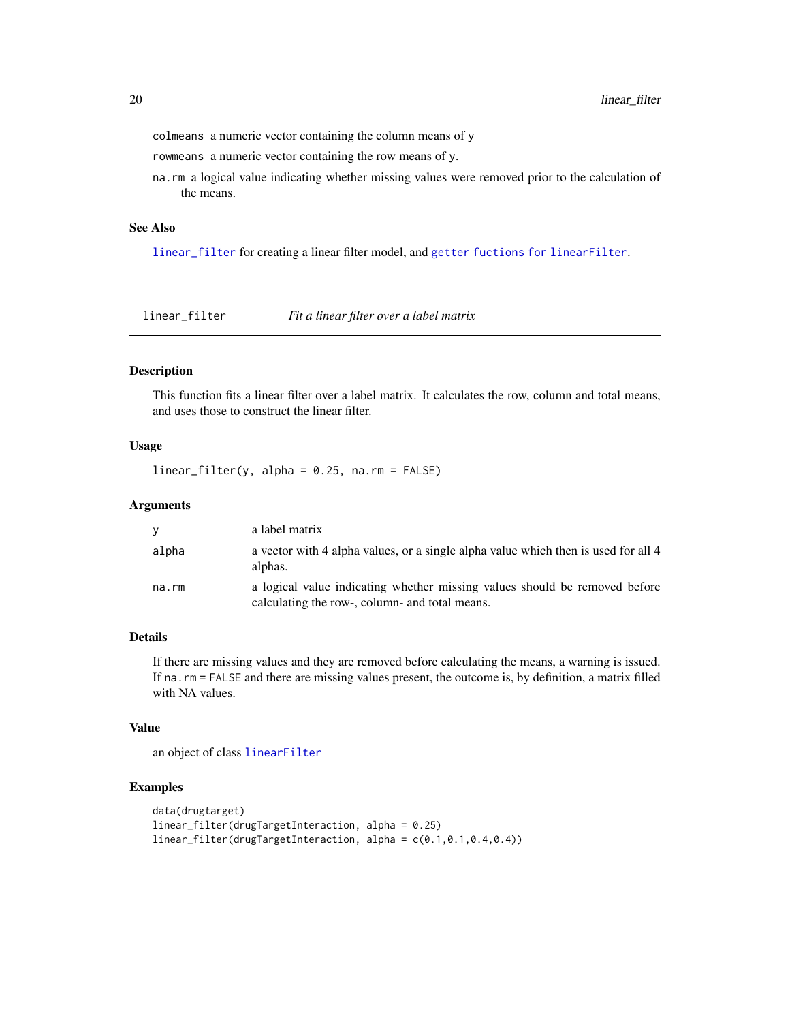<span id="page-19-0"></span>colmeans a numeric vector containing the column means of y

rowmeans a numeric vector containing the row means of y.

na.rm a logical value indicating whether missing values were removed prior to the calculation of the means.

#### See Also

[linear\\_filter](#page-19-1) for creating a linear filter model, and [getter fuctions for linearFilter](#page-3-1).

<span id="page-19-1"></span>linear\_filter *Fit a linear filter over a label matrix*

# Description

This function fits a linear filter over a label matrix. It calculates the row, column and total means, and uses those to construct the linear filter.

# Usage

 $linear_fitter(y, alpha = 0.25, na.rm = FALSE)$ 

# Arguments

| ۷     | a label matrix                                                                                                               |
|-------|------------------------------------------------------------------------------------------------------------------------------|
| alpha | a vector with 4 alpha values, or a single alpha value which then is used for all 4<br>alphas.                                |
| na.rm | a logical value indicating whether missing values should be removed before<br>calculating the row-, column- and total means. |

# Details

If there are missing values and they are removed before calculating the means, a warning is issued. If na.rm = FALSE and there are missing values present, the outcome is, by definition, a matrix filled with NA values.

# Value

an object of class [linearFilter](#page-18-2)

# Examples

```
data(drugtarget)
linear_filter(drugTargetInteraction, alpha = 0.25)
linear_filter(drugTargetInteraction, alpha = c(0.1,0.1,0.4,0.4))
```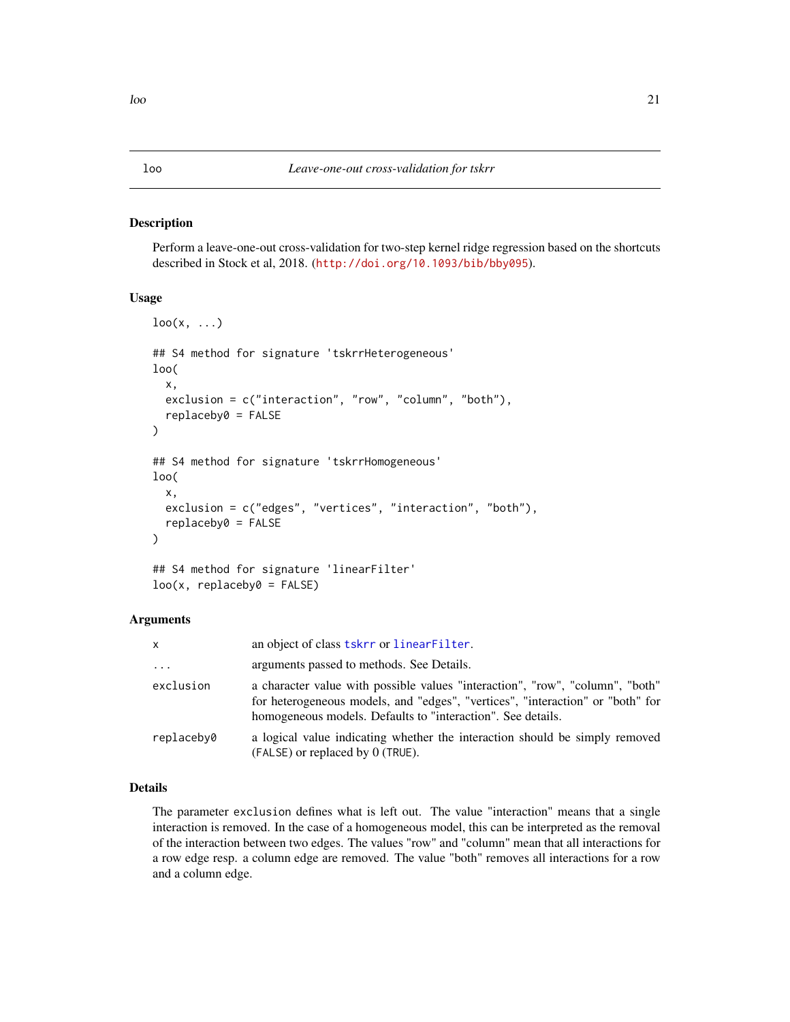#### <span id="page-20-1"></span><span id="page-20-0"></span>Description

Perform a leave-one-out cross-validation for two-step kernel ridge regression based on the shortcuts described in Stock et al, 2018. (<http://doi.org/10.1093/bib/bby095>).

# Usage

```
\text{loo}(x, \ldots)## S4 method for signature 'tskrrHeterogeneous'
loo(
  x,
  exclusion = c("interaction", "row", "column", "both"),
  replaceby0 = FALSE
)
## S4 method for signature 'tskrrHomogeneous'
loo(
  x,
  exclusion = c("edges", "vertices", "interaction", "both"),
  replaceby0 = FALSE
)
## S4 method for signature 'linearFilter'
loo(x, replaceby0 = FALSE)
```
#### Arguments

| x          | an object of class tskrr or linear Filter.                                                                                                                                                                                     |
|------------|--------------------------------------------------------------------------------------------------------------------------------------------------------------------------------------------------------------------------------|
| $\cdots$   | arguments passed to methods. See Details.                                                                                                                                                                                      |
| exclusion  | a character value with possible values "interaction", "row", "column", "both"<br>for heterogeneous models, and "edges", "vertices", "interaction" or "both" for<br>homogeneous models. Defaults to "interaction". See details. |
| replacebv0 | a logical value indicating whether the interaction should be simply removed<br>$(FALSE)$ or replaced by $0$ (TRUE).                                                                                                            |

# Details

The parameter exclusion defines what is left out. The value "interaction" means that a single interaction is removed. In the case of a homogeneous model, this can be interpreted as the removal of the interaction between two edges. The values "row" and "column" mean that all interactions for a row edge resp. a column edge are removed. The value "both" removes all interactions for a row and a column edge.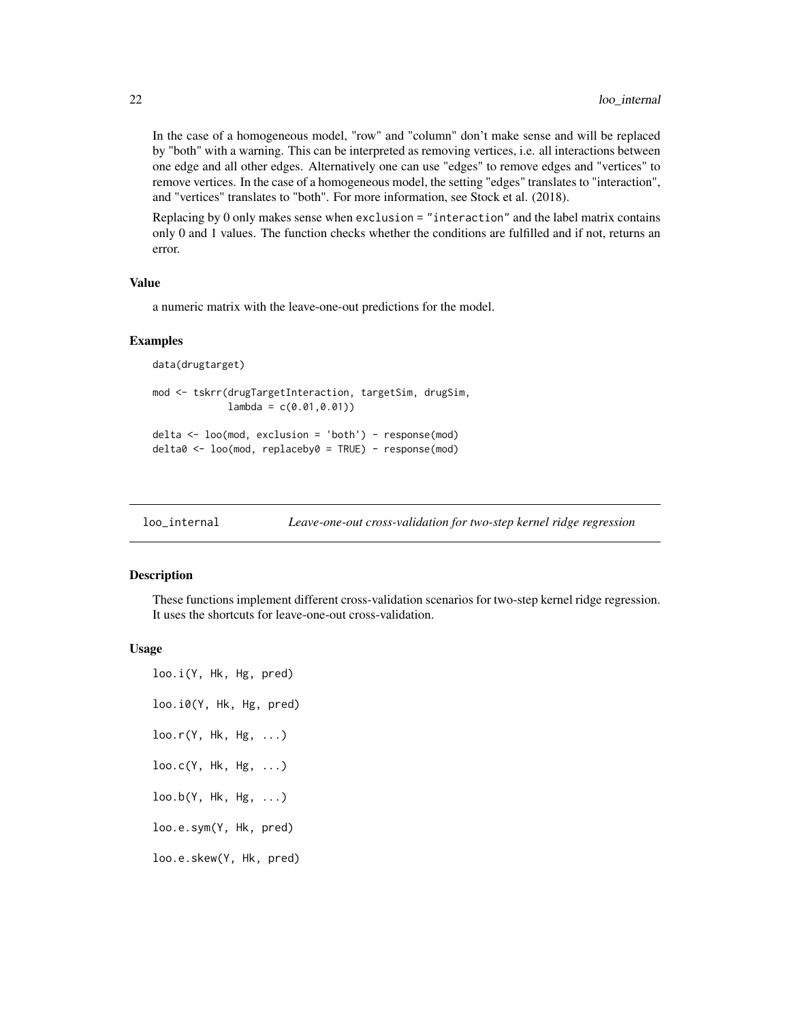In the case of a homogeneous model, "row" and "column" don't make sense and will be replaced by "both" with a warning. This can be interpreted as removing vertices, i.e. all interactions between one edge and all other edges. Alternatively one can use "edges" to remove edges and "vertices" to remove vertices. In the case of a homogeneous model, the setting "edges" translates to "interaction", and "vertices" translates to "both". For more information, see Stock et al. (2018).

Replacing by 0 only makes sense when exclusion = "interaction" and the label matrix contains only 0 and 1 values. The function checks whether the conditions are fulfilled and if not, returns an error.

#### Value

a numeric matrix with the leave-one-out predictions for the model.

# Examples

```
data(drugtarget)
mod <- tskrr(drugTargetInteraction, targetSim, drugSim,
             lambda = c(0.01, 0.01))delta <- loo(mod, exclusion = 'both') - response(mod)
delta0 <- loo(mod, replaceby0 = TRUE) - response(mod)
```
<span id="page-21-1"></span>

| loo_internal | Leave-one-out cross-validation for two-step kernel ridge regression |  |
|--------------|---------------------------------------------------------------------|--|
|              |                                                                     |  |

#### Description

These functions implement different cross-validation scenarios for two-step kernel ridge regression. It uses the shortcuts for leave-one-out cross-validation.

#### Usage

```
loo.i(Y, Hk, Hg, pred)
loo.i0(Y, Hk, Hg, pred)
loo.r(Y, Hk, Hg, ...)
loo.c(Y, Hk, Hg, ...)
\text{loo.b}(Y, Hk, Hg, \ldots)loo.e.sym(Y, Hk, pred)
loo.e.skew(Y, Hk, pred)
```
<span id="page-21-0"></span>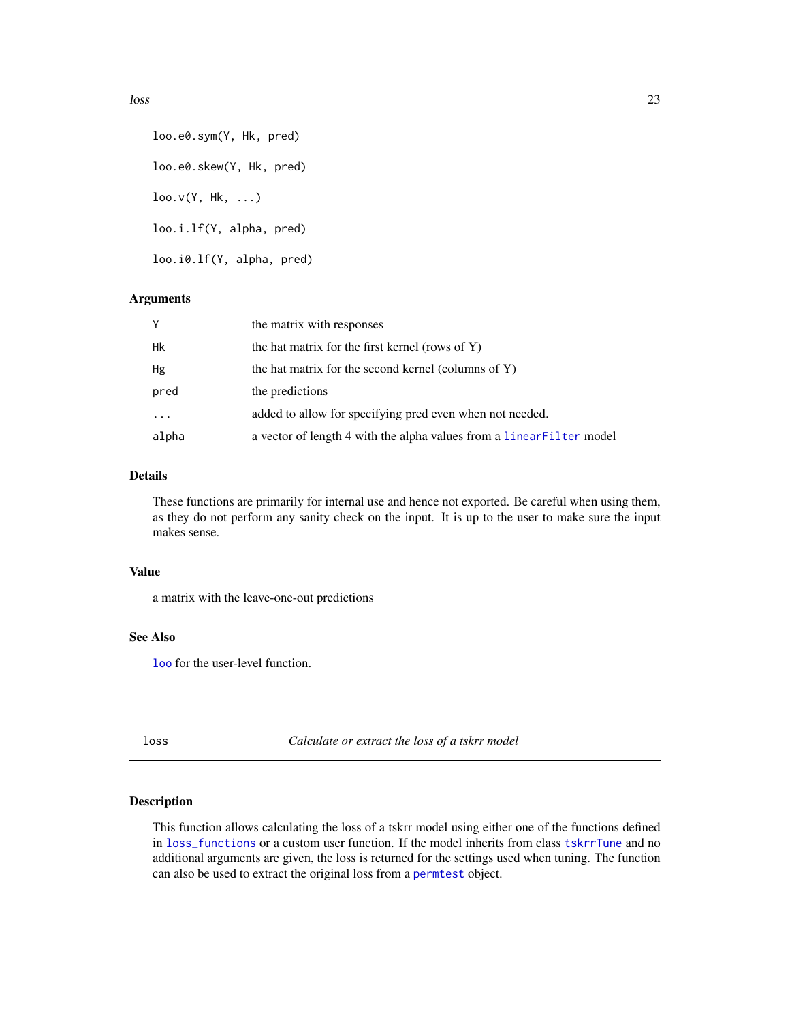loo.e0.sym(Y, Hk, pred) loo.e0.skew(Y, Hk, pred)  $\text{loo.v(Y, Hk, ...)}$ loo.i.lf(Y, alpha, pred) loo.i0.lf(Y, alpha, pred)

# Arguments

| Υ       | the matrix with responses                                             |
|---------|-----------------------------------------------------------------------|
| Hk      | the hat matrix for the first kernel (rows of $Y$ )                    |
| Hg      | the hat matrix for the second kernel (columns of $Y$ )                |
| pred    | the predictions                                                       |
| $\cdot$ | added to allow for specifying pred even when not needed.              |
| alpha   | a vector of length 4 with the alpha values from a linear Filter model |

# Details

These functions are primarily for internal use and hence not exported. Be careful when using them, as they do not perform any sanity check on the input. It is up to the user to make sure the input makes sense.

#### Value

a matrix with the leave-one-out predictions

# See Also

[loo](#page-20-1) for the user-level function.

<span id="page-22-1"></span>loss *Calculate or extract the loss of a tskrr model*

# Description

This function allows calculating the loss of a tskrr model using either one of the functions defined in [loss\\_functions](#page-24-1) or a custom user function. If the model inherits from class [tskrrTune](#page-46-1) and no additional arguments are given, the loss is returned for the settings used when tuning. The function can also be used to extract the original loss from a [permtest](#page-26-1) object.

<span id="page-22-0"></span> $\log$  23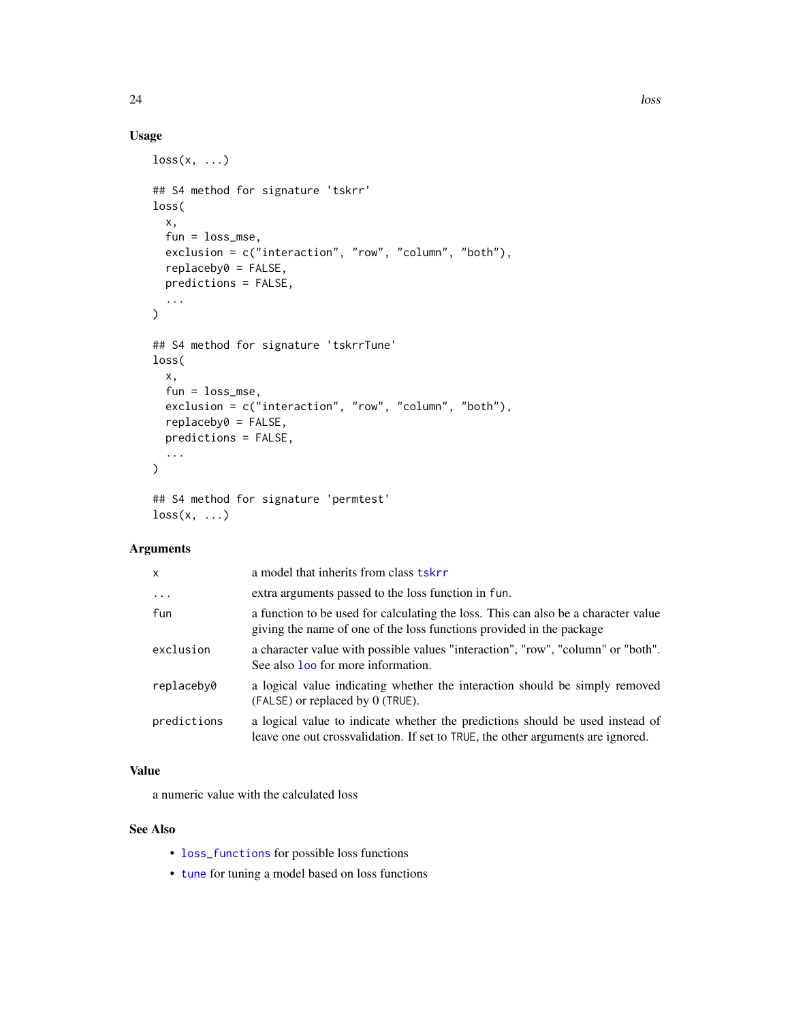# Usage

```
loss(x, \ldots)## S4 method for signature 'tskrr'
loss(
  x,
  fun = loss_mse,
  exclusion = c("interaction", "row", "column", "both"),
  replaceby0 = FALSE,
 predictions = FALSE,
  ...
)
## S4 method for signature 'tskrrTune'
loss(
 x,
 fun = loss_mse,
 exclusion = c("interaction", "row", "column", "both"),
  replaceby0 = FALSE,
 predictions = FALSE,
  ...
\mathcal{L}## S4 method for signature 'permtest'
```

```
loss(x, \ldots)
```
# Arguments

| x           | a model that inherits from class tskrr                                                                                                                           |
|-------------|------------------------------------------------------------------------------------------------------------------------------------------------------------------|
| $\cdots$    | extra arguments passed to the loss function in fun.                                                                                                              |
| fun         | a function to be used for calculating the loss. This can also be a character value<br>giving the name of one of the loss functions provided in the package       |
| exclusion   | a character value with possible values "interaction", "row", "column" or "both".<br>See also <b>loo</b> for more information.                                    |
| replacebv0  | a logical value indicating whether the interaction should be simply removed<br>(FALSE) or replaced by 0 (TRUE).                                                  |
| predictions | a logical value to indicate whether the predictions should be used instead of<br>leave one out crossvalidation. If set to TRUE, the other arguments are ignored. |
|             |                                                                                                                                                                  |

# Value

a numeric value with the calculated loss

# See Also

- [loss\\_functions](#page-24-1) for possible loss functions
- [tune](#page-47-1) for tuning a model based on loss functions

<span id="page-23-0"></span>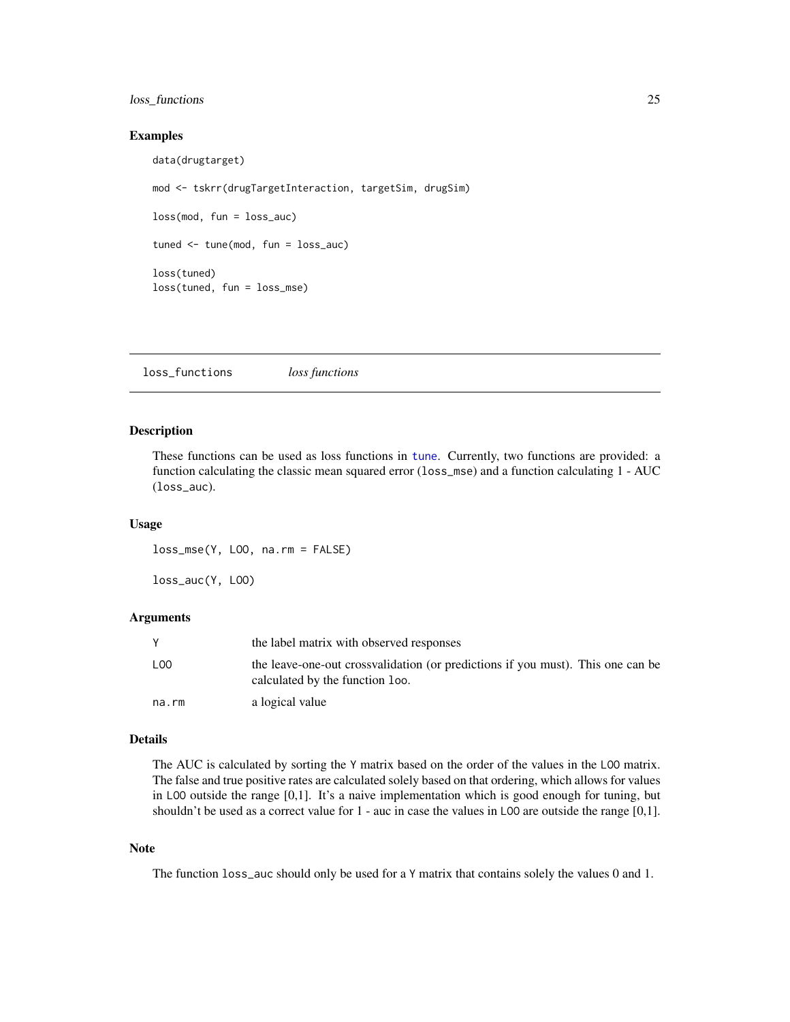# <span id="page-24-0"></span>loss\_functions 25

#### Examples

data(drugtarget) mod <- tskrr(drugTargetInteraction, targetSim, drugSim) loss(mod, fun = loss\_auc) tuned <- tune(mod, fun = loss\_auc) loss(tuned) loss(tuned, fun = loss\_mse)

<span id="page-24-1"></span>loss\_functions *loss functions*

#### Description

These functions can be used as loss functions in [tune](#page-47-1). Currently, two functions are provided: a function calculating the classic mean squared error (loss\_mse) and a function calculating 1 - AUC (loss\_auc).

#### Usage

loss\_mse(Y, LOO, na.rm = FALSE)

loss\_auc(Y, LOO)

# Arguments

|                 | the label matrix with observed responses                                                                           |
|-----------------|--------------------------------------------------------------------------------------------------------------------|
| L <sub>00</sub> | the leave-one-out crossvalidation (or predictions if you must). This one can be<br>calculated by the function loo. |
| na.rm           | a logical value                                                                                                    |

#### Details

The AUC is calculated by sorting the Y matrix based on the order of the values in the LOO matrix. The false and true positive rates are calculated solely based on that ordering, which allows for values in LOO outside the range [0,1]. It's a naive implementation which is good enough for tuning, but shouldn't be used as a correct value for 1 - auc in case the values in L00 are outside the range [0,1].

#### Note

The function loss\_auc should only be used for a Y matrix that contains solely the values 0 and 1.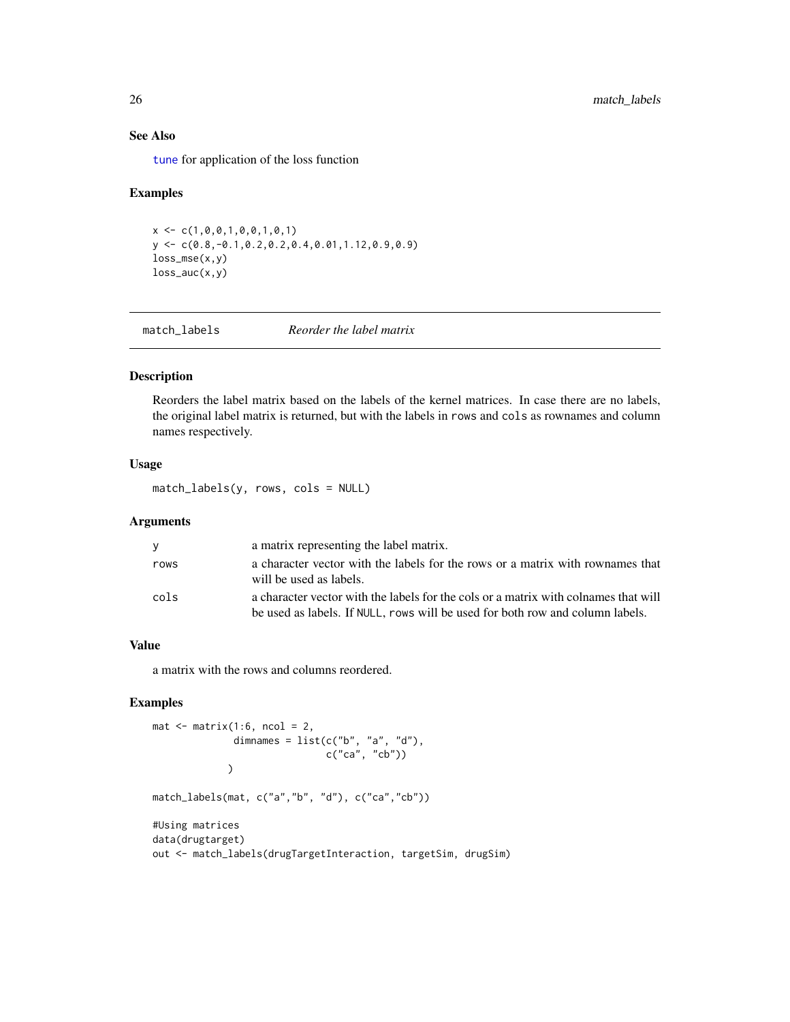# See Also

[tune](#page-47-1) for application of the loss function

#### Examples

```
x \leftarrow c(1, 0, 0, 1, 0, 0, 1, 0, 1)y \leftarrow c(0.8, -0.1, 0.2, 0.2, 0.4, 0.01, 1.12, 0.9, 0.9)loss_mse(x,y)
loss_auc(x,y)
```
match\_labels *Reorder the label matrix*

# Description

Reorders the label matrix based on the labels of the kernel matrices. In case there are no labels, the original label matrix is returned, but with the labels in rows and cols as rownames and column names respectively.

#### Usage

match\_labels(y, rows, cols = NULL)

#### Arguments

| V    | a matrix representing the label matrix.                                                                                                                              |
|------|----------------------------------------------------------------------------------------------------------------------------------------------------------------------|
| rows | a character vector with the labels for the rows or a matrix with rownames that<br>will be used as labels.                                                            |
| cols | a character vector with the labels for the cols or a matrix with colnames that will<br>be used as labels. If NULL, rows will be used for both row and column labels. |

# Value

a matrix with the rows and columns reordered.

# Examples

```
mat \leq matrix(1:6, ncol = 2,
               dimnames = list(c("b", "a", "d"),c("ca", "cb"))
             \lambdamatch_labels(mat, c("a","b", "d"), c("ca","cb"))
#Using matrices
data(drugtarget)
out <- match_labels(drugTargetInteraction, targetSim, drugSim)
```
<span id="page-25-0"></span>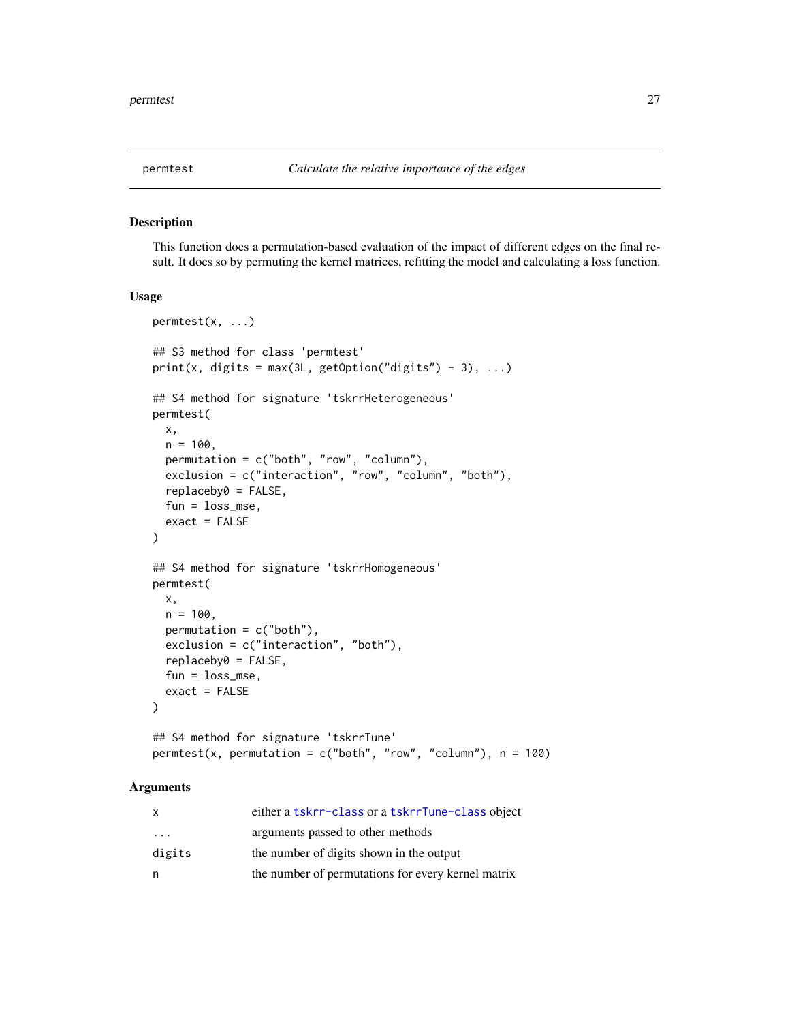<span id="page-26-1"></span><span id="page-26-0"></span>

#### Description

This function does a permutation-based evaluation of the impact of different edges on the final result. It does so by permuting the kernel matrices, refitting the model and calculating a loss function.

# Usage

```
permtest(x, ...)
## S3 method for class 'permtest'
print(x, digits = max(3L, getOption("digits") - 3), ...)## S4 method for signature 'tskrrHeterogeneous'
permtest(
 x,
 n = 100,
 permutation = c("both", "row", "column"),
 exclusion = c("interaction", "row", "column", "both"),
  replaceby0 = FALSE,
  fun = loss_mse,
  exact = FALSE)
## S4 method for signature 'tskrrHomogeneous'
permtest(
 x,
 n = 100,permutation = c("both"),exclusion = c("interaction", "both"),
  replaceby0 = FALSE,
  fun = loss_mse,
 exact = FALSE)
## S4 method for signature 'tskrrTune'
```
# permtest(x, permutation =  $c("both", "row", "column"), n = 100)$

# Arguments

| x                       | either a tskrr-class or a tskrrTune-class object   |
|-------------------------|----------------------------------------------------|
| $\cdot$ $\cdot$ $\cdot$ | arguments passed to other methods                  |
| digits                  | the number of digits shown in the output           |
| n                       | the number of permutations for every kernel matrix |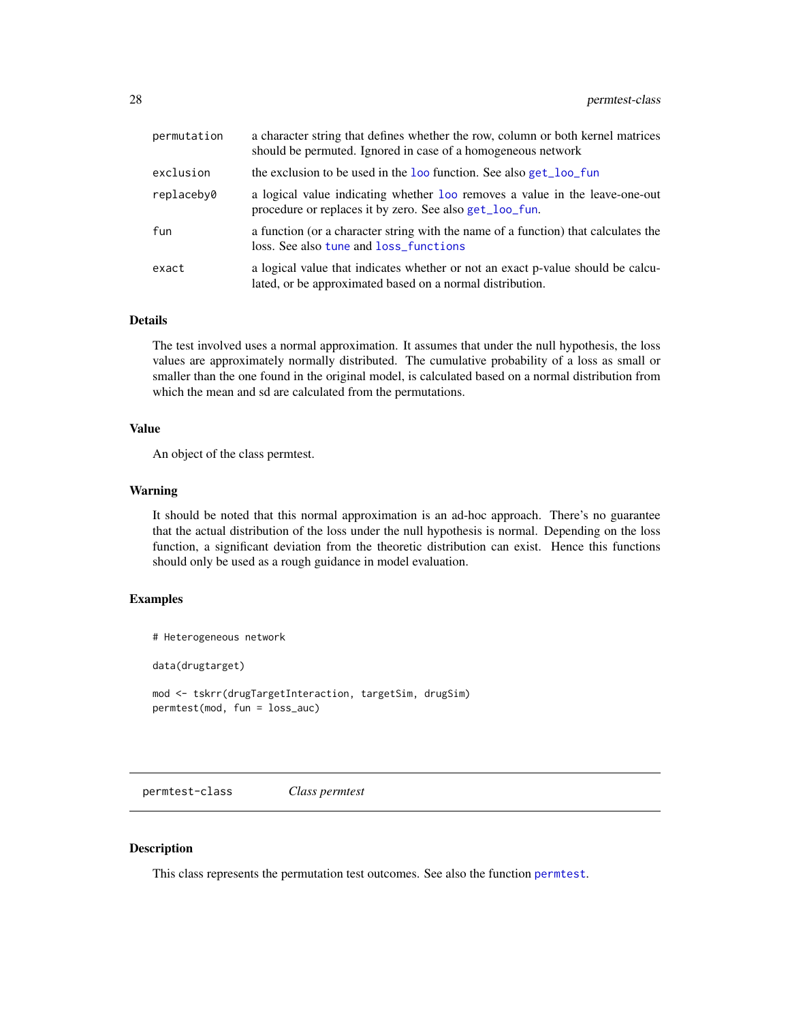<span id="page-27-0"></span>

| permutation | a character string that defines whether the row, column or both kernel matrices<br>should be permuted. Ignored in case of a homogeneous network |
|-------------|-------------------------------------------------------------------------------------------------------------------------------------------------|
| exclusion   | the exclusion to be used in the loo function. See also get_loo_fun                                                                              |
| replaceby0  | a logical value indicating whether loo removes a value in the leave-one-out<br>procedure or replaces it by zero. See also get_loo_fun.          |
| fun         | a function (or a character string with the name of a function) that calculates the<br>loss. See also tune and loss_functions                    |
| exact       | a logical value that indicates whether or not an exact p-value should be calcu-<br>lated, or be approximated based on a normal distribution.    |

#### Details

The test involved uses a normal approximation. It assumes that under the null hypothesis, the loss values are approximately normally distributed. The cumulative probability of a loss as small or smaller than the one found in the original model, is calculated based on a normal distribution from which the mean and sd are calculated from the permutations.

#### Value

An object of the class permtest.

#### Warning

It should be noted that this normal approximation is an ad-hoc approach. There's no guarantee that the actual distribution of the loss under the null hypothesis is normal. Depending on the loss function, a significant deviation from the theoretic distribution can exist. Hence this functions should only be used as a rough guidance in model evaluation.

#### Examples

```
# Heterogeneous network
data(drugtarget)
mod <- tskrr(drugTargetInteraction, targetSim, drugSim)
permtest(mod, fun = loss_auc)
```
permtest-class *Class permtest*

#### Description

This class represents the permutation test outcomes. See also the function [permtest](#page-26-1).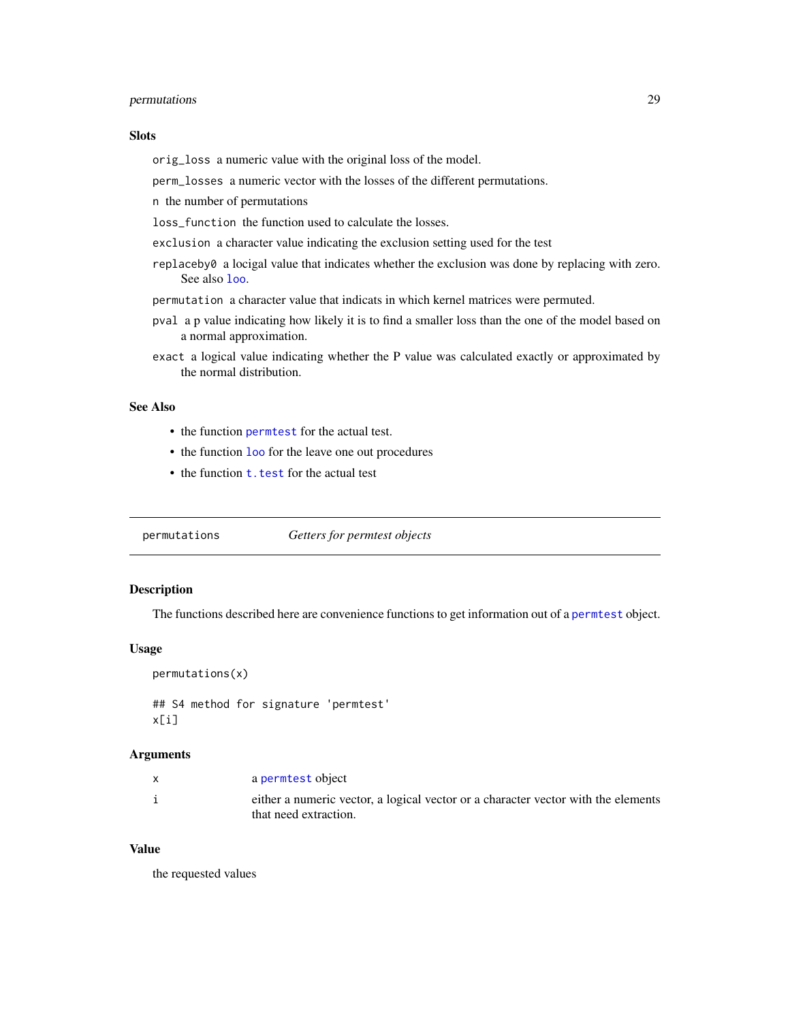# <span id="page-28-0"></span>permutations 29

#### Slots

orig\_loss a numeric value with the original loss of the model.

perm\_losses a numeric vector with the losses of the different permutations.

n the number of permutations

loss function the function used to calculate the losses.

exclusion a character value indicating the exclusion setting used for the test

- replaceby0 a locigal value that indicates whether the exclusion was done by replacing with zero. See also [loo](#page-20-1).
- permutation a character value that indicats in which kernel matrices were permuted.
- pval a p value indicating how likely it is to find a smaller loss than the one of the model based on a normal approximation.
- exact a logical value indicating whether the P value was calculated exactly or approximated by the normal distribution.

# See Also

- the function [permtest](#page-26-1) for the actual test.
- the function [loo](#page-20-1) for the leave one out procedures
- the function **t**. test for the actual test

permutations *Getters for permtest objects*

# Description

The functions described here are convenience functions to get information out of a [permtest](#page-26-1) object.

#### Usage

```
permutations(x)
```
## S4 method for signature 'permtest' x[i]

#### Arguments

| X | a permtest object                                                                                          |
|---|------------------------------------------------------------------------------------------------------------|
|   | either a numeric vector, a logical vector or a character vector with the elements<br>that need extraction. |

# Value

the requested values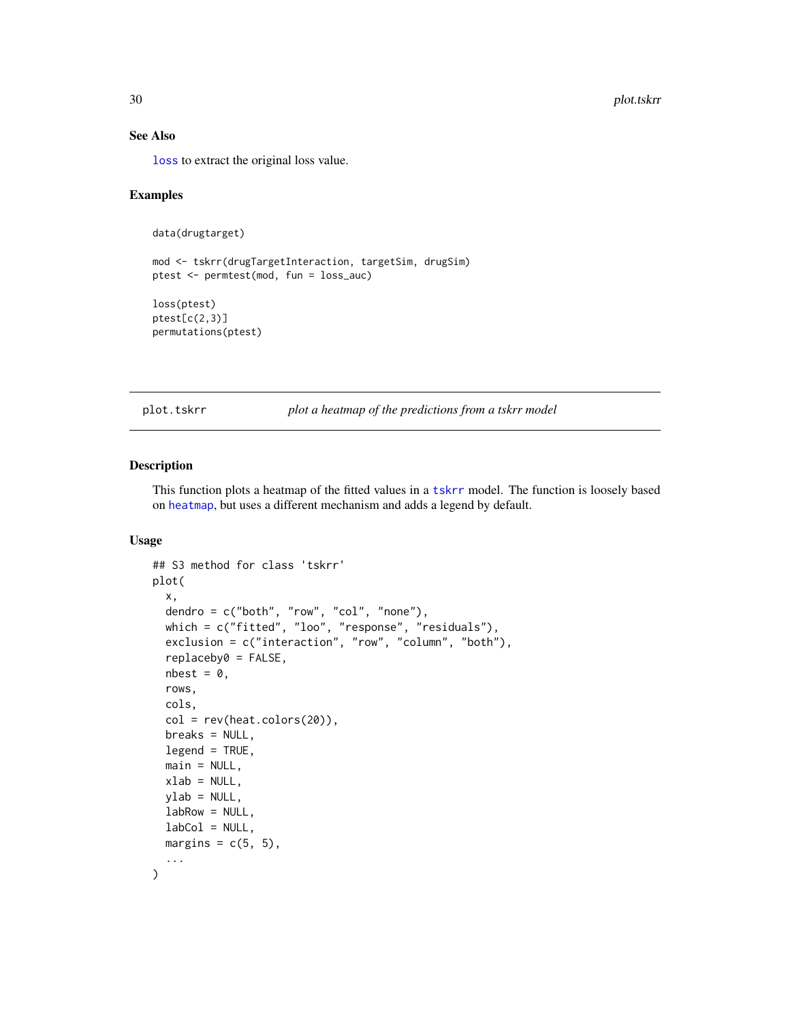# See Also

[loss](#page-22-1) to extract the original loss value.

# Examples

```
data(drugtarget)
```

```
mod <- tskrr(drugTargetInteraction, targetSim, drugSim)
ptest <- permtest(mod, fun = loss_auc)
```
loss(ptest) ptest[c(2,3)] permutations(ptest)

plot.tskrr *plot a heatmap of the predictions from a tskrr model*

#### Description

This function plots a heatmap of the fitted values in a [tskrr](#page-40-1) model. The function is loosely based on [heatmap](#page-0-0), but uses a different mechanism and adds a legend by default.

#### Usage

```
## S3 method for class 'tskrr'
plot(
 x,
 dendro = c("both", "row", "col", "none"),which = c("fitted", "loo", "response", "residuals"),
 exclusion = c("interaction", "row", "column", "both"),
  replaceby0 = FALSE,
 nbest = 0,
 rows,
 cols,
 col = rev(head.colors(20)),breaks = NULL,legend = TRUE,
 main = NULL,xlab = NULL,vlab = NULL,labRow = NULL,
 labCol = NULL,margins = c(5, 5),
  ...
)
```
<span id="page-29-0"></span>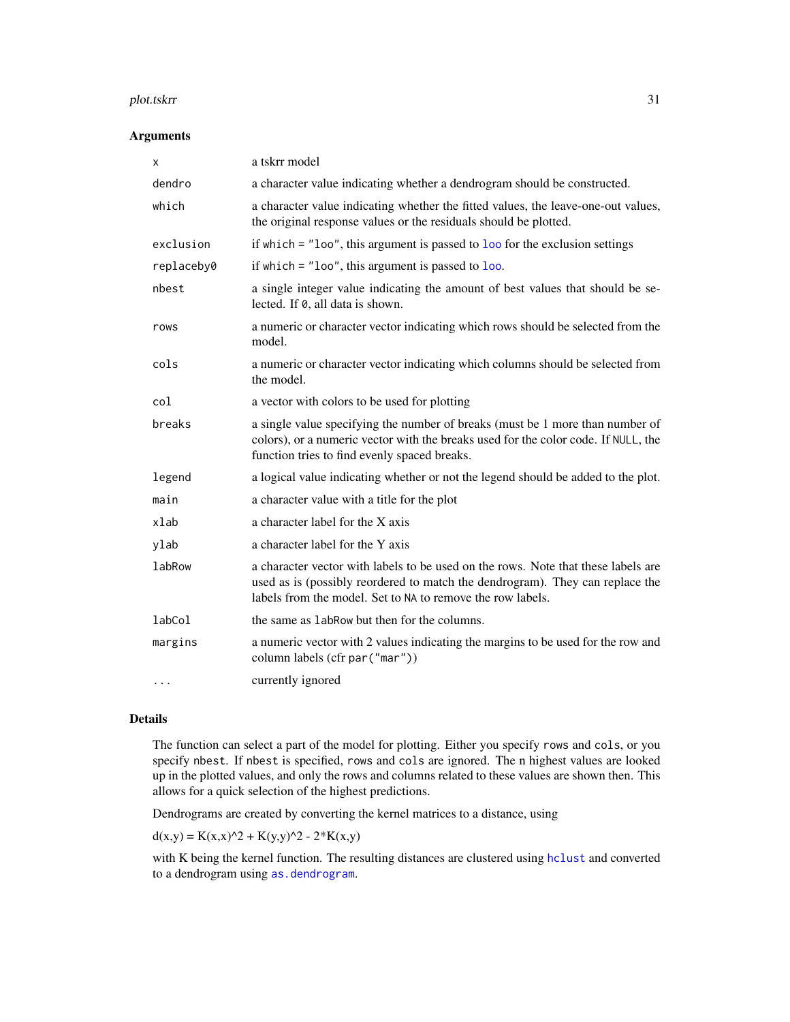#### <span id="page-30-0"></span>plot.tskrr 31

#### Arguments

| х             | a tskrr model                                                                                                                                                                                                                    |  |
|---------------|----------------------------------------------------------------------------------------------------------------------------------------------------------------------------------------------------------------------------------|--|
| dendro        | a character value indicating whether a dendrogram should be constructed.                                                                                                                                                         |  |
| which         | a character value indicating whether the fitted values, the leave-one-out values,<br>the original response values or the residuals should be plotted.                                                                            |  |
| exclusion     | if which $=$ "loo", this argument is passed to loo for the exclusion settings                                                                                                                                                    |  |
| replaceby0    | if which $=$ "loo", this argument is passed to loo.                                                                                                                                                                              |  |
| nbest         | a single integer value indicating the amount of best values that should be se-<br>lected. If 0, all data is shown.                                                                                                               |  |
| rows          | a numeric or character vector indicating which rows should be selected from the<br>model.                                                                                                                                        |  |
| cols          | a numeric or character vector indicating which columns should be selected from<br>the model.                                                                                                                                     |  |
| col           | a vector with colors to be used for plotting                                                                                                                                                                                     |  |
| breaks        | a single value specifying the number of breaks (must be 1 more than number of<br>colors), or a numeric vector with the breaks used for the color code. If NULL, the<br>function tries to find evenly spaced breaks.              |  |
| legend        | a logical value indicating whether or not the legend should be added to the plot.                                                                                                                                                |  |
| main          | a character value with a title for the plot                                                                                                                                                                                      |  |
| xlab          | a character label for the X axis                                                                                                                                                                                                 |  |
| ylab          | a character label for the Y axis                                                                                                                                                                                                 |  |
| <b>labRow</b> | a character vector with labels to be used on the rows. Note that these labels are<br>used as is (possibly reordered to match the dendrogram). They can replace the<br>labels from the model. Set to NA to remove the row labels. |  |
| labCol        | the same as 1 abRow but then for the columns.                                                                                                                                                                                    |  |
| margins       | a numeric vector with 2 values indicating the margins to be used for the row and<br>column labels (cfr par ("mar"))                                                                                                              |  |
| $\cdots$      | currently ignored                                                                                                                                                                                                                |  |

# Details

The function can select a part of the model for plotting. Either you specify rows and cols, or you specify nbest. If nbest is specified, rows and cols are ignored. The n highest values are looked up in the plotted values, and only the rows and columns related to these values are shown then. This allows for a quick selection of the highest predictions.

Dendrograms are created by converting the kernel matrices to a distance, using

 $d(x,y) = K(x,x)^2 + K(y,y)^2 - 2*K(x,y)$ 

with K being the kernel function. The resulting distances are clustered using [hclust](#page-0-0) and converted to a dendrogram using [as.dendrogram](#page-0-0).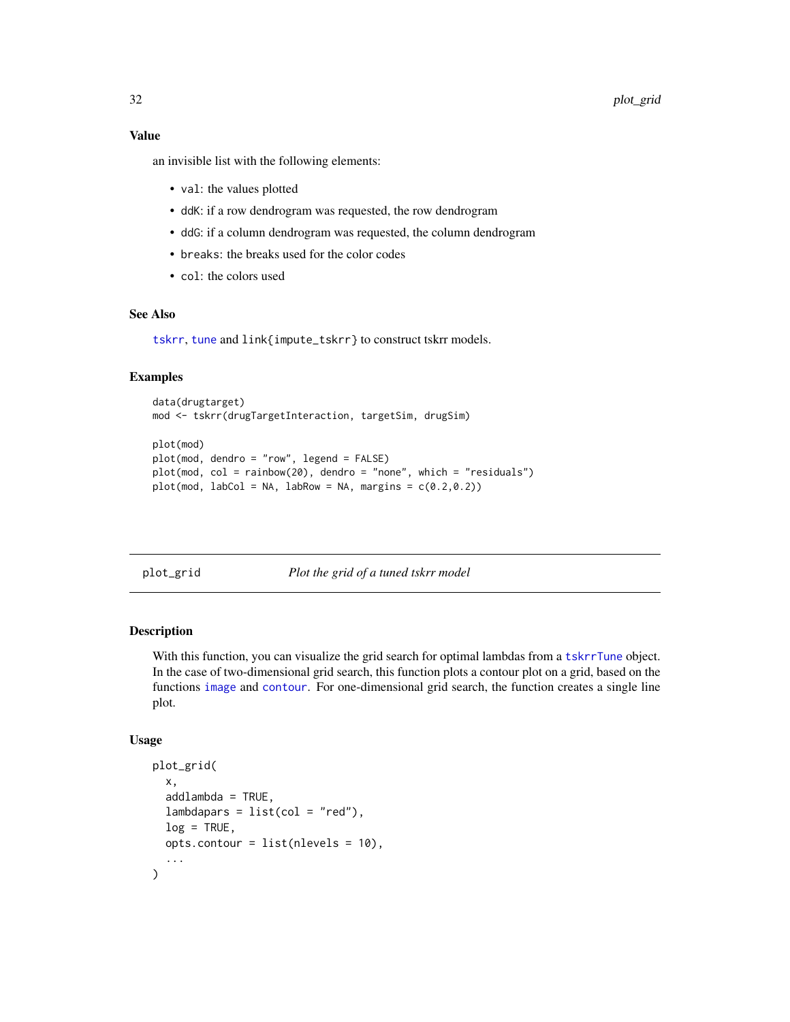# <span id="page-31-0"></span>Value

an invisible list with the following elements:

- val: the values plotted
- ddK: if a row dendrogram was requested, the row dendrogram
- ddG: if a column dendrogram was requested, the column dendrogram
- breaks: the breaks used for the color codes
- col: the colors used

# See Also

[tskrr](#page-40-1), [tune](#page-47-1) and link{impute\_tskrr} to construct tskrr models.

#### Examples

```
data(drugtarget)
mod <- tskrr(drugTargetInteraction, targetSim, drugSim)
plot(mod)
```

```
plot(mod, dendro = "row", legend = FALSE)
plot(mod, col = rainbow(20), dendro = "none", which = "residuals")
plot(mod, labCol = NA, labRow = NA, margins = c(0.2,0.2))
```
plot\_grid *Plot the grid of a tuned tskrr model*

# Description

With this function, you can visualize the grid search for optimal lambdas from a [tskrrTune](#page-46-1) object. In the case of two-dimensional grid search, this function plots a contour plot on a grid, based on the functions [image](#page-0-0) and [contour](#page-0-0). For one-dimensional grid search, the function creates a single line plot.

#### Usage

```
plot_grid(
  x,
  addlambda = TRUE,lambdapers = list(col = "red"),log = TRUE,
 opts.contour = list(nlevels = 10),
  ...
)
```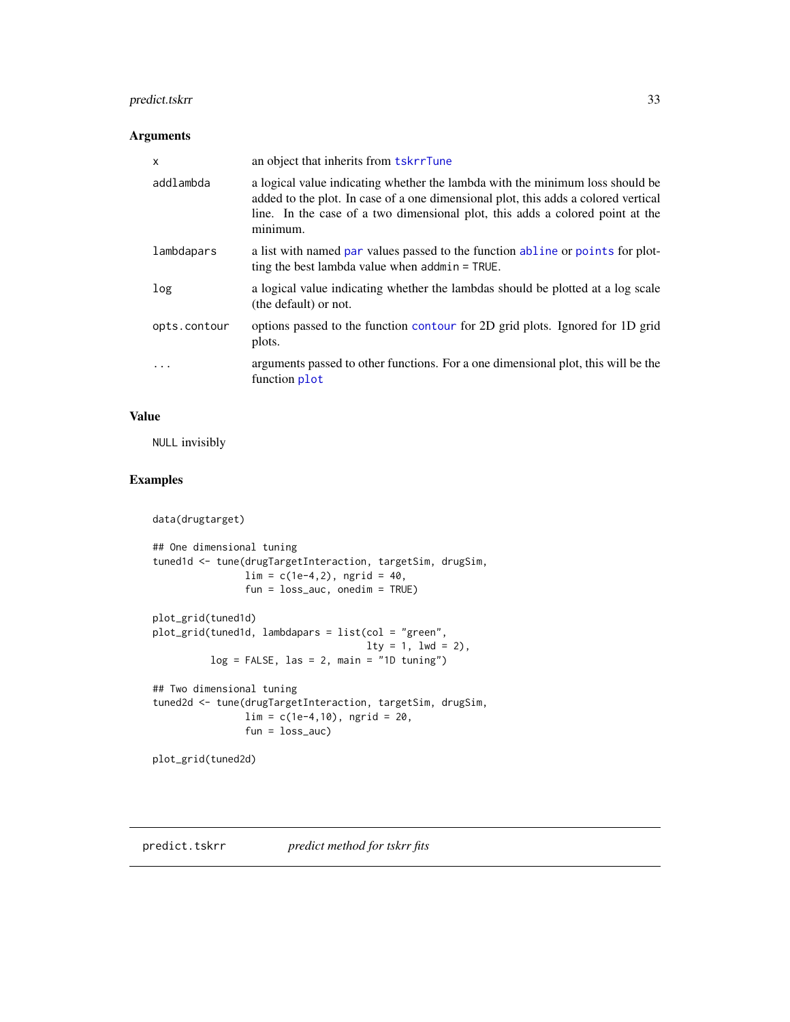# <span id="page-32-0"></span>predict.tskrr 33

# Arguments

| $\mathsf{x}$ | an object that inherits from <b>tskrrTune</b>                                                                                                                                                                                                                    |
|--------------|------------------------------------------------------------------------------------------------------------------------------------------------------------------------------------------------------------------------------------------------------------------|
| addlambda    | a logical value indicating whether the lambda with the minimum loss should be<br>added to the plot. In case of a one dimensional plot, this adds a colored vertical<br>line. In the case of a two dimensional plot, this adds a colored point at the<br>minimum. |
| lambdapars   | a list with named par values passed to the function abline or points for plot-<br>ting the best lambda value when $addmin = TRUE$ .                                                                                                                              |
| log          | a logical value indicating whether the lambdas should be plotted at a log scale<br>(the default) or not.                                                                                                                                                         |
| opts.contour | options passed to the function contour for 2D grid plots. Ignored for 1D grid<br>plots.                                                                                                                                                                          |
| $\ddots$ .   | arguments passed to other functions. For a one dimensional plot, this will be the<br>function plot                                                                                                                                                               |

# Value

NULL invisibly

# Examples

```
data(drugtarget)
```

```
## One dimensional tuning
tuned1d <- tune(drugTargetInteraction, targetSim, drugSim,
               \lim = c(1e-4, 2), ngrid = 40,
                fun = loss_auc, onedim = TRUE)
plot_grid(tuned1d)
plot_grid(tuned1d, lambdapars = list(col = "green",
                                     lty = 1, lwd = 2),log = FALSE, las = 2, main = "1D tuning")## Two dimensional tuning
tuned2d <- tune(drugTargetInteraction, targetSim, drugSim,
               lim = c(1e-4,10), ngrid = 20,
               fun = loss_auc)
```
plot\_grid(tuned2d)

predict.tskrr *predict method for tskrr fits*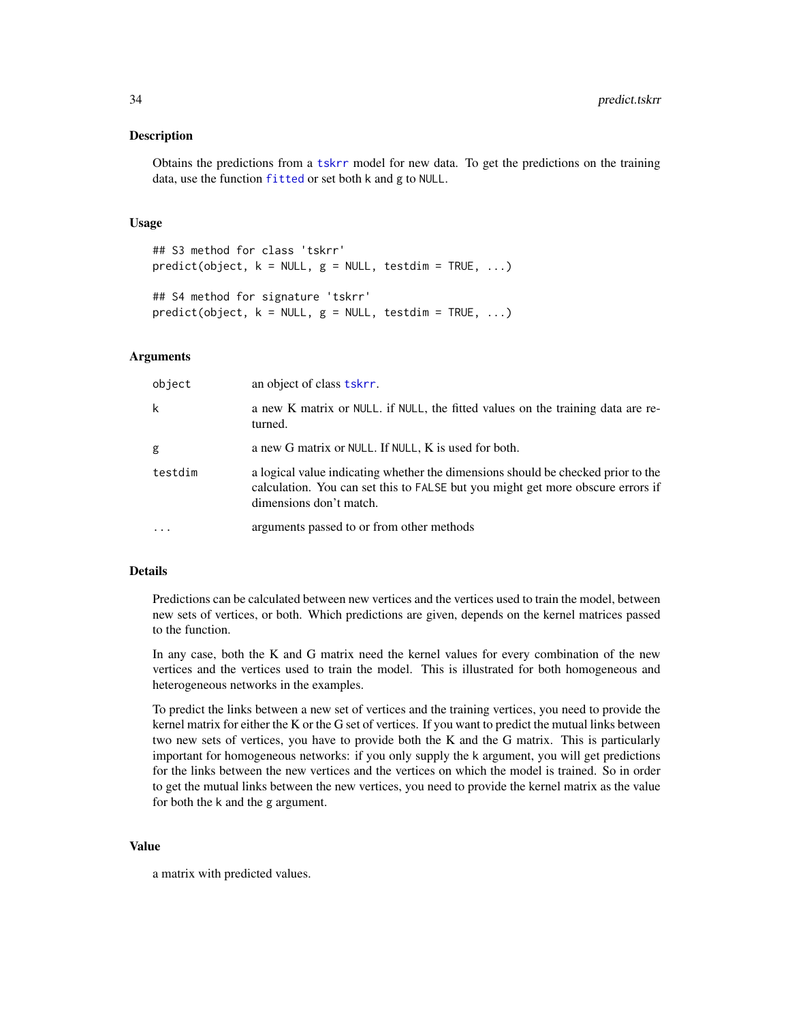#### <span id="page-33-0"></span>Description

Obtains the predictions from a [tskrr](#page-40-1) model for new data. To get the predictions on the training data, use the function [fitted](#page-0-0) or set both k and g to NULL.

#### Usage

```
## S3 method for class 'tskrr'
predict(object, k = NULL, g = NULL, testdim = TRUE, ...)## S4 method for signature 'tskrr'
predict(object, k = NULL, g = NULL, testdim = TRUE, ...)
```
#### Arguments

| object    | an object of class tskrr.                                                                                                                                                                      |
|-----------|------------------------------------------------------------------------------------------------------------------------------------------------------------------------------------------------|
| k         | a new K matrix or NULL. if NULL, the fitted values on the training data are re-<br>turned.                                                                                                     |
| g         | a new G matrix or NULL. If NULL, K is used for both.                                                                                                                                           |
| testdim   | a logical value indicating whether the dimensions should be checked prior to the<br>calculation. You can set this to FALSE but you might get more obscure errors if<br>dimensions don't match. |
| $\ddotsc$ | arguments passed to or from other methods                                                                                                                                                      |

#### Details

Predictions can be calculated between new vertices and the vertices used to train the model, between new sets of vertices, or both. Which predictions are given, depends on the kernel matrices passed to the function.

In any case, both the K and G matrix need the kernel values for every combination of the new vertices and the vertices used to train the model. This is illustrated for both homogeneous and heterogeneous networks in the examples.

To predict the links between a new set of vertices and the training vertices, you need to provide the kernel matrix for either the K or the G set of vertices. If you want to predict the mutual links between two new sets of vertices, you have to provide both the K and the G matrix. This is particularly important for homogeneous networks: if you only supply the k argument, you will get predictions for the links between the new vertices and the vertices on which the model is trained. So in order to get the mutual links between the new vertices, you need to provide the kernel matrix as the value for both the k and the g argument.

# Value

a matrix with predicted values.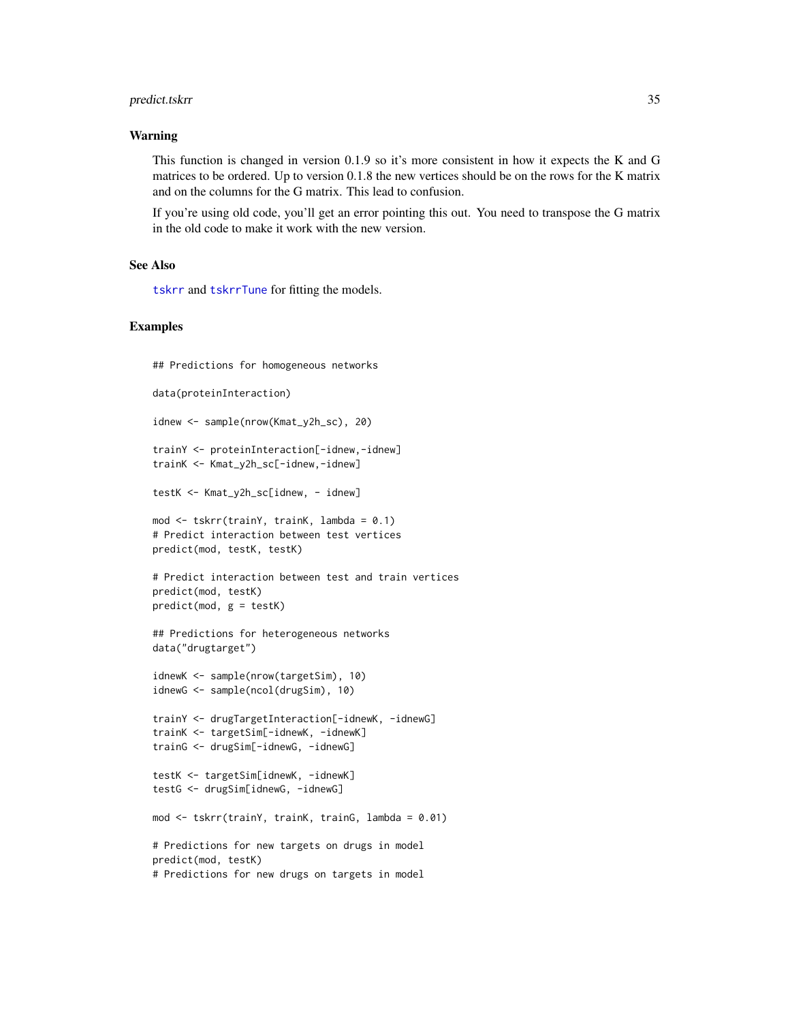# <span id="page-34-0"></span>predict.tskrr 35

#### Warning

This function is changed in version 0.1.9 so it's more consistent in how it expects the K and G matrices to be ordered. Up to version 0.1.8 the new vertices should be on the rows for the K matrix and on the columns for the G matrix. This lead to confusion.

If you're using old code, you'll get an error pointing this out. You need to transpose the G matrix in the old code to make it work with the new version.

#### See Also

[tskrr](#page-40-1) and [tskrrTune](#page-46-1) for fitting the models.

# Examples

```
## Predictions for homogeneous networks
data(proteinInteraction)
idnew <- sample(nrow(Kmat_y2h_sc), 20)
trainY <- proteinInteraction[-idnew,-idnew]
trainK <- Kmat_y2h_sc[-idnew,-idnew]
testK <- Kmat_y2h_sc[idnew, - idnew]
mod <- tskrr(trainY, trainK, lambda = 0.1)
# Predict interaction between test vertices
predict(mod, testK, testK)
# Predict interaction between test and train vertices
predict(mod, testK)
predict(mod, g = testK)## Predictions for heterogeneous networks
data("drugtarget")
idnewK <- sample(nrow(targetSim), 10)
idnewG <- sample(ncol(drugSim), 10)
```

```
trainY <- drugTargetInteraction[-idnewK, -idnewG]
trainK <- targetSim[-idnewK, -idnewK]
trainG <- drugSim[-idnewG, -idnewG]
```

```
testK <- targetSim[idnewK, -idnewK]
testG <- drugSim[idnewG, -idnewG]
```
mod <- tskrr(trainY, trainK, trainG, lambda = 0.01)

```
# Predictions for new targets on drugs in model
predict(mod, testK)
# Predictions for new drugs on targets in model
```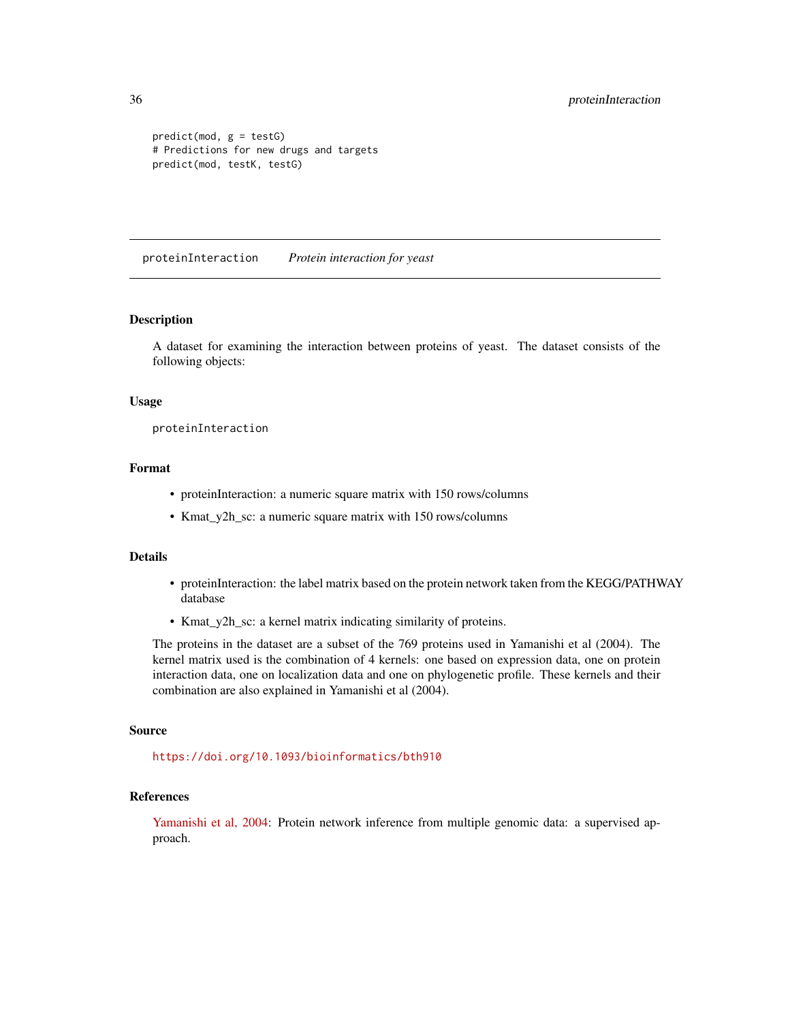```
predict(mod, g = testG)# Predictions for new drugs and targets
predict(mod, testK, testG)
```
proteinInteraction *Protein interaction for yeast*

# Description

A dataset for examining the interaction between proteins of yeast. The dataset consists of the following objects:

#### Usage

proteinInteraction

# Format

- proteinInteraction: a numeric square matrix with 150 rows/columns
- Kmat\_y2h\_sc: a numeric square matrix with 150 rows/columns

# Details

- proteinInteraction: the label matrix based on the protein network taken from the KEGG/PATHWAY database
- Kmat\_y2h\_sc: a kernel matrix indicating similarity of proteins.

The proteins in the dataset are a subset of the 769 proteins used in Yamanishi et al (2004). The kernel matrix used is the combination of 4 kernels: one based on expression data, one on protein interaction data, one on localization data and one on phylogenetic profile. These kernels and their combination are also explained in Yamanishi et al (2004).

# Source

<https://doi.org/10.1093/bioinformatics/bth910>

# References

[Yamanishi et al, 2004:](https://doi.org/10.1093/bioinformatics/bth910) Protein network inference from multiple genomic data: a supervised approach.

<span id="page-35-0"></span>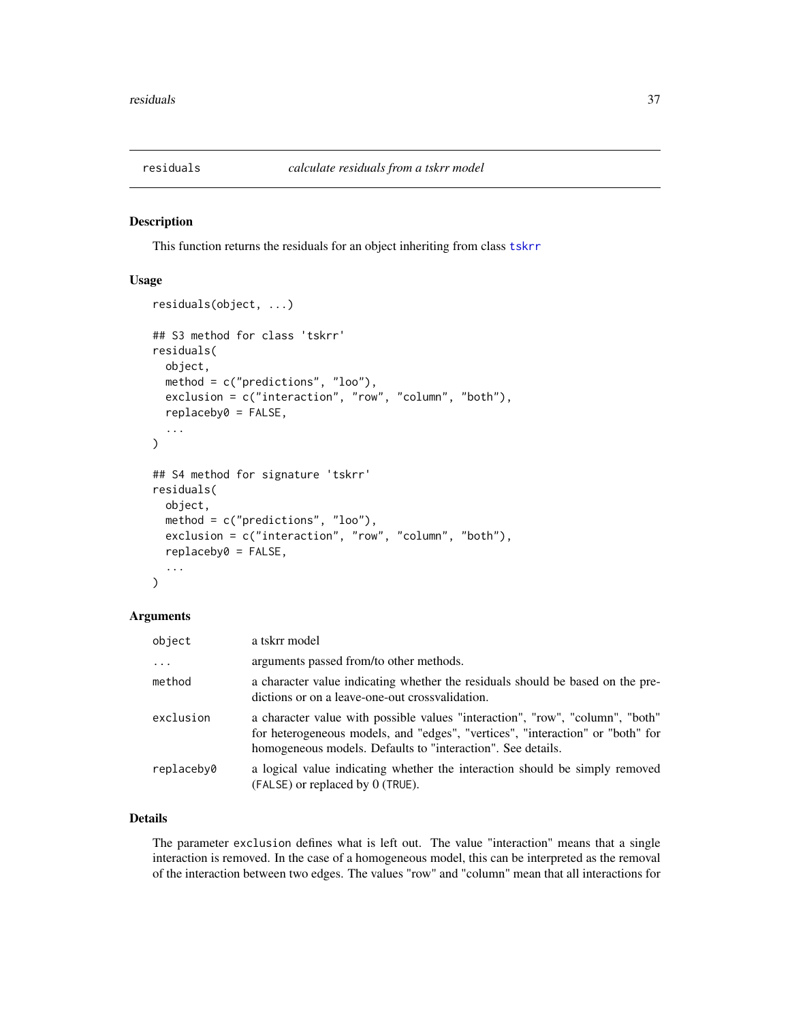<span id="page-36-0"></span>

# Description

This function returns the residuals for an object inheriting from class [tskrr](#page-40-1)

#### Usage

```
residuals(object, ...)
## S3 method for class 'tskrr'
residuals(
 object,
 method = c("predictions", "loo"),
 exclusion = c("interaction", "row", "column", "both"),
  replaceby0 = FALSE,
  ...
)
## S4 method for signature 'tskrr'
residuals(
 object,
 method = c("predictions", "loo"),
 exclusion = c("interaction", "row", "column", "both"),
  replaceby0 = FALSE,
  ...
)
```
# Arguments

| object     | a tskrr model                                                                                                                                                                                                                  |  |
|------------|--------------------------------------------------------------------------------------------------------------------------------------------------------------------------------------------------------------------------------|--|
| $\ddots$ . | arguments passed from/to other methods.                                                                                                                                                                                        |  |
| method     | a character value indicating whether the residuals should be based on the pre-<br>dictions or on a leave-one-out cross validation.                                                                                             |  |
| exclusion  | a character value with possible values "interaction", "row", "column", "both"<br>for heterogeneous models, and "edges", "vertices", "interaction" or "both" for<br>homogeneous models. Defaults to "interaction". See details. |  |
| replaceby0 | a logical value indicating whether the interaction should be simply removed<br>(FALSE) or replaced by 0 (TRUE).                                                                                                                |  |

# Details

The parameter exclusion defines what is left out. The value "interaction" means that a single interaction is removed. In the case of a homogeneous model, this can be interpreted as the removal of the interaction between two edges. The values "row" and "column" mean that all interactions for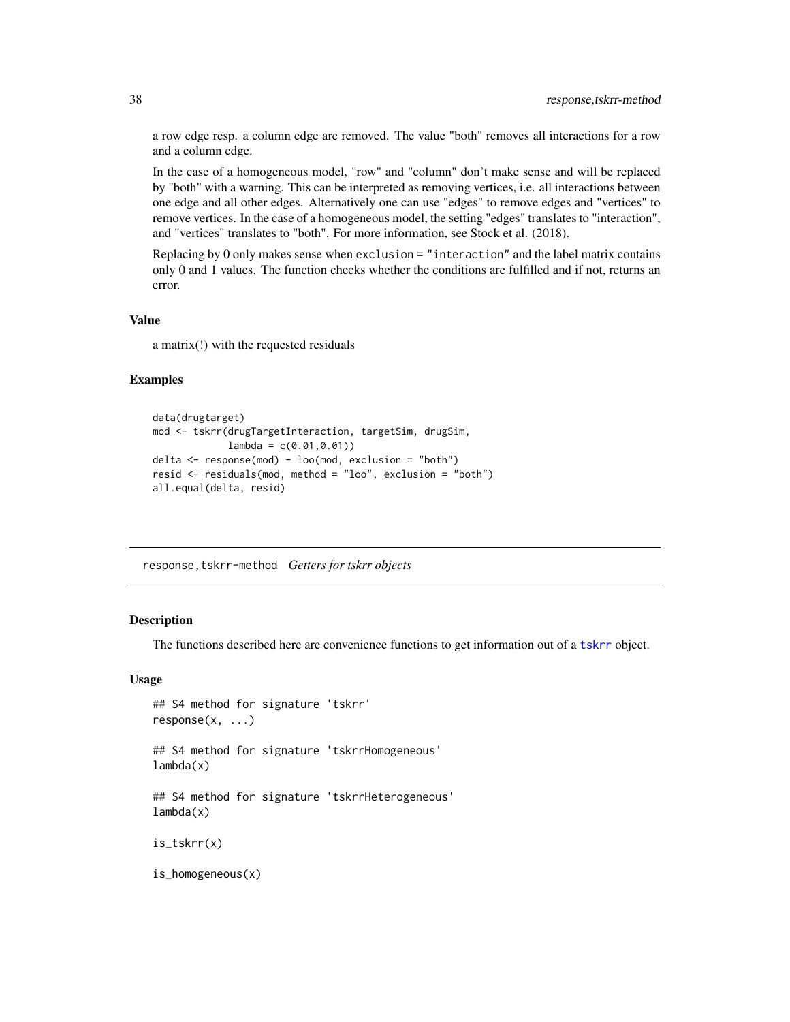a row edge resp. a column edge are removed. The value "both" removes all interactions for a row and a column edge.

In the case of a homogeneous model, "row" and "column" don't make sense and will be replaced by "both" with a warning. This can be interpreted as removing vertices, i.e. all interactions between one edge and all other edges. Alternatively one can use "edges" to remove edges and "vertices" to remove vertices. In the case of a homogeneous model, the setting "edges" translates to "interaction", and "vertices" translates to "both". For more information, see Stock et al. (2018).

Replacing by 0 only makes sense when exclusion = "interaction" and the label matrix contains only 0 and 1 values. The function checks whether the conditions are fulfilled and if not, returns an error.

#### Value

a matrix(!) with the requested residuals

#### Examples

```
data(drugtarget)
mod <- tskrr(drugTargetInteraction, targetSim, drugSim,
             lambda = c(0.01, 0.01))delta \leq response(mod) - loo(mod, exclusion = "both")
resid <- residuals(mod, method = "loo", exclusion = "both")
all.equal(delta, resid)
```
response,tskrr-method *Getters for tskrr objects*

# <span id="page-37-1"></span>**Description**

The functions described here are convenience functions to get information out of a [tskrr](#page-40-1) object.

#### Usage

```
## S4 method for signature 'tskrr'
response(x, ...)
## S4 method for signature 'tskrrHomogeneous'
lambda(x)
## S4 method for signature 'tskrrHeterogeneous'
lambda(x)
is_tskrr(x)
is_homogeneous(x)
```
<span id="page-37-0"></span>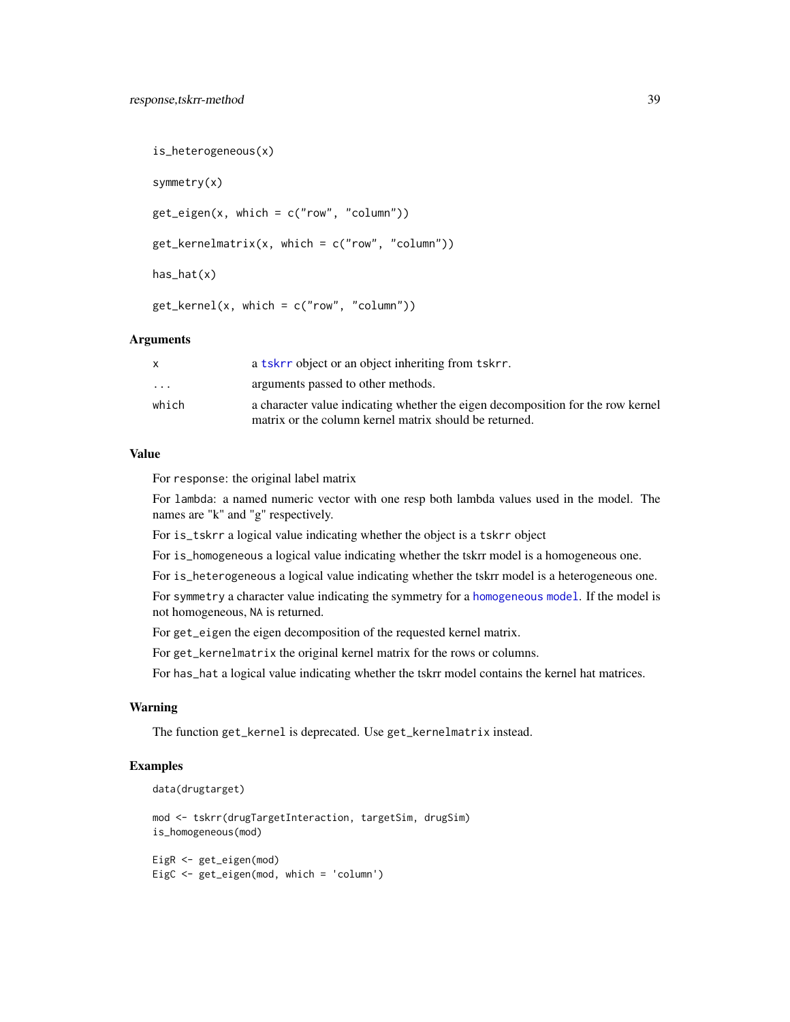```
is_heterogeneous(x)
symmetry(x)
get\_eigen(x, which = c("row", "column"))get_{\text{kernelmatrix}(x, \text{ which = } c("row", "column"))has_hat(x)
get_{\text{general}(x, \text{ which = c("row", "column"))}
```
# Arguments

|                         | a tskrr object or an object inheriting from tskrr.                              |
|-------------------------|---------------------------------------------------------------------------------|
| $\cdot$ $\cdot$ $\cdot$ | arguments passed to other methods.                                              |
| which                   | a character value indicating whether the eigen decomposition for the row kernel |
|                         | matrix or the column kernel matrix should be returned.                          |

# Value

For response: the original label matrix

For lambda: a named numeric vector with one resp both lambda values used in the model. The names are "k" and "g" respectively.

For is\_tskrr a logical value indicating whether the object is a tskrr object

For is\_homogeneous a logical value indicating whether the tskrr model is a homogeneous one.

For is\_heterogeneous a logical value indicating whether the tskrr model is a heterogeneous one.

For symmetry a character value indicating the symmetry for a [homogeneous model](#page-0-0). If the model is not homogeneous, NA is returned.

For get\_eigen the eigen decomposition of the requested kernel matrix.

For get\_kernelmatrix the original kernel matrix for the rows or columns.

For has\_hat a logical value indicating whether the tskrr model contains the kernel hat matrices.

# Warning

The function get\_kernel is deprecated. Use get\_kernelmatrix instead.

# Examples

```
data(drugtarget)
```
mod <- tskrr(drugTargetInteraction, targetSim, drugSim) is\_homogeneous(mod)

EigR <- get\_eigen(mod) EigC <- get\_eigen(mod, which = 'column')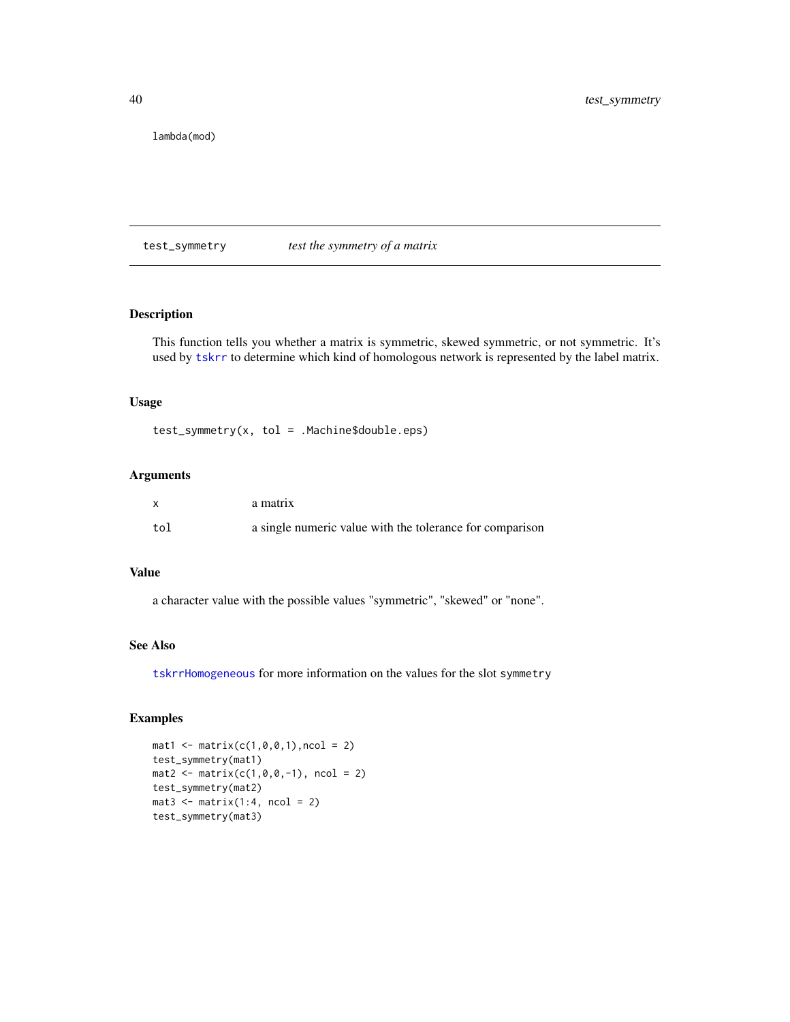<span id="page-39-0"></span>lambda(mod)

test\_symmetry *test the symmetry of a matrix*

# Description

This function tells you whether a matrix is symmetric, skewed symmetric, or not symmetric. It's used by [tskrr](#page-40-1) to determine which kind of homologous network is represented by the label matrix.

#### Usage

test\_symmetry(x, tol = .Machine\$double.eps)

# Arguments

|     | a matrix                                                 |
|-----|----------------------------------------------------------|
| tol | a single numeric value with the tolerance for comparison |

#### Value

a character value with the possible values "symmetric", "skewed" or "none".

#### See Also

[tskrrHomogeneous](#page-44-1) for more information on the values for the slot symmetry

# Examples

```
mat1 < - matrix(c(1, 0, 0, 1), ncol = 2)test_symmetry(mat1)
mat2 < - matrix(c(1, 0, 0, -1), ncol = 2)test_symmetry(mat2)
mat3 \leftarrow matrix(1:4, ncol = 2)test_symmetry(mat3)
```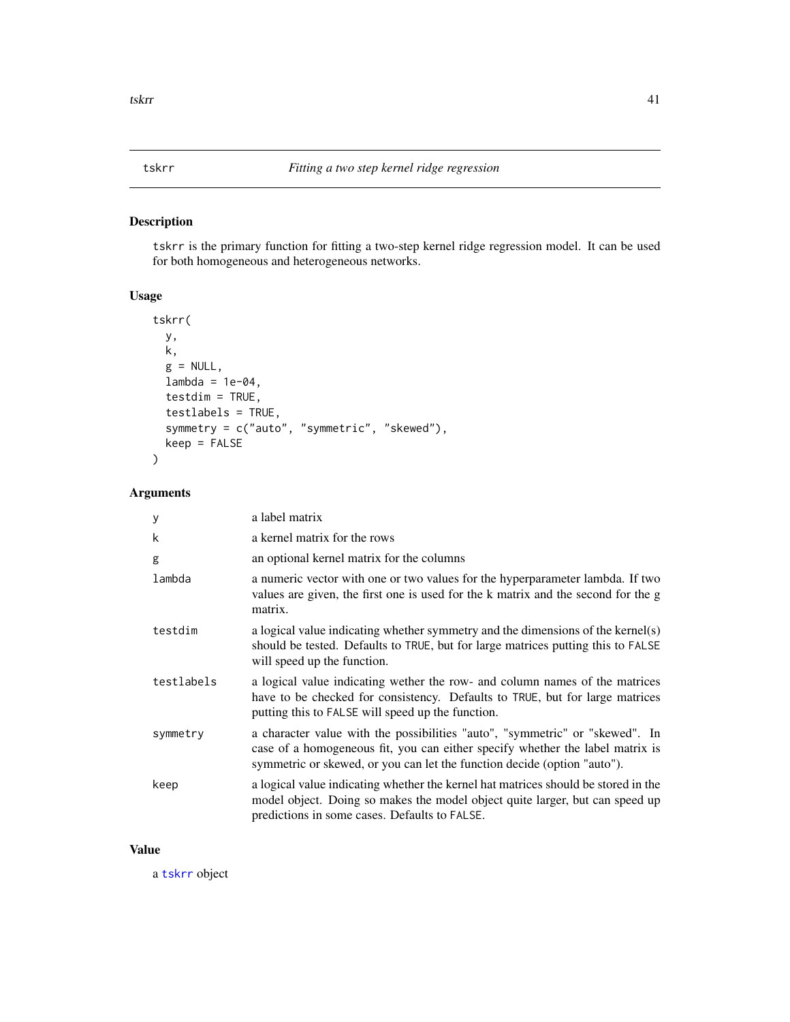# <span id="page-40-1"></span><span id="page-40-0"></span>Description

tskrr is the primary function for fitting a two-step kernel ridge regression model. It can be used for both homogeneous and heterogeneous networks.

#### Usage

```
tskrr(
 y,
 k,
 g = NULL,lambda = 1e-04,
 testdim = TRUE,
  testlabels = TRUE,
  symmetry = c("auto", "symmetric", "skewed"),
 keep = FALSE
\lambda
```
#### Arguments

| y          | a label matrix                                                                                                                                                                                                                            |
|------------|-------------------------------------------------------------------------------------------------------------------------------------------------------------------------------------------------------------------------------------------|
| k          | a kernel matrix for the rows                                                                                                                                                                                                              |
| g          | an optional kernel matrix for the columns                                                                                                                                                                                                 |
| lambda     | a numeric vector with one or two values for the hyperparameter lambda. If two<br>values are given, the first one is used for the k matrix and the second for the g<br>matrix.                                                             |
| testdim    | a logical value indicating whether symmetry and the dimensions of the kernel(s)<br>should be tested. Defaults to TRUE, but for large matrices putting this to FALSE<br>will speed up the function.                                        |
| testlabels | a logical value indicating wether the row- and column names of the matrices<br>have to be checked for consistency. Defaults to TRUE, but for large matrices<br>putting this to FALSE will speed up the function.                          |
| symmetry   | a character value with the possibilities "auto", "symmetric" or "skewed". In<br>case of a homogeneous fit, you can either specify whether the label matrix is<br>symmetric or skewed, or you can let the function decide (option "auto"). |
| keep       | a logical value indicating whether the kernel hat matrices should be stored in the<br>model object. Doing so makes the model object quite larger, but can speed up<br>predictions in some cases. Defaults to FALSE.                       |

#### Value

a [tskrr](#page-40-1) object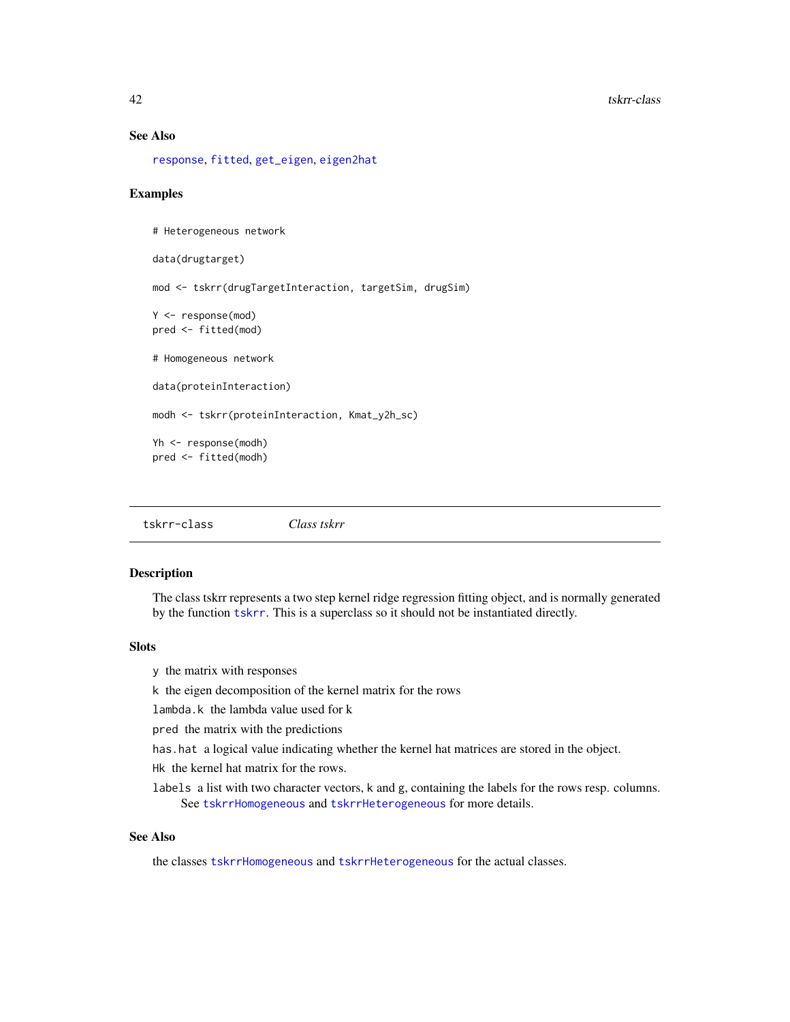# See Also

[response](#page-37-1), [fitted](#page-0-0), [get\\_eigen](#page-37-1), [eigen2hat](#page-7-1)

#### Examples

```
# Heterogeneous network
data(drugtarget)
mod <- tskrr(drugTargetInteraction, targetSim, drugSim)
Y <- response(mod)
pred <- fitted(mod)
# Homogeneous network
data(proteinInteraction)
modh <- tskrr(proteinInteraction, Kmat_y2h_sc)
Yh <- response(modh)
pred <- fitted(modh)
```
<span id="page-41-1"></span>tskrr-class *Class tskrr*

# Description

The class tskrr represents a two step kernel ridge regression fitting object, and is normally generated by the function [tskrr](#page-40-1). This is a superclass so it should not be instantiated directly.

# Slots

y the matrix with responses

k the eigen decomposition of the kernel matrix for the rows

lambda.k the lambda value used for k

pred the matrix with the predictions

has.hat a logical value indicating whether the kernel hat matrices are stored in the object.

Hk the kernel hat matrix for the rows.

labels a list with two character vectors, k and g, containing the labels for the rows resp. columns. See [tskrrHomogeneous](#page-44-1) and [tskrrHeterogeneous](#page-43-1) for more details.

# See Also

the classes [tskrrHomogeneous](#page-44-1) and [tskrrHeterogeneous](#page-43-1) for the actual classes.

<span id="page-41-0"></span>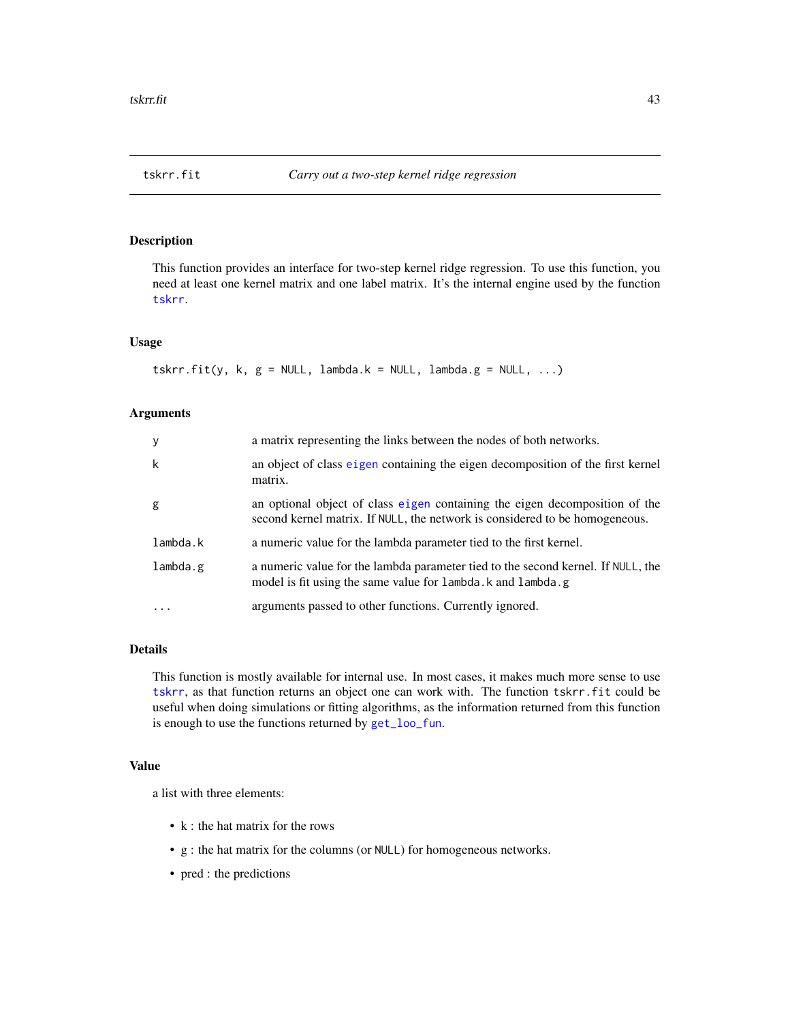<span id="page-42-0"></span>

# Description

This function provides an interface for two-step kernel ridge regression. To use this function, you need at least one kernel matrix and one label matrix. It's the internal engine used by the function [tskrr](#page-40-1).

#### Usage

```
tskrr.fit(y, k, g = NULL, lambda.k = NULL, lambda.g = NULL, ...)
```
# Arguments

| y        | a matrix representing the links between the nodes of both networks.                                                                                        |
|----------|------------------------------------------------------------------------------------------------------------------------------------------------------------|
| k        | an object of class eigen containing the eigen decomposition of the first kernel<br>matrix.                                                                 |
| g        | an optional object of class eigen containing the eigen decomposition of the<br>second kernel matrix. If NULL, the network is considered to be homogeneous. |
| lambda.k | a numeric value for the lambda parameter tied to the first kernel.                                                                                         |
| lambda.g | a numeric value for the lambda parameter tied to the second kernel. If NULL, the<br>model is fit using the same value for lambda. k and lambda. g          |
|          | arguments passed to other functions. Currently ignored.                                                                                                    |

# Details

This function is mostly available for internal use. In most cases, it makes much more sense to use [tskrr](#page-40-1), as that function returns an object one can work with. The function tskrr.fit could be useful when doing simulations or fitting algorithms, as the information returned from this function is enough to use the functions returned by [get\\_loo\\_fun](#page-9-1).

#### Value

a list with three elements:

- k : the hat matrix for the rows
- g : the hat matrix for the columns (or NULL) for homogeneous networks.
- pred : the predictions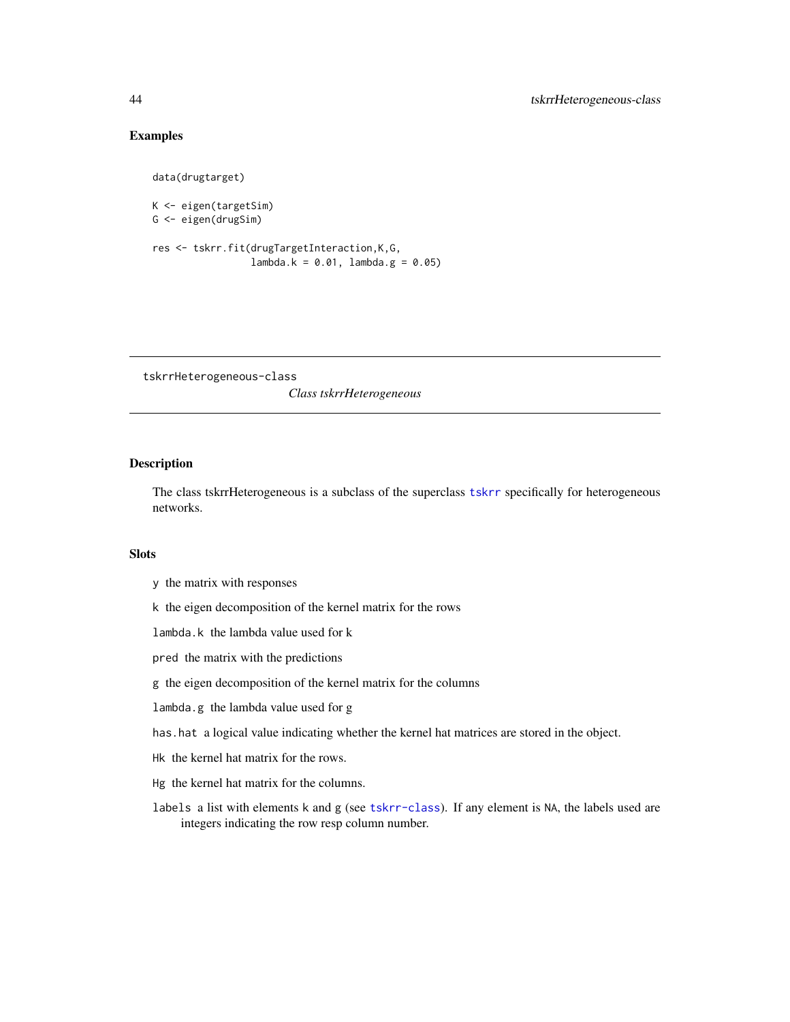# Examples

data(drugtarget)

```
K <- eigen(targetSim)
G <- eigen(drugSim)
res <- tskrr.fit(drugTargetInteraction,K,G,
                 lambda. k = 0.01, lambda. g = 0.05
```
tskrrHeterogeneous-class

*Class tskrrHeterogeneous*

# <span id="page-43-1"></span>Description

The class tskrrHeterogeneous is a subclass of the superclass [tskrr](#page-40-1) specifically for heterogeneous networks.

# Slots

- y the matrix with responses
- k the eigen decomposition of the kernel matrix for the rows
- lambda.k the lambda value used for k
- pred the matrix with the predictions
- g the eigen decomposition of the kernel matrix for the columns
- lambda.g the lambda value used for g
- has.hat a logical value indicating whether the kernel hat matrices are stored in the object.
- Hk the kernel hat matrix for the rows.
- Hg the kernel hat matrix for the columns.
- labels a list with elements k and g (see [tskrr-class](#page-41-1)). If any element is NA, the labels used are integers indicating the row resp column number.

<span id="page-43-0"></span>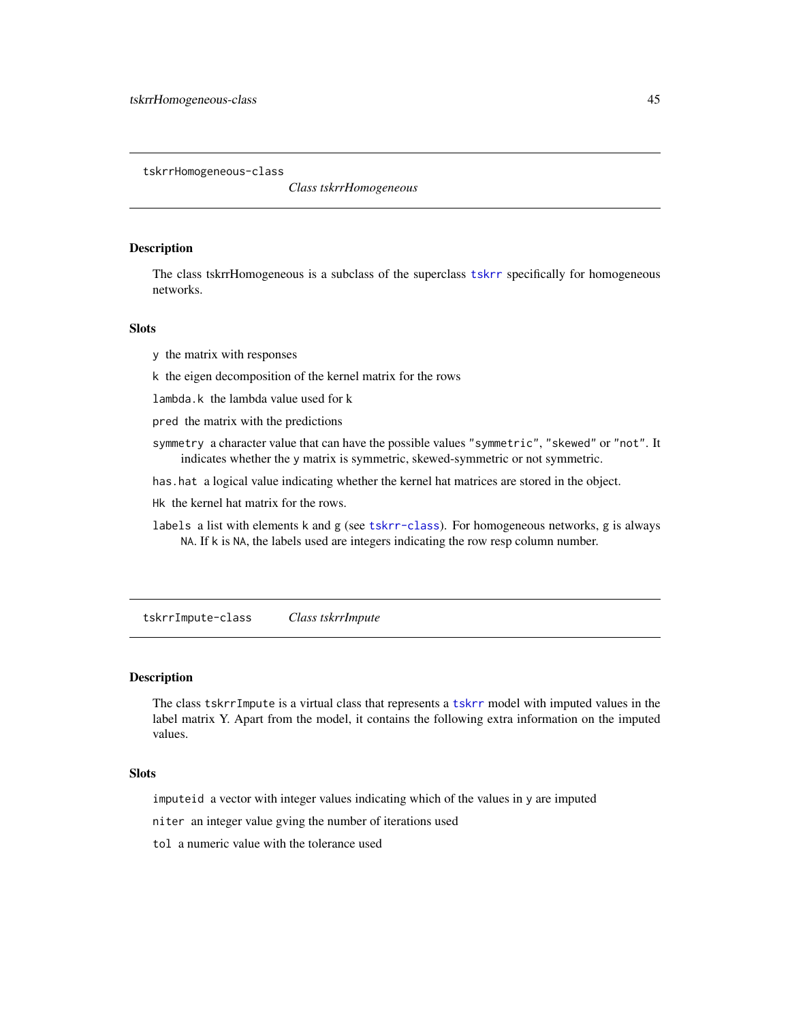<span id="page-44-0"></span>tskrrHomogeneous-class

*Class tskrrHomogeneous*

#### <span id="page-44-1"></span>Description

The class tskrrHomogeneous is a subclass of the superclass [tskrr](#page-40-1) specifically for homogeneous networks.

# Slots

- y the matrix with responses
- k the eigen decomposition of the kernel matrix for the rows
- lambda.k the lambda value used for k
- pred the matrix with the predictions
- symmetry a character value that can have the possible values "symmetric", "skewed" or "not". It indicates whether the y matrix is symmetric, skewed-symmetric or not symmetric.
- has.hat a logical value indicating whether the kernel hat matrices are stored in the object.
- Hk the kernel hat matrix for the rows.
- labels a list with elements k and g (see [tskrr-class](#page-41-1)). For homogeneous networks, g is always NA. If k is NA, the labels used are integers indicating the row resp column number.

tskrrImpute-class *Class tskrrImpute*

#### <span id="page-44-2"></span>Description

The class tskrrImpute is a virtual class that represents a [tskrr](#page-40-1) model with imputed values in the label matrix Y. Apart from the model, it contains the following extra information on the imputed values.

# **Slots**

imputeid a vector with integer values indicating which of the values in y are imputed

niter an integer value gving the number of iterations used

tol a numeric value with the tolerance used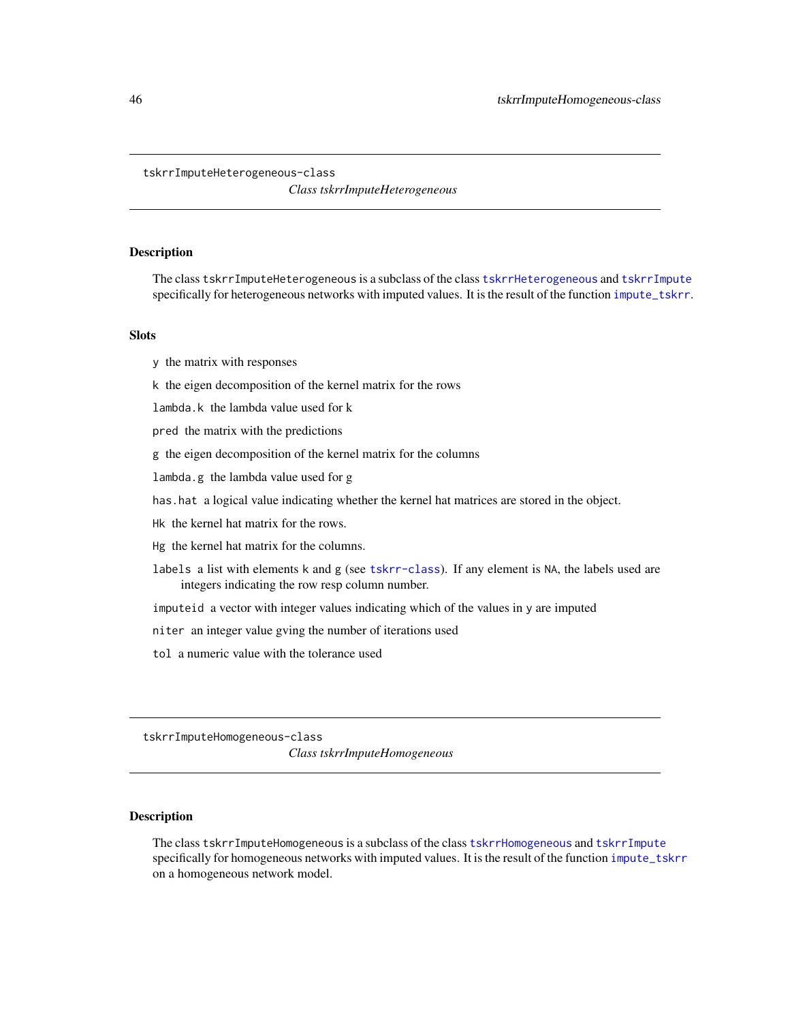#### <span id="page-45-0"></span>tskrrImputeHeterogeneous-class

*Class tskrrImputeHeterogeneous*

#### <span id="page-45-1"></span>Description

The class tskrrImputeHeterogeneous is a subclass of the class [tskrrHeterogeneous](#page-43-1) and [tskrrImpute](#page-44-2) specifically for heterogeneous networks with imputed values. It is the result of the function [impute\\_tskrr](#page-12-1).

# **Slots**

- y the matrix with responses
- k the eigen decomposition of the kernel matrix for the rows
- lambda.k the lambda value used for k
- pred the matrix with the predictions
- g the eigen decomposition of the kernel matrix for the columns
- lambda.g the lambda value used for g
- has.hat a logical value indicating whether the kernel hat matrices are stored in the object.
- Hk the kernel hat matrix for the rows.
- Hg the kernel hat matrix for the columns.
- labels a list with elements k and g (see [tskrr-class](#page-41-1)). If any element is NA, the labels used are integers indicating the row resp column number.
- imputeid a vector with integer values indicating which of the values in y are imputed
- niter an integer value gving the number of iterations used
- tol a numeric value with the tolerance used

tskrrImputeHomogeneous-class

*Class tskrrImputeHomogeneous*

#### <span id="page-45-2"></span>Description

The class tskrrImputeHomogeneous is a subclass of the class [tskrrHomogeneous](#page-44-1) and [tskrrImpute](#page-44-2) specifically for homogeneous networks with imputed values. It is the result of the function [impute\\_tskrr](#page-12-1) on a homogeneous network model.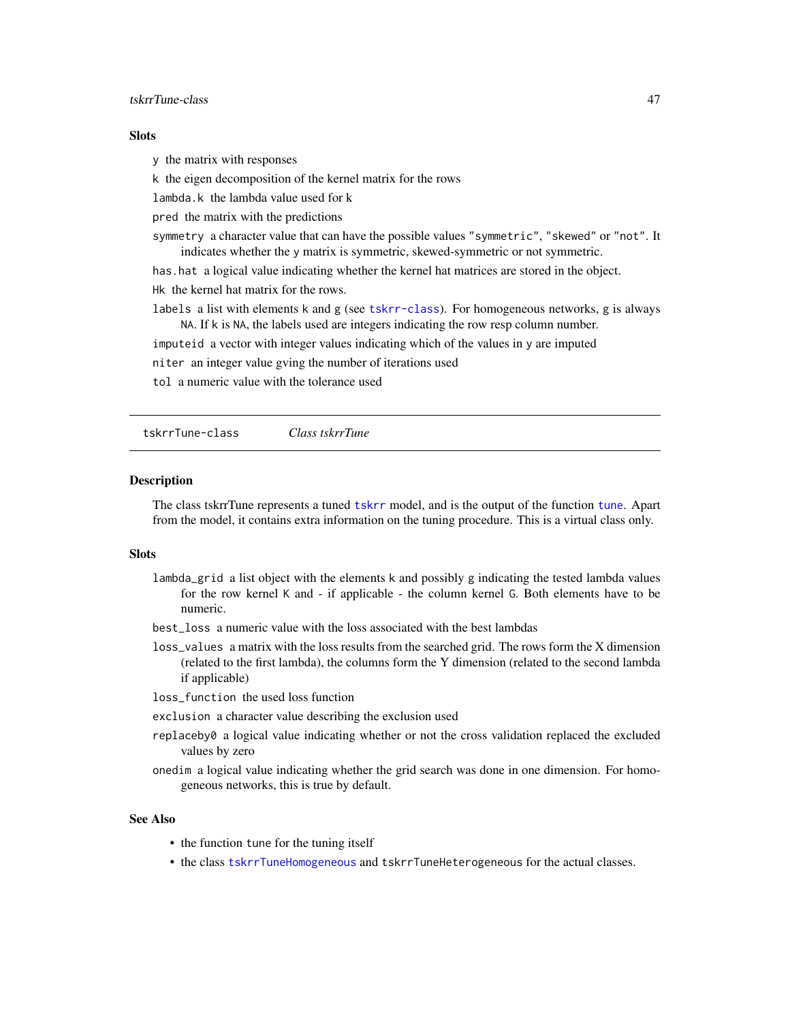# <span id="page-46-0"></span>tskrrTune-class 47

#### **Slots**

y the matrix with responses

k the eigen decomposition of the kernel matrix for the rows

lambda.k the lambda value used for k

pred the matrix with the predictions

symmetry a character value that can have the possible values "symmetric", "skewed" or "not". It indicates whether the y matrix is symmetric, skewed-symmetric or not symmetric.

has.hat a logical value indicating whether the kernel hat matrices are stored in the object. Hk the kernel hat matrix for the rows.

labels a list with elements k and g (see [tskrr-class](#page-41-1)). For homogeneous networks, g is always NA. If k is NA, the labels used are integers indicating the row resp column number.

imputeid a vector with integer values indicating which of the values in y are imputed

niter an integer value gving the number of iterations used

tol a numeric value with the tolerance used

<span id="page-46-2"></span>tskrrTune-class *Class tskrrTune*

#### <span id="page-46-1"></span>**Description**

The class tskrrTune represents a tuned [tskrr](#page-40-1) model, and is the output of the function [tune](#page-47-1). Apart from the model, it contains extra information on the tuning procedure. This is a virtual class only.

#### **Slots**

- lambda\_grid a list object with the elements k and possibly g indicating the tested lambda values for the row kernel K and - if applicable - the column kernel G. Both elements have to be numeric.
- best\_loss a numeric value with the loss associated with the best lambdas
- loss\_values a matrix with the loss results from the searched grid. The rows form the X dimension (related to the first lambda), the columns form the Y dimension (related to the second lambda if applicable)

loss\_function the used loss function

exclusion a character value describing the exclusion used

- replaceby0 a logical value indicating whether or not the cross validation replaced the excluded values by zero
- onedim a logical value indicating whether the grid search was done in one dimension. For homogeneous networks, this is true by default.

#### See Also

- the function tune for the tuning itself
- the class [tskrrTuneHomogeneous](#page-47-2) and tskrrTuneHeterogeneous for the actual classes.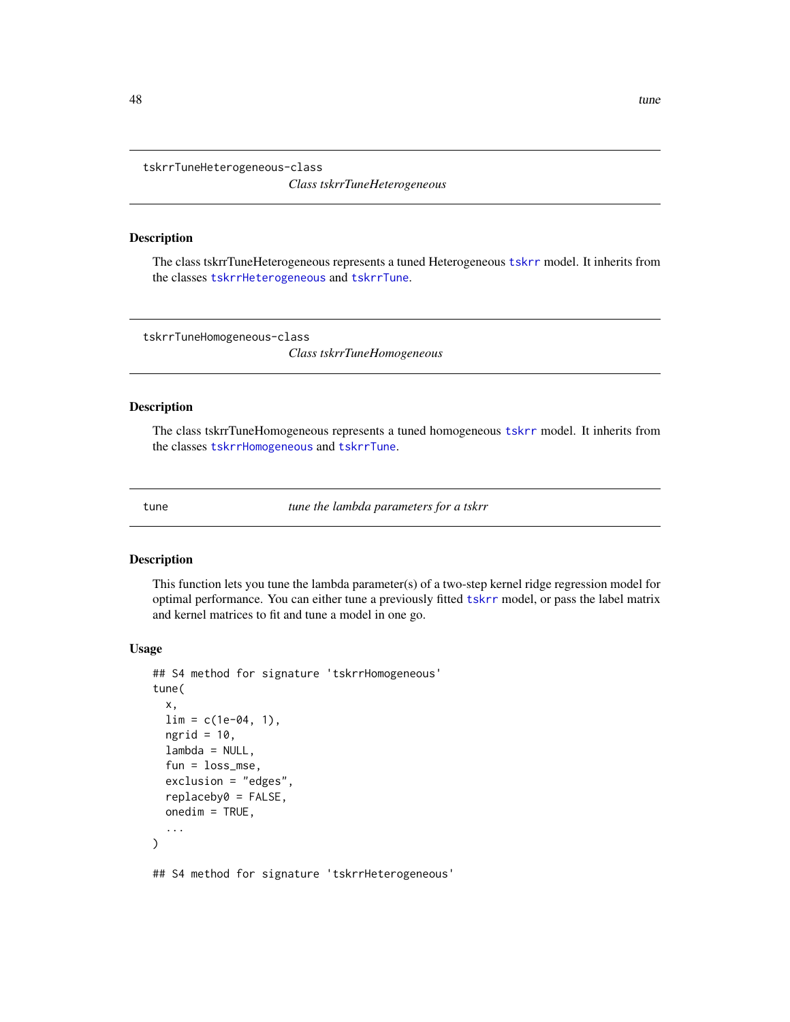<span id="page-47-0"></span>tskrrTuneHeterogeneous-class

*Class tskrrTuneHeterogeneous*

#### Description

The class tskrrTuneHeterogeneous represents a tuned Heterogeneous [tskrr](#page-40-1) model. It inherits from the classes [tskrrHeterogeneous](#page-43-1) and [tskrrTune](#page-46-1).

tskrrTuneHomogeneous-class

*Class tskrrTuneHomogeneous*

#### <span id="page-47-2"></span>Description

The class tskrrTuneHomogeneous represents a tuned homogeneous [tskrr](#page-40-1) model. It inherits from the classes [tskrrHomogeneous](#page-44-1) and [tskrrTune](#page-46-1).

<span id="page-47-1"></span>tune *tune the lambda parameters for a tskrr*

# Description

This function lets you tune the lambda parameter(s) of a two-step kernel ridge regression model for optimal performance. You can either tune a previously fitted [tskrr](#page-40-1) model, or pass the label matrix and kernel matrices to fit and tune a model in one go.

#### Usage

```
## S4 method for signature 'tskrrHomogeneous'
tune(
  x,
 \lim = c(1e-04, 1),ngrid = 10,
  lambda = NULL,fun = loss_mse,
  exclusion = "edges",
  replaceby0 = FALSE,
 onedim = TRUE,
  ...
)
```
## S4 method for signature 'tskrrHeterogeneous'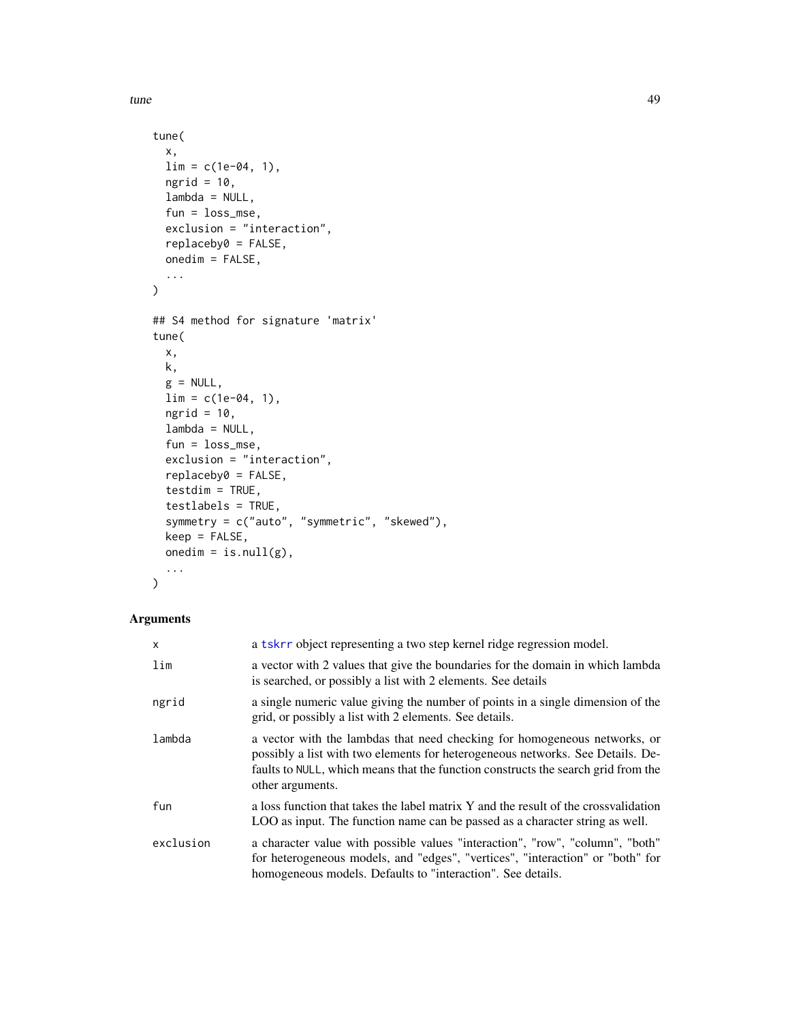<span id="page-48-0"></span>tune and the set of the set of the set of the set of the set of the set of the set of the set of the set of the set of the set of the set of the set of the set of the set of the set of the set of the set of the set of the

```
tune(
  x,
 \lim = c(1e-04, 1),ngrid = 10,
 lambda = NULL,
 fun = loss_mse,
  exclusion = "interaction",
 replaceby0 = FALSE,
 onedim = FALSE,
  ...
\mathcal{L}## S4 method for signature 'matrix'
tune(
 x,
 k,
 g = NULL,\lim = c(1e-04, 1),ngrid = 10,
 lambda = NULL,
  fun = loss_mse,
  exclusion = "interaction",
  replaceby0 = FALSE,
  testdim = TRUE,
  testlabels = TRUE,
  symmetry = c("auto", "symmetric", "skewed"),
 keep = FALSE,
 onedim = is.null(g),
  ...
)
```
# Arguments

| X         | a tskrr object representing a two step kernel ridge regression model.                                                                                                                                                                                                |
|-----------|----------------------------------------------------------------------------------------------------------------------------------------------------------------------------------------------------------------------------------------------------------------------|
| lim       | a vector with 2 values that give the boundaries for the domain in which lambda<br>is searched, or possibly a list with 2 elements. See details                                                                                                                       |
| ngrid     | a single numeric value giving the number of points in a single dimension of the<br>grid, or possibly a list with 2 elements. See details.                                                                                                                            |
| lambda    | a vector with the lambdas that need checking for homogeneous networks, or<br>possibly a list with two elements for heterogeneous networks. See Details. De-<br>faults to NULL, which means that the function constructs the search grid from the<br>other arguments. |
| fun       | a loss function that takes the label matrix Y and the result of the crossvalidation<br>LOO as input. The function name can be passed as a character string as well.                                                                                                  |
| exclusion | a character value with possible values "interaction", "row", "column", "both"<br>for heterogeneous models, and "edges", "vertices", "interaction" or "both" for<br>homogeneous models. Defaults to "interaction". See details.                                       |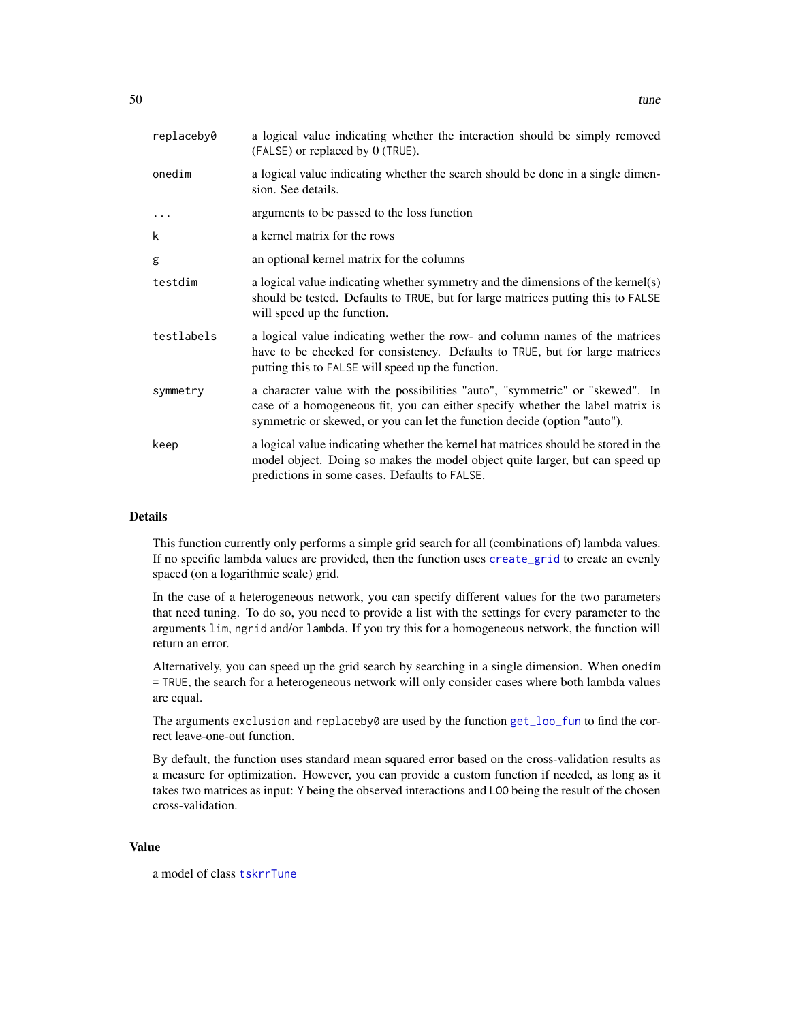<span id="page-49-0"></span>

| replaceby0 | a logical value indicating whether the interaction should be simply removed<br>(FALSE) or replaced by 0 (TRUE).                                                                                                                           |
|------------|-------------------------------------------------------------------------------------------------------------------------------------------------------------------------------------------------------------------------------------------|
| onedim     | a logical value indicating whether the search should be done in a single dimen-<br>sion. See details.                                                                                                                                     |
|            | arguments to be passed to the loss function                                                                                                                                                                                               |
| k          | a kernel matrix for the rows                                                                                                                                                                                                              |
| g          | an optional kernel matrix for the columns                                                                                                                                                                                                 |
| testdim    | a logical value indicating whether symmetry and the dimensions of the kernel(s)<br>should be tested. Defaults to TRUE, but for large matrices putting this to FALSE<br>will speed up the function.                                        |
| testlabels | a logical value indicating wether the row- and column names of the matrices<br>have to be checked for consistency. Defaults to TRUE, but for large matrices<br>putting this to FALSE will speed up the function.                          |
| symmetry   | a character value with the possibilities "auto", "symmetric" or "skewed". In<br>case of a homogeneous fit, you can either specify whether the label matrix is<br>symmetric or skewed, or you can let the function decide (option "auto"). |
| keep       | a logical value indicating whether the kernel hat matrices should be stored in the<br>model object. Doing so makes the model object quite larger, but can speed up<br>predictions in some cases. Defaults to FALSE.                       |

#### Details

This function currently only performs a simple grid search for all (combinations of) lambda values. If no specific lambda values are provided, then the function uses [create\\_grid](#page-5-1) to create an evenly spaced (on a logarithmic scale) grid.

In the case of a heterogeneous network, you can specify different values for the two parameters that need tuning. To do so, you need to provide a list with the settings for every parameter to the arguments lim, ngrid and/or lambda. If you try this for a homogeneous network, the function will return an error.

Alternatively, you can speed up the grid search by searching in a single dimension. When onedim = TRUE, the search for a heterogeneous network will only consider cases where both lambda values are equal.

The arguments exclusion and replaceby0 are used by the function [get\\_loo\\_fun](#page-9-1) to find the correct leave-one-out function.

By default, the function uses standard mean squared error based on the cross-validation results as a measure for optimization. However, you can provide a custom function if needed, as long as it takes two matrices as input: Y being the observed interactions and LOO being the result of the chosen cross-validation.

#### Value

a model of class [tskrrTune](#page-46-1)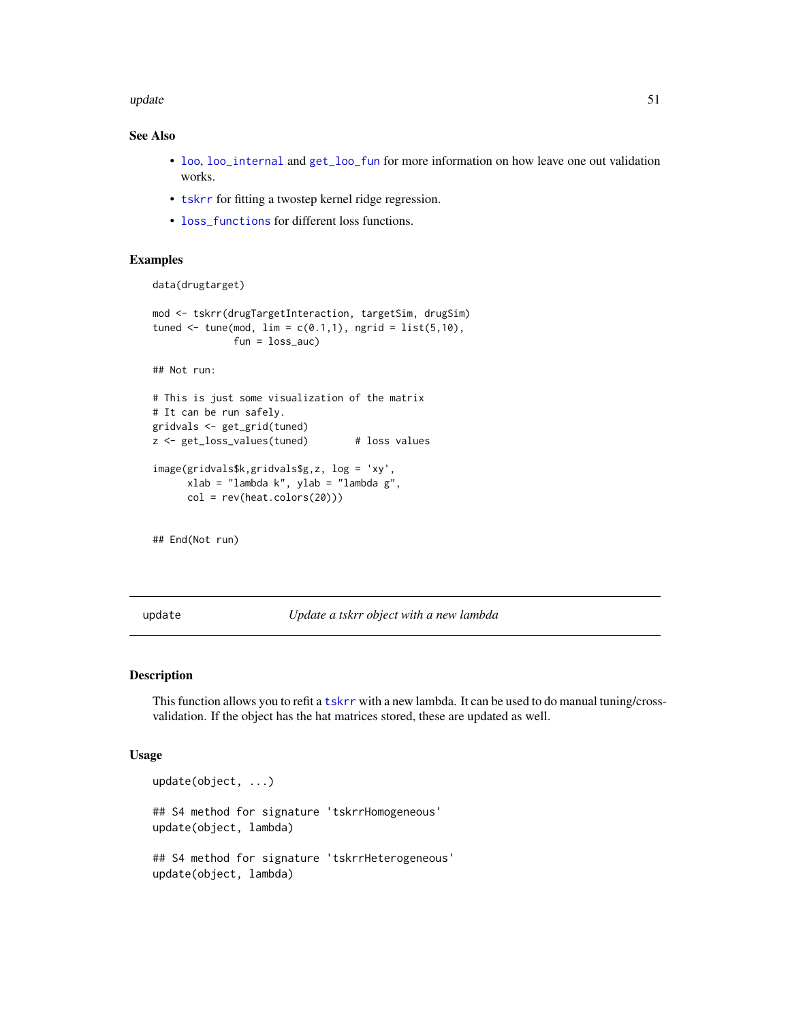#### <span id="page-50-0"></span>update 51

# See Also

- [loo](#page-20-1), [loo\\_internal](#page-21-1) and [get\\_loo\\_fun](#page-9-1) for more information on how leave one out validation works.
- [tskrr](#page-40-1) for fitting a twostep kernel ridge regression.
- [loss\\_functions](#page-24-1) for different loss functions.

### Examples

data(drugtarget)

```
mod <- tskrr(drugTargetInteraction, targetSim, drugSim)
tuned \leq tune(mod, \lim = c(0.1,1), ngrid = \text{list}(5,10),
               fun = loss_auc)
```
## Not run:

```
# This is just some visualization of the matrix
# It can be run safely.
gridvals <- get_grid(tuned)
z <- get_loss_values(tuned) # loss values
image(gridvals$k,gridvals$g,z, log = 'xy',
```

```
xlab = "lambda k", ylab = "lambda g",
col = rev(heat.colors(20)))
```
## End(Not run)

update *Update a tskrr object with a new lambda*

# Description

This function allows you to refit a [tskrr](#page-40-1) with a new lambda. It can be used to do manual tuning/crossvalidation. If the object has the hat matrices stored, these are updated as well.

#### Usage

```
update(object, ...)
## S4 method for signature 'tskrrHomogeneous'
update(object, lambda)
## S4 method for signature 'tskrrHeterogeneous'
update(object, lambda)
```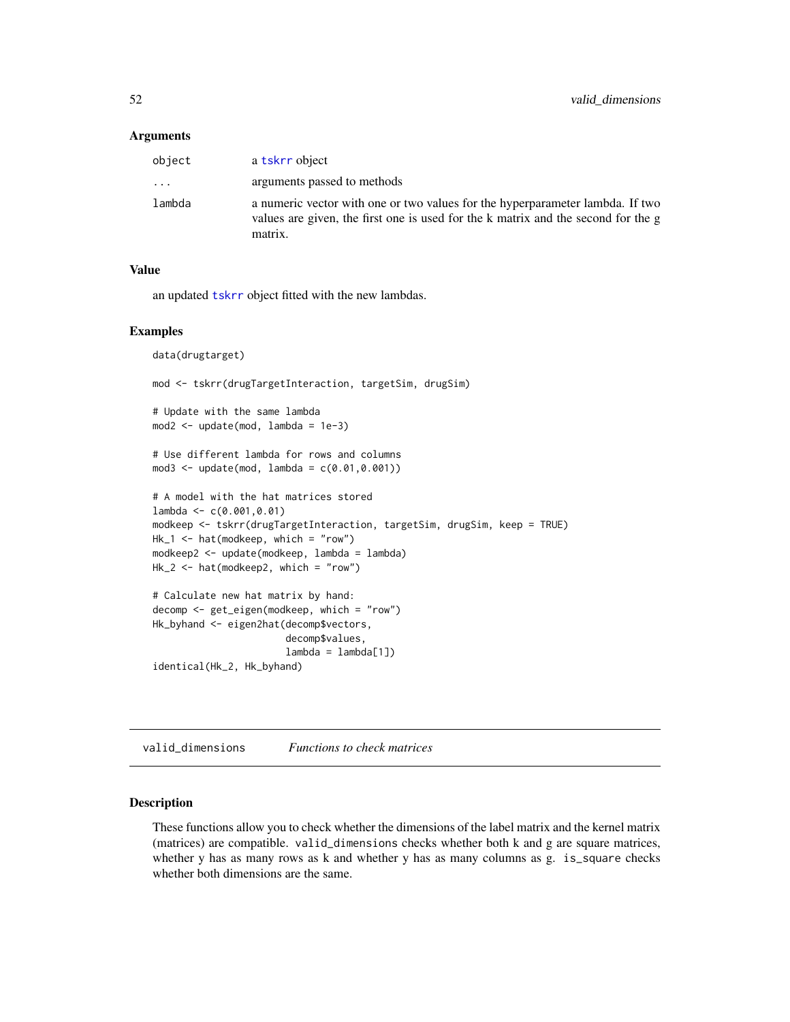#### <span id="page-51-0"></span>**Arguments**

| object   | a tskrr object                                                                                                                                                                |
|----------|-------------------------------------------------------------------------------------------------------------------------------------------------------------------------------|
| $\ddots$ | arguments passed to methods                                                                                                                                                   |
| lambda   | a numeric vector with one or two values for the hyperparameter lambda. If two<br>values are given, the first one is used for the k matrix and the second for the g<br>matrix. |

# Value

an updated [tskrr](#page-40-1) object fitted with the new lambdas.

#### Examples

```
data(drugtarget)
mod <- tskrr(drugTargetInteraction, targetSim, drugSim)
# Update with the same lambda
mod2 <- update(mod, lambda = 1e-3)
# Use different lambda for rows and columns
mod3 < - update(mod, lambda = c(0.01, 0.001))
# A model with the hat matrices stored
lambda <- c(0.001,0.01)
modkeep <- tskrr(drugTargetInteraction, targetSim, drugSim, keep = TRUE)
Hk_1 <- hat(modkeep, which = "row")
modkeep2 <- update(modkeep, lambda = lambda)
Hk_2 <- hat(modkeep2, which = "row")
# Calculate new hat matrix by hand:
decomp <- get_eigen(modkeep, which = "row")
Hk_byhand <- eigen2hat(decomp$vectors,
                       decomp$values,
                       lambda = lambda[1])identical(Hk_2, Hk_byhand)
```
valid\_dimensions *Functions to check matrices*

#### Description

These functions allow you to check whether the dimensions of the label matrix and the kernel matrix (matrices) are compatible. valid\_dimensions checks whether both k and g are square matrices, whether y has as many rows as k and whether y has as many columns as g. is\_square checks whether both dimensions are the same.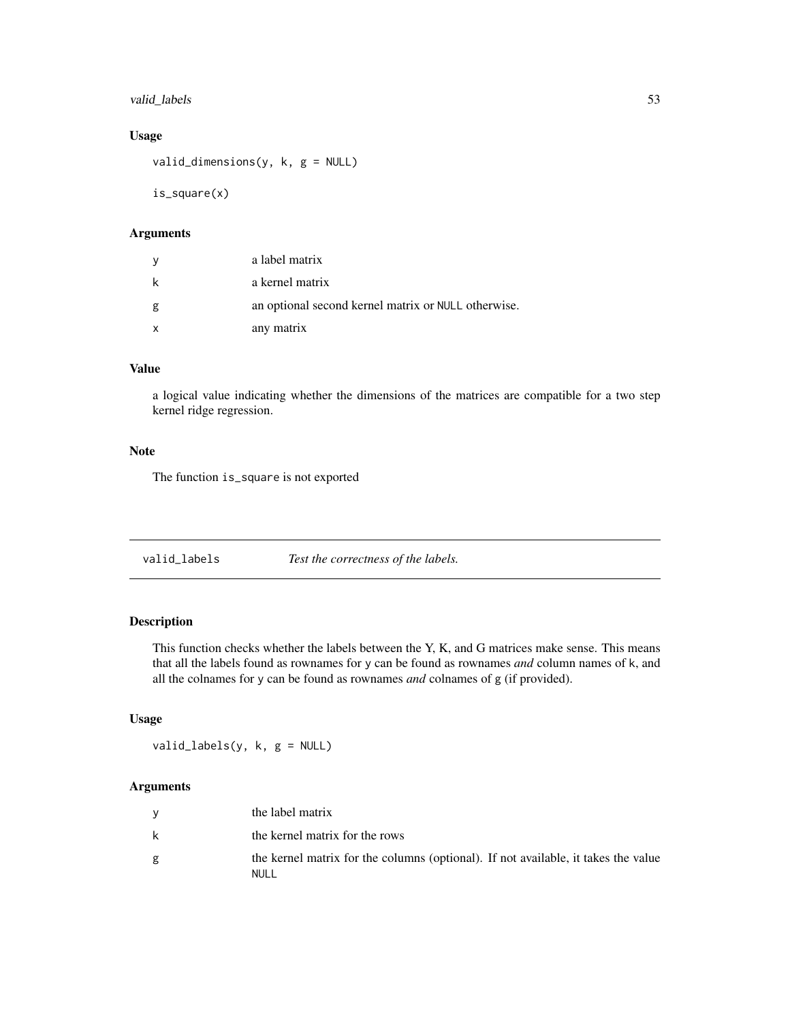# <span id="page-52-0"></span>valid\_labels 53

# Usage

valid\_dimensions(y, k, g = NULL)

is\_square(x)

# Arguments

| У | a label matrix                                      |
|---|-----------------------------------------------------|
| k | a kernel matrix                                     |
| g | an optional second kernel matrix or NULL otherwise. |
| x | any matrix                                          |

# Value

a logical value indicating whether the dimensions of the matrices are compatible for a two step kernel ridge regression.

# Note

The function is\_square is not exported

| valid_labels | Test the correctness of the labels. |  |
|--------------|-------------------------------------|--|
|              |                                     |  |

# Description

This function checks whether the labels between the Y, K, and G matrices make sense. This means that all the labels found as rownames for y can be found as rownames *and* column names of k, and all the colnames for y can be found as rownames *and* colnames of g (if provided).

# Usage

valid\_labels(y, k, g = NULL)

# Arguments

|   | the label matrix                                                                            |
|---|---------------------------------------------------------------------------------------------|
|   | the kernel matrix for the rows                                                              |
| g | the kernel matrix for the columns (optional). If not available, it takes the value<br>NUI L |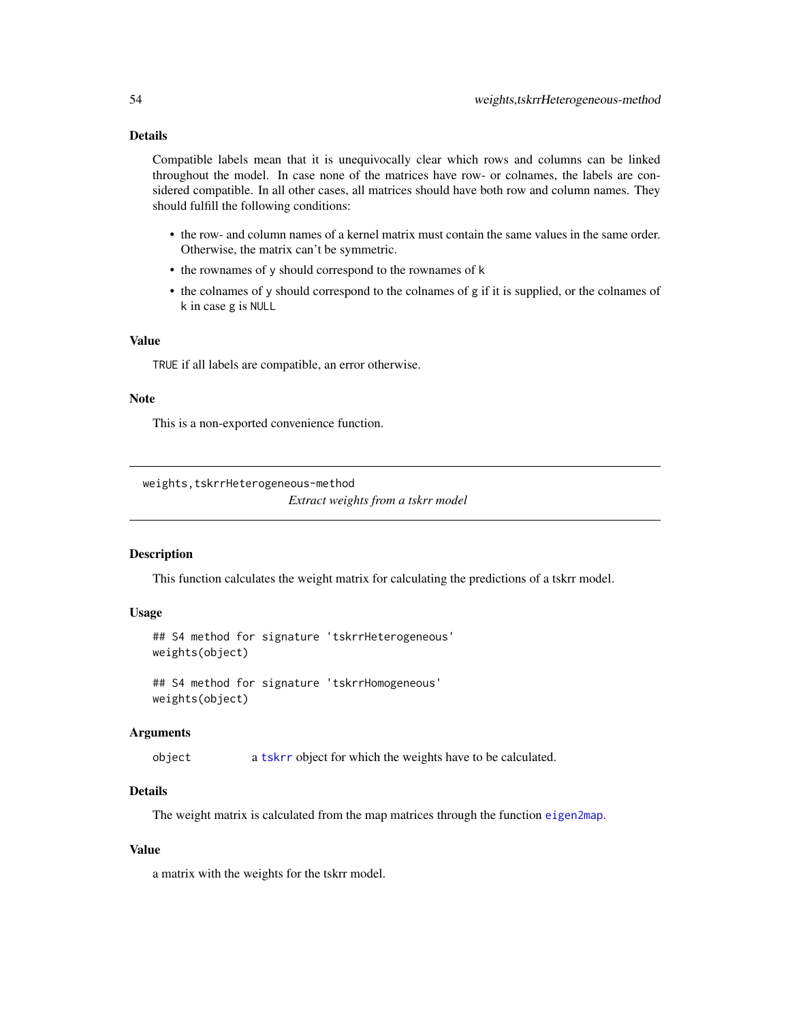# <span id="page-53-0"></span>Details

Compatible labels mean that it is unequivocally clear which rows and columns can be linked throughout the model. In case none of the matrices have row- or colnames, the labels are considered compatible. In all other cases, all matrices should have both row and column names. They should fulfill the following conditions:

- the row- and column names of a kernel matrix must contain the same values in the same order. Otherwise, the matrix can't be symmetric.
- the rownames of y should correspond to the rownames of k
- the colnames of y should correspond to the colnames of g if it is supplied, or the colnames of k in case g is NULL

# Value

TRUE if all labels are compatible, an error otherwise.

#### Note

This is a non-exported convenience function.

weights,tskrrHeterogeneous-method

*Extract weights from a tskrr model*

# <span id="page-53-1"></span>Description

This function calculates the weight matrix for calculating the predictions of a tskrr model.

#### Usage

```
## S4 method for signature 'tskrrHeterogeneous'
weights(object)
## S4 method for signature 'tskrrHomogeneous'
```
weights(object)

#### Arguments

object a [tskrr](#page-40-1) object for which the weights have to be calculated.

# **Details**

The weight matrix is calculated from the map matrices through the function [eigen2map](#page-7-2).

#### Value

a matrix with the weights for the tskrr model.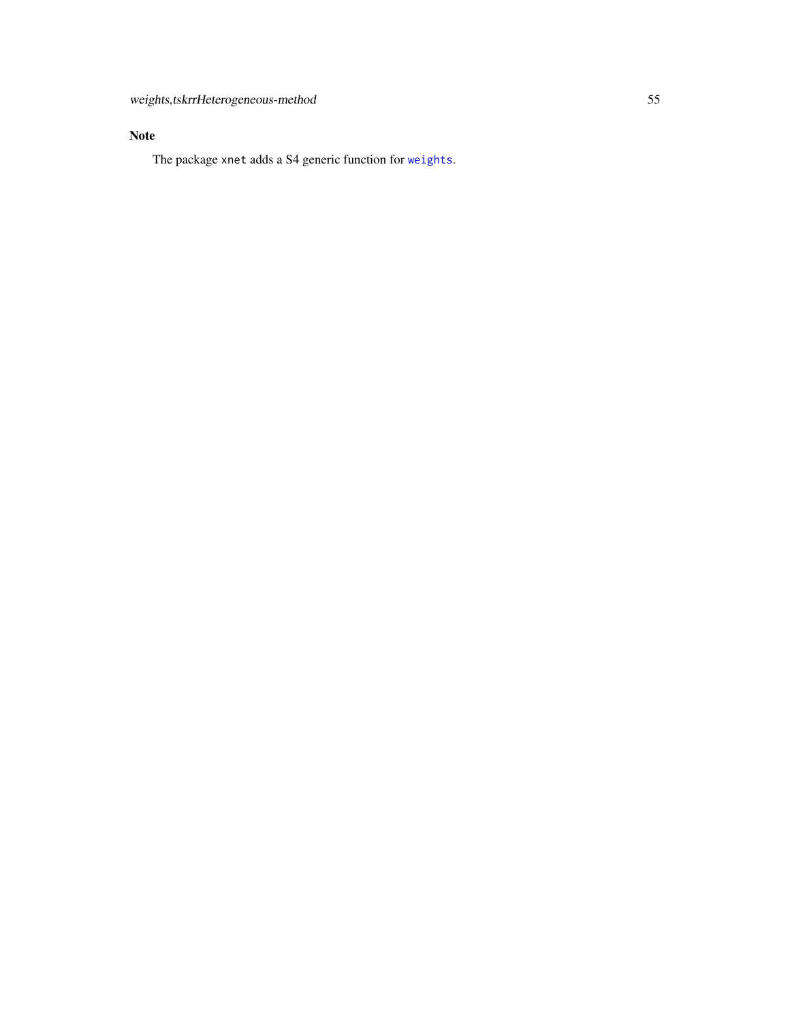# <span id="page-54-0"></span>Note

The package xnet adds a S4 generic function for [weights](#page-53-1).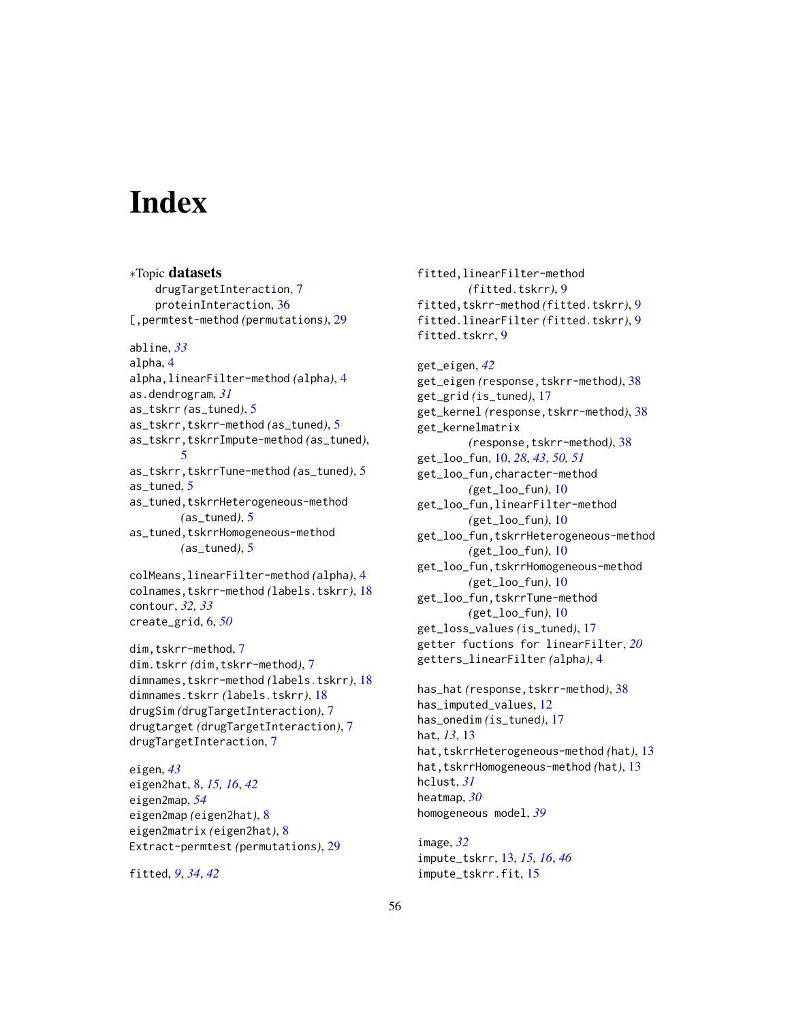# <span id="page-55-0"></span>**Index**

∗Topic datasets drugTargetInteraction, [7](#page-6-0) proteinInteraction, [36](#page-35-0) [,permtest-method *(*permutations*)*, [29](#page-28-0) abline, *[33](#page-32-0)* alpha, [4](#page-3-0) alpha,linearFilter-method *(*alpha*)*, [4](#page-3-0) as.dendrogram, *[31](#page-30-0)* as\_tskrr *(*as\_tuned*)*, [5](#page-4-0) as\_tskrr,tskrr-method *(*as\_tuned*)*, [5](#page-4-0) as\_tskrr,tskrrImpute-method *(*as\_tuned*)*, [5](#page-4-0) as\_tskrr,tskrrTune-method *(*as\_tuned*)*, [5](#page-4-0) as\_tuned, [5](#page-4-0) as\_tuned,tskrrHeterogeneous-method *(*as\_tuned*)*, [5](#page-4-0) as\_tuned,tskrrHomogeneous-method *(*as\_tuned*)*, [5](#page-4-0) colMeans,linearFilter-method *(*alpha*)*, [4](#page-3-0) colnames,tskrr-method *(*labels.tskrr*)*, [18](#page-17-0) contour, *[32,](#page-31-0) [33](#page-32-0)* create\_grid, [6,](#page-5-0) *[50](#page-49-0)* dim,tskrr-method, [7](#page-6-0) dim.tskrr *(*dim,tskrr-method*)*, [7](#page-6-0) dimnames,tskrr-method *(*labels.tskrr*)*, [18](#page-17-0) dimnames.tskrr *(*labels.tskrr*)*, [18](#page-17-0) drugSim *(*drugTargetInteraction*)*, [7](#page-6-0) drugtarget *(*drugTargetInteraction*)*, [7](#page-6-0) drugTargetInteraction, [7](#page-6-0) eigen, *[43](#page-42-0)*

eigen2hat, [8,](#page-7-0) *[15,](#page-14-0) [16](#page-15-0)*, *[42](#page-41-0)* eigen2map, *[54](#page-53-0)* eigen2map *(*eigen2hat*)*, [8](#page-7-0) eigen2matrix *(*eigen2hat*)*, [8](#page-7-0) Extract-permtest *(*permutations*)*, [29](#page-28-0)

fitted, *[9](#page-8-0)*, *[34](#page-33-0)*, *[42](#page-41-0)*

fitted,linearFilter-method *(*fitted.tskrr*)*, [9](#page-8-0) fitted,tskrr-method *(*fitted.tskrr*)*, [9](#page-8-0) fitted.linearFilter *(*fitted.tskrr*)*, [9](#page-8-0) fitted.tskrr, [9](#page-8-0)

get\_eigen, *[42](#page-41-0)* get\_eigen *(*response,tskrr-method*)*, [38](#page-37-0) get\_grid *(*is\_tuned*)*, [17](#page-16-0) get\_kernel *(*response,tskrr-method*)*, [38](#page-37-0) get\_kernelmatrix *(*response,tskrr-method*)*, [38](#page-37-0) get\_loo\_fun, [10,](#page-9-0) *[28](#page-27-0)*, *[43](#page-42-0)*, *[50,](#page-49-0) [51](#page-50-0)* get\_loo\_fun,character-method *(*get\_loo\_fun*)*, [10](#page-9-0) get\_loo\_fun,linearFilter-method *(*get\_loo\_fun*)*, [10](#page-9-0) get\_loo\_fun,tskrrHeterogeneous-method *(*get\_loo\_fun*)*, [10](#page-9-0) get\_loo\_fun,tskrrHomogeneous-method *(*get\_loo\_fun*)*, [10](#page-9-0) get\_loo\_fun,tskrrTune-method *(*get\_loo\_fun*)*, [10](#page-9-0) get\_loss\_values *(*is\_tuned*)*, [17](#page-16-0) getter fuctions for linearFilter, *[20](#page-19-0)* getters\_linearFilter *(*alpha*)*, [4](#page-3-0)

has\_hat *(*response,tskrr-method*)*, [38](#page-37-0) has\_imputed\_values, [12](#page-11-0) has\_onedim *(*is\_tuned*)*, [17](#page-16-0) hat, *[13](#page-12-0)*, [13](#page-12-0) hat,tskrrHeterogeneous-method *(*hat*)*, [13](#page-12-0) hat,tskrrHomogeneous-method *(*hat*)*, [13](#page-12-0) hclust, *[31](#page-30-0)* heatmap, *[30](#page-29-0)* homogeneous model, *[39](#page-38-0)*

image, *[32](#page-31-0)* impute\_tskrr, [13,](#page-12-0) *[15,](#page-14-0) [16](#page-15-0)*, *[46](#page-45-0)* impute\_tskrr.fit, [15](#page-14-0)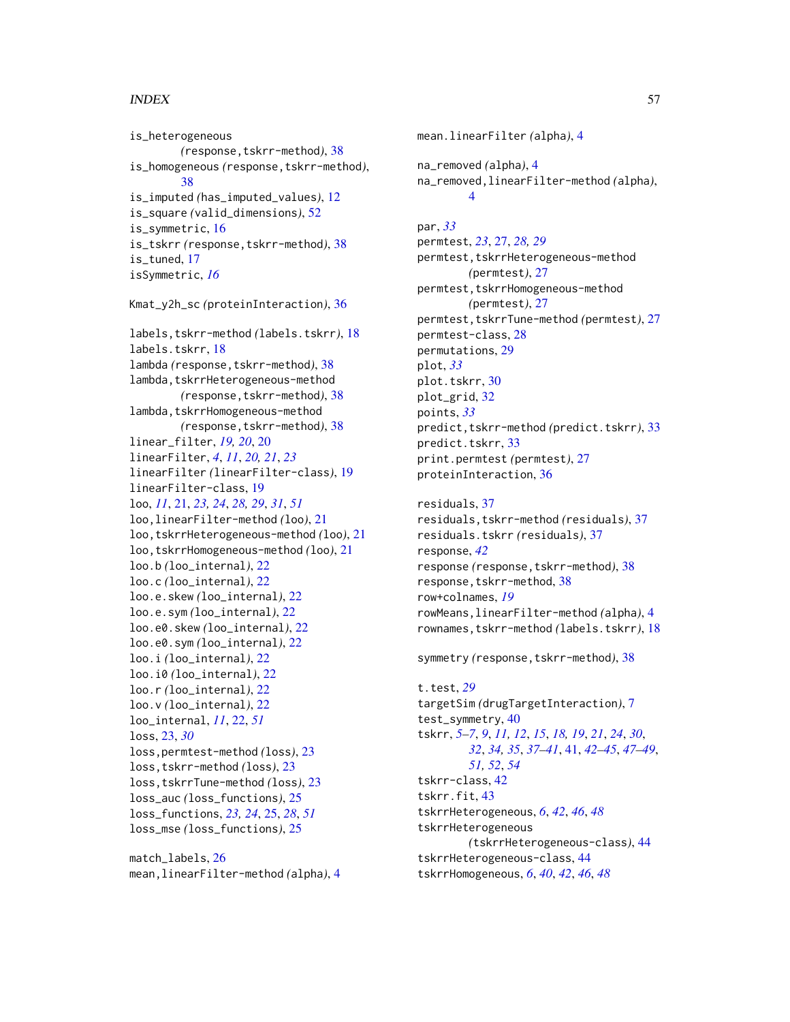#### INDEX 57

is\_heterogeneous *(*response,tskrr-method*)*, [38](#page-37-0) is\_homogeneous *(*response,tskrr-method*)*, [38](#page-37-0) is\_imputed *(*has\_imputed\_values*)*, [12](#page-11-0) is\_square *(*valid\_dimensions*)*, [52](#page-51-0) is\_symmetric, [16](#page-15-0) is\_tskrr *(*response,tskrr-method*)*, [38](#page-37-0) is tuned, [17](#page-16-0) isSymmetric, *[16](#page-15-0)* Kmat\_y2h\_sc *(*proteinInteraction*)*, [36](#page-35-0) labels,tskrr-method *(*labels.tskrr*)*, [18](#page-17-0) labels.tskrr, [18](#page-17-0) lambda *(*response,tskrr-method*)*, [38](#page-37-0) lambda, tskrrHeterogeneous-method *(*response,tskrr-method*)*, [38](#page-37-0) lambda, tskrrHomogeneous-method *(*response,tskrr-method*)*, [38](#page-37-0) linear\_filter, *[19,](#page-18-0) [20](#page-19-0)*, [20](#page-19-0) linearFilter, *[4](#page-3-0)*, *[11](#page-10-0)*, *[20,](#page-19-0) [21](#page-20-0)*, *[23](#page-22-0)* linearFilter *(*linearFilter-class*)*, [19](#page-18-0) linearFilter-class, [19](#page-18-0) loo, *[11](#page-10-0)*, [21,](#page-20-0) *[23,](#page-22-0) [24](#page-23-0)*, *[28,](#page-27-0) [29](#page-28-0)*, *[31](#page-30-0)*, *[51](#page-50-0)* loo,linearFilter-method *(*loo*)*, [21](#page-20-0) loo,tskrrHeterogeneous-method *(*loo*)*, [21](#page-20-0) loo,tskrrHomogeneous-method *(*loo*)*, [21](#page-20-0) loo.b *(*loo\_internal*)*, [22](#page-21-0) loo.c *(*loo\_internal*)*, [22](#page-21-0) loo.e.skew *(*loo\_internal*)*, [22](#page-21-0) loo.e.sym *(*loo\_internal*)*, [22](#page-21-0) loo.e0.skew *(*loo\_internal*)*, [22](#page-21-0) loo.e0.sym *(*loo\_internal*)*, [22](#page-21-0) loo.i *(*loo\_internal*)*, [22](#page-21-0) loo.i0 *(*loo\_internal*)*, [22](#page-21-0) loo.r *(*loo\_internal*)*, [22](#page-21-0) loo.v *(*loo\_internal*)*, [22](#page-21-0) loo\_internal, *[11](#page-10-0)*, [22,](#page-21-0) *[51](#page-50-0)* loss, [23,](#page-22-0) *[30](#page-29-0)* loss,permtest-method *(*loss*)*, [23](#page-22-0) loss,tskrr-method *(*loss*)*, [23](#page-22-0) loss,tskrrTune-method *(*loss*)*, [23](#page-22-0) loss\_auc *(*loss\_functions*)*, [25](#page-24-0) loss\_functions, *[23,](#page-22-0) [24](#page-23-0)*, [25,](#page-24-0) *[28](#page-27-0)*, *[51](#page-50-0)* loss\_mse *(*loss\_functions*)*, [25](#page-24-0)

match\_labels, [26](#page-25-0) mean,linearFilter-method *(*alpha*)*, [4](#page-3-0)

mean.linearFilter *(*alpha*)*, [4](#page-3-0) na\_removed *(*alpha*)*, [4](#page-3-0) na\_removed,linearFilter-method *(*alpha*)*, [4](#page-3-0) par, *[33](#page-32-0)* permtest, *[23](#page-22-0)*, [27,](#page-26-0) *[28,](#page-27-0) [29](#page-28-0)* permtest,tskrrHeterogeneous-method *(*permtest*)*, [27](#page-26-0) permtest, tskrrHomogeneous-method *(*permtest*)*, [27](#page-26-0) permtest,tskrrTune-method *(*permtest*)*, [27](#page-26-0) permtest-class, [28](#page-27-0) permutations, [29](#page-28-0) plot, *[33](#page-32-0)* plot.tskrr, [30](#page-29-0) plot\_grid, [32](#page-31-0) points, *[33](#page-32-0)* predict,tskrr-method *(*predict.tskrr*)*, [33](#page-32-0) predict.tskrr, [33](#page-32-0) print.permtest *(*permtest*)*, [27](#page-26-0) proteinInteraction, [36](#page-35-0)

residuals, [37](#page-36-0) residuals,tskrr-method *(*residuals*)*, [37](#page-36-0) residuals.tskrr *(*residuals*)*, [37](#page-36-0) response, *[42](#page-41-0)* response *(*response,tskrr-method*)*, [38](#page-37-0) response, tskrr-method, [38](#page-37-0) row+colnames, *[19](#page-18-0)* rowMeans,linearFilter-method *(*alpha*)*, [4](#page-3-0) rownames,tskrr-method *(*labels.tskrr*)*, [18](#page-17-0)

symmetry *(*response,tskrr-method*)*, [38](#page-37-0)

t.test, *[29](#page-28-0)* targetSim *(*drugTargetInteraction*)*, [7](#page-6-0) test\_symmetry, [40](#page-39-0) tskrr, *[5–](#page-4-0)[7](#page-6-0)*, *[9](#page-8-0)*, *[11,](#page-10-0) [12](#page-11-0)*, *[15](#page-14-0)*, *[18,](#page-17-0) [19](#page-18-0)*, *[21](#page-20-0)*, *[24](#page-23-0)*, *[30](#page-29-0)*, *[32](#page-31-0)*, *[34,](#page-33-0) [35](#page-34-0)*, *[37](#page-36-0)[–41](#page-40-0)*, [41,](#page-40-0) *[42](#page-41-0)[–45](#page-44-0)*, *[47](#page-46-0)[–49](#page-48-0)*, *[51,](#page-50-0) [52](#page-51-0)*, *[54](#page-53-0)* tskrr-class, [42](#page-41-0) tskrr.fit, [43](#page-42-0) tskrrHeterogeneous, *[6](#page-5-0)*, *[42](#page-41-0)*, *[46](#page-45-0)*, *[48](#page-47-0)* tskrrHeterogeneous *(*tskrrHeterogeneous-class*)*, [44](#page-43-0) tskrrHeterogeneous-class, [44](#page-43-0) tskrrHomogeneous, *[6](#page-5-0)*, *[40](#page-39-0)*, *[42](#page-41-0)*, *[46](#page-45-0)*, *[48](#page-47-0)*